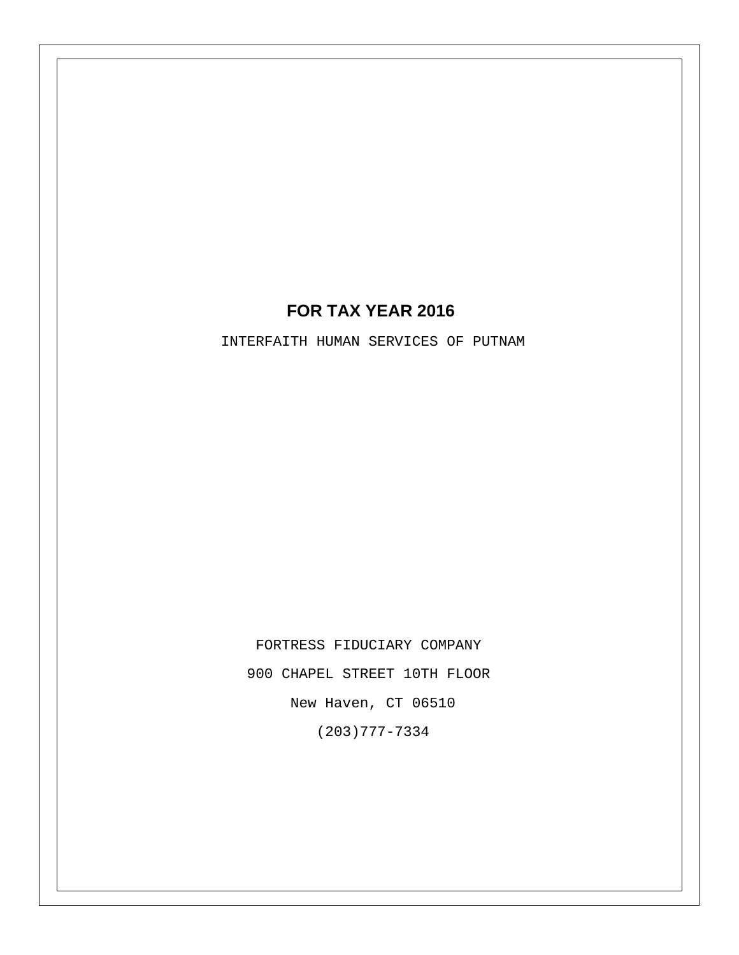### **FOR TAX YEAR 2016**

INTERFAITH HUMAN SERVICES OF PUTNAM

FORTRESS FIDUCIARY COMPANY 900 CHAPEL STREET 10TH FLOOR New Haven, CT 06510 (203)777-7334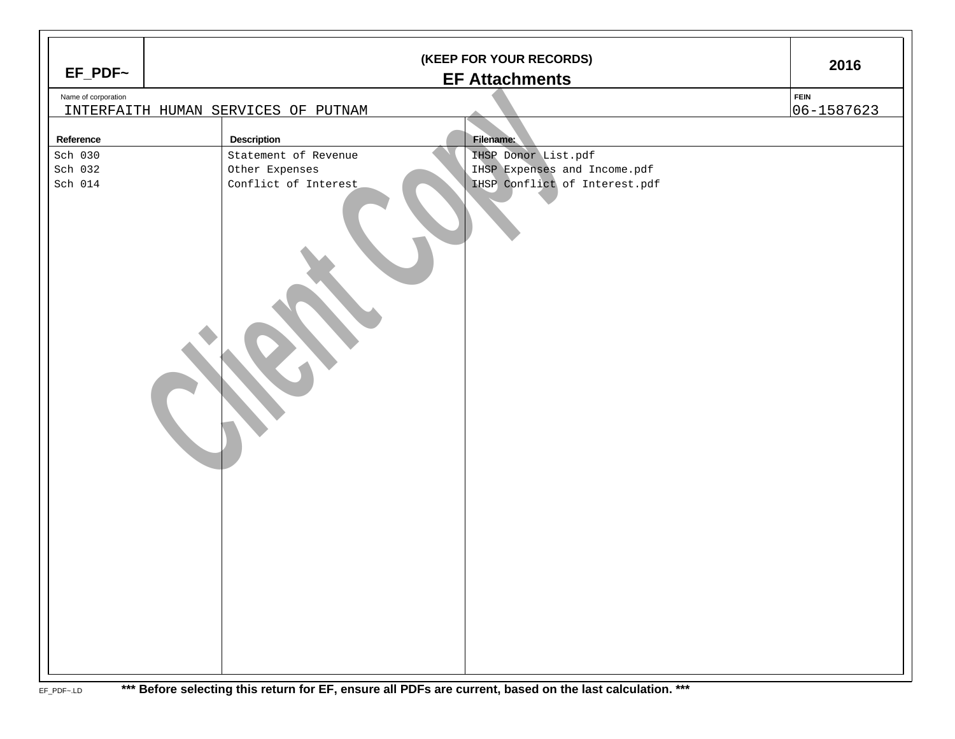|                     | (KEEP FOR YOUR RECORDS) |                                                       |             |  |  |  |  |  |
|---------------------|-------------------------|-------------------------------------------------------|-------------|--|--|--|--|--|
| $EF_PDF~$           | <b>EF Attachments</b>   |                                                       |             |  |  |  |  |  |
| Name of corporation |                         |                                                       | <b>FEIN</b> |  |  |  |  |  |
|                     |                         | INTERFAITH HUMAN SERVICES OF PUTNAM                   | 06-1587623  |  |  |  |  |  |
| Reference           |                         | <b>Description</b><br><b>Filename:</b>                |             |  |  |  |  |  |
| Sch 030             |                         | Statement of Revenue<br>IHSP Donor List.pdf           |             |  |  |  |  |  |
| Sch 032             |                         | IHSP Expenses and Income.pdf<br>Other Expenses        |             |  |  |  |  |  |
| Sch $014$           |                         | IHSP Conflict of Interest.pdf<br>Conflict of Interest |             |  |  |  |  |  |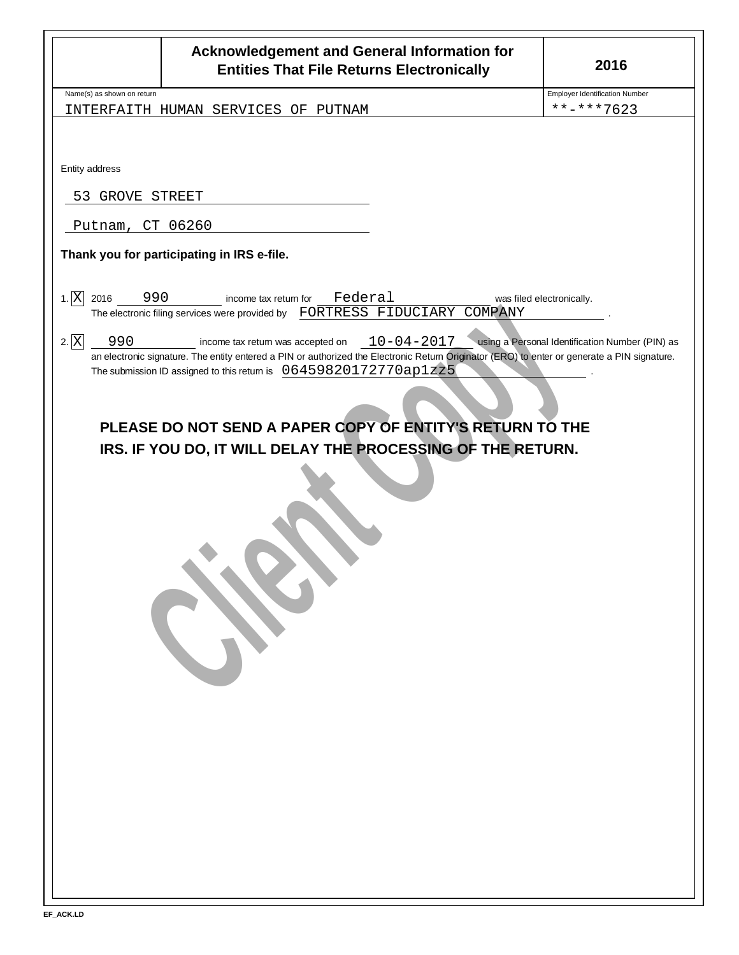|                                                 | <b>Acknowledgement and General Information for</b><br><b>Entities That File Returns Electronically</b>                                                                                                                                                                                                                                                                                                                                                                                                                | 2016                                                                         |
|-------------------------------------------------|-----------------------------------------------------------------------------------------------------------------------------------------------------------------------------------------------------------------------------------------------------------------------------------------------------------------------------------------------------------------------------------------------------------------------------------------------------------------------------------------------------------------------|------------------------------------------------------------------------------|
| Name(s) as shown on return                      | INTERFAITH HUMAN SERVICES OF PUTNAM                                                                                                                                                                                                                                                                                                                                                                                                                                                                                   | <b>Employer Identification Number</b><br>**-***7623                          |
| Entity address<br>53 GROVE STREET               |                                                                                                                                                                                                                                                                                                                                                                                                                                                                                                                       |                                                                              |
| Putnam, CT 06260                                |                                                                                                                                                                                                                                                                                                                                                                                                                                                                                                                       |                                                                              |
|                                                 | Thank you for participating in IRS e-file.                                                                                                                                                                                                                                                                                                                                                                                                                                                                            |                                                                              |
| 1. X <br>2016<br>990<br>$2.\overline{X}$<br>990 | Federal<br>income tax retum for<br>The electronic filing services were provided by FORTRESS FIDUCIARY COMPANY<br>$10 - 04 - 2017$<br>income tax return was accepted on<br>an electronic signature. The entity entered a PIN or authorized the Electronic Retum Originator (ERO) to enter or generate a PIN signature.<br>The submission ID assigned to this retum is 06459820172770ap1zz5<br>PLEASE DO NOT SEND A PAPER COPY OF ENTITY'S RETURN TO THE<br>IRS. IF YOU DO, IT WILL DELAY THE PROCESSING OF THE RETURN. | was filed electronically.<br>using a Personal Identification Number (PIN) as |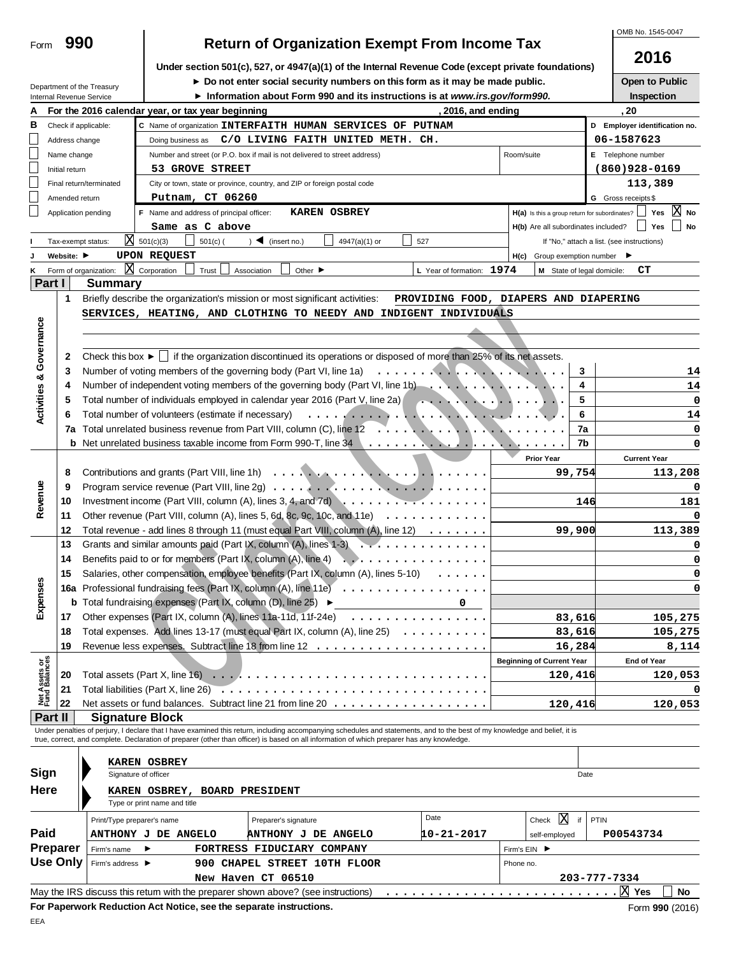|                                | 990                |                            |                                                                                             |                                                                                                                                                                            |                                       |                                                                                                                                                                            |            | OMB No. 1545-0047                          |
|--------------------------------|--------------------|----------------------------|---------------------------------------------------------------------------------------------|----------------------------------------------------------------------------------------------------------------------------------------------------------------------------|---------------------------------------|----------------------------------------------------------------------------------------------------------------------------------------------------------------------------|------------|--------------------------------------------|
| Form                           |                    |                            |                                                                                             | <b>Return of Organization Exempt From Income Tax</b>                                                                                                                       |                                       |                                                                                                                                                                            |            |                                            |
|                                |                    |                            |                                                                                             | Under section 501(c), 527, or 4947(a)(1) of the Internal Revenue Code (except private foundations)                                                                         |                                       |                                                                                                                                                                            |            | 2016                                       |
|                                |                    |                            |                                                                                             | Do not enter social security numbers on this form as it may be made public.                                                                                                |                                       |                                                                                                                                                                            |            | Open to Public                             |
|                                |                    | Department of the Treasury |                                                                                             | Information about Form 990 and its instructions is at www.irs.gov/form990.                                                                                                 |                                       |                                                                                                                                                                            |            | Inspection                                 |
|                                |                    | Internal Revenue Service   |                                                                                             |                                                                                                                                                                            |                                       |                                                                                                                                                                            |            |                                            |
|                                |                    |                            | For the 2016 calendar year, or tax year beginning                                           |                                                                                                                                                                            | , 2016, and ending                    |                                                                                                                                                                            |            | , 20                                       |
| в                              |                    | Check if applicable:       |                                                                                             | C Name of organization INTERFAITH HUMAN SERVICES OF PUTNAM                                                                                                                 |                                       |                                                                                                                                                                            |            | D Employer identification no.              |
|                                | Address change     |                            |                                                                                             | Doing business as C/O LIVING FAITH UNITED METH. CH.                                                                                                                        |                                       |                                                                                                                                                                            |            | 06-1587623                                 |
| L                              | Name change        |                            |                                                                                             | Number and street (or P.O. box if mail is not delivered to street address)                                                                                                 |                                       | Room/suite                                                                                                                                                                 |            | E Telephone number                         |
| L                              | Initial return     |                            | 53 GROVE STREET                                                                             |                                                                                                                                                                            |                                       |                                                                                                                                                                            |            | $(860)928 - 0169$                          |
|                                |                    | Final return/terminated    |                                                                                             | City or town, state or province, country, and ZIP or foreign postal code                                                                                                   |                                       |                                                                                                                                                                            |            | 113,389                                    |
|                                | Amended return     |                            | Putnam, CT 06260                                                                            |                                                                                                                                                                            |                                       |                                                                                                                                                                            |            | G Gross receipts \$                        |
|                                |                    | Application pending        | F Name and address of principal officer:                                                    | <b>KAREN OSBREY</b>                                                                                                                                                        |                                       | H(a) Is this a group return for subordinates?                                                                                                                              |            | Yes $ X $<br>No                            |
|                                |                    |                            | Same as C above                                                                             |                                                                                                                                                                            |                                       | H(b) Are all subordinates included?                                                                                                                                        |            | Yes<br>No                                  |
|                                | Tax-exempt status: |                            | $3$ 501(c)(3)<br>$501(c)$ (                                                                 | $\triangleleft$ (insert no.)<br>4947(a)(1) or                                                                                                                              | 527                                   |                                                                                                                                                                            |            | If "No," attach a list. (see instructions) |
|                                | Website: ▶         |                            | <b>UPON REQUEST</b>                                                                         |                                                                                                                                                                            |                                       | Group exemption number $\blacktriangleright$<br>H(c)                                                                                                                       |            |                                            |
| κ                              |                    | Form of organization:      | $\overline{\mathbf{X}}$ Corporation<br>Trust                                                | Association<br>Other $\blacktriangleright$                                                                                                                                 | L Year of formation: 1974             | M State of legal domicile:                                                                                                                                                 |            | CТ                                         |
| Part I                         |                    | <b>Summary</b>             |                                                                                             |                                                                                                                                                                            |                                       |                                                                                                                                                                            |            |                                            |
|                                | 1                  |                            |                                                                                             |                                                                                                                                                                            |                                       |                                                                                                                                                                            |            |                                            |
|                                |                    |                            |                                                                                             | Briefly describe the organization's mission or most significant activities:                                                                                                | PROVIDING FOOD, DIAPERS AND DIAPERING |                                                                                                                                                                            |            |                                            |
|                                |                    |                            |                                                                                             | SERVICES, HEATING, AND CLOTHING TO NEEDY AND INDIGENT INDIVIDUALS                                                                                                          |                                       |                                                                                                                                                                            |            |                                            |
|                                |                    |                            |                                                                                             |                                                                                                                                                                            |                                       |                                                                                                                                                                            |            |                                            |
|                                |                    |                            |                                                                                             |                                                                                                                                                                            |                                       |                                                                                                                                                                            |            |                                            |
| Activities & Governance        | 2                  |                            |                                                                                             | Check this box $\blacktriangleright$ if the organization discontinued its operations or disposed of more than 25% of its net assets.                                       |                                       |                                                                                                                                                                            |            |                                            |
|                                | 3                  |                            |                                                                                             | Number of voting members of the governing body (Part VI, line 1a)                                                                                                          |                                       |                                                                                                                                                                            | 3          | 14                                         |
|                                | 4                  |                            |                                                                                             | Number of independent voting members of the governing body (Part VI, line 1b)                                                                                              |                                       |                                                                                                                                                                            | 4          | 14                                         |
|                                | 5                  |                            |                                                                                             | Total number of individuals employed in calendar year 2016 (Part V, line 2a)                                                                                               |                                       |                                                                                                                                                                            | 5          | 0                                          |
|                                | 6                  |                            |                                                                                             | Total number of volunteers (estimate if necessary) enterpretation of the state of the state of volunteers (estimate if necessary)                                          |                                       |                                                                                                                                                                            | 6          | 14                                         |
|                                |                    |                            |                                                                                             | 7a Total unrelated business revenue from Part VIII, column (C), line 12                                                                                                    |                                       | $\mathbf{v} = \mathbf{v}_1 \mathbf{v}_2 \mathbf{v}_3 \mathbf{v}_4 \mathbf{v}_5 \mathbf{v}_6 \mathbf{v}_7 \mathbf{v}_8 \mathbf{v}_9 \mathbf{v}_8 \mathbf{v}_9 \mathbf{v}_9$ | 7a         | 0                                          |
|                                |                    |                            |                                                                                             |                                                                                                                                                                            |                                       |                                                                                                                                                                            | 7b         | 0                                          |
|                                |                    |                            |                                                                                             |                                                                                                                                                                            |                                       | <b>Prior Year</b>                                                                                                                                                          |            | <b>Current Year</b>                        |
|                                | 8                  |                            | 99,754                                                                                      | 113,208                                                                                                                                                                    |                                       |                                                                                                                                                                            |            |                                            |
|                                | 9                  |                            |                                                                                             |                                                                                                                                                                            |                                       |                                                                                                                                                                            |            |                                            |
| Revenue                        |                    |                            |                                                                                             | Program service revenue (Part VIII, line 2g) $\ldots \ldots \ldots \ldots \ldots \ldots \ldots \ldots$                                                                     |                                       |                                                                                                                                                                            |            | 0                                          |
|                                | 10                 |                            |                                                                                             | Investment income (Part VIII, column (A), lines 3, 4, and 7d) $\ldots \ldots \ldots \ldots \ldots \ldots$                                                                  |                                       |                                                                                                                                                                            | 146        | 181                                        |
|                                | 11                 |                            |                                                                                             | Other revenue (Part VIII, column (A), lines 5, 6d, 8c, 9c, 10c, and 11e) $\ldots \ldots \ldots \ldots$                                                                     |                                       |                                                                                                                                                                            |            | 0                                          |
|                                | 12                 |                            |                                                                                             | Total revenue - add lines 8 through 11 (must equal Part VIII, column (A), line 12)                                                                                         |                                       |                                                                                                                                                                            | 99,900     | 113,389                                    |
|                                | 13                 |                            |                                                                                             | Grants and similar amounts paid (Part IX, column (A), lines $1-3$                                                                                                          |                                       |                                                                                                                                                                            |            | 0                                          |
|                                | 14                 |                            | Benefits paid to or for members (Part IX, column (A), line 4)                               | .                                                                                                                                                                          |                                       |                                                                                                                                                                            |            | 0                                          |
|                                | 15                 |                            |                                                                                             | Salaries, other compensation, employee benefits (Part IX, column (A), lines 5-10)                                                                                          |                                       |                                                                                                                                                                            |            | 0                                          |
| Expenses                       |                    |                            |                                                                                             | 16a Professional fundraising fees (Part IX, column (A), line 11e)                                                                                                          |                                       |                                                                                                                                                                            |            | 0                                          |
|                                |                    |                            | <b>b</b> Total fundraising expenses (Part IX, column $(D)$ , line 25) $\blacktriangleright$ |                                                                                                                                                                            | $\mathbf 0$                           |                                                                                                                                                                            |            |                                            |
|                                | 17                 |                            |                                                                                             | Other expenses (Part IX, column (A), lines 11a-11d, 11f-24e)                                                                                                               |                                       |                                                                                                                                                                            | 83,616     | 105,275                                    |
|                                | 18                 |                            |                                                                                             | Total expenses. Add lines 13-17 (must equal Part IX, column (A), line 25)                                                                                                  |                                       |                                                                                                                                                                            | 83,616     | 105,275                                    |
|                                | 19                 |                            |                                                                                             |                                                                                                                                                                            |                                       |                                                                                                                                                                            | 16,284     | 8,114                                      |
|                                |                    |                            |                                                                                             |                                                                                                                                                                            |                                       | <b>Beginning of Current Year</b>                                                                                                                                           |            | <b>End of Year</b>                         |
| Net Assets or<br>Fund Balances | 20                 |                            |                                                                                             |                                                                                                                                                                            |                                       |                                                                                                                                                                            | 120,416    | 120,053                                    |
|                                | 21                 |                            |                                                                                             |                                                                                                                                                                            |                                       |                                                                                                                                                                            |            | 0                                          |
|                                | 22                 |                            |                                                                                             |                                                                                                                                                                            |                                       |                                                                                                                                                                            | 120,416    | 120,053                                    |
| Part II                        |                    |                            | <b>Signature Block</b>                                                                      |                                                                                                                                                                            |                                       |                                                                                                                                                                            |            |                                            |
|                                |                    |                            |                                                                                             | Under penalties of perjury, I declare that I have examined this return, including accompanying schedules and statements, and to the best of my knowledge and belief, it is |                                       |                                                                                                                                                                            |            |                                            |
|                                |                    |                            |                                                                                             | true, correct, and complete. Declaration of preparer (other than officer) is based on all information of which preparer has any knowledge.                                 |                                       |                                                                                                                                                                            |            |                                            |
|                                |                    |                            |                                                                                             |                                                                                                                                                                            |                                       |                                                                                                                                                                            |            |                                            |
| Sign                           |                    |                            | <b>KAREN OSBREY</b>                                                                         |                                                                                                                                                                            |                                       |                                                                                                                                                                            |            |                                            |
|                                |                    |                            | Signature of officer                                                                        |                                                                                                                                                                            |                                       |                                                                                                                                                                            | Date       |                                            |
| Here                           |                    |                            | KAREN OSBREY, BOARD PRESIDENT                                                               |                                                                                                                                                                            |                                       |                                                                                                                                                                            |            |                                            |
|                                |                    |                            | Type or print name and title                                                                |                                                                                                                                                                            |                                       |                                                                                                                                                                            |            |                                            |
|                                |                    | Print/Type preparer's name |                                                                                             | Preparer's signature                                                                                                                                                       | Date                                  | $\boldsymbol{\mathrm{X}}$<br>Check                                                                                                                                         | if<br>PTIN |                                            |
| Paid                           |                    |                            | ANTHONY J DE ANGELO                                                                         | <b>ANTHONY J DE ANGELO</b>                                                                                                                                                 | 10-21-2017                            | self-employed                                                                                                                                                              |            | P00543734                                  |
|                                | Preparer           | Firm's name                | FORTRESS FIDUCIARY COMPANY<br>▶                                                             |                                                                                                                                                                            |                                       |                                                                                                                                                                            |            |                                            |
|                                | <b>Use Only</b>    | Firm's address ▶           |                                                                                             | 900 CHAPEL STREET 10TH FLOOR                                                                                                                                               |                                       | Phone no.                                                                                                                                                                  |            |                                            |
|                                |                    |                            |                                                                                             | New Haven CT 06510                                                                                                                                                         |                                       |                                                                                                                                                                            |            | 203-777-7334                               |
|                                |                    |                            |                                                                                             | May the IRS discuss this return with the preparer shown above? (see instructions)                                                                                          |                                       |                                                                                                                                                                            |            | $X$ Yes<br>No                              |
|                                |                    |                            | For Paperwork Reduction Act Notice, see the separate instructions.                          |                                                                                                                                                                            |                                       |                                                                                                                                                                            |            | Form 990 (2016)                            |
|                                |                    |                            |                                                                                             |                                                                                                                                                                            |                                       |                                                                                                                                                                            |            |                                            |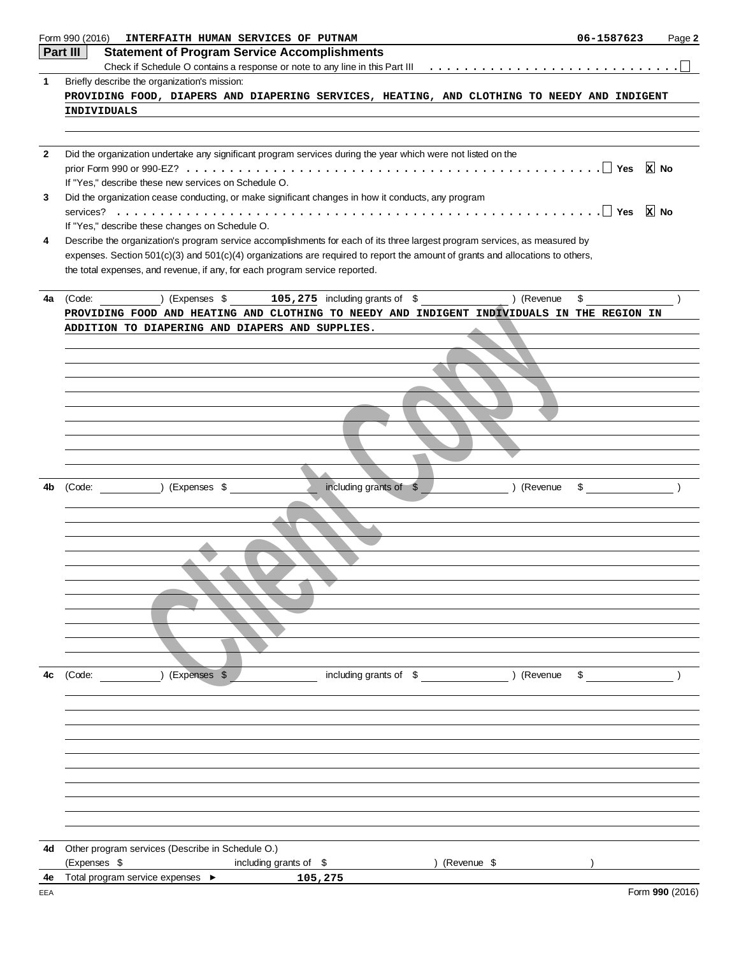|              | Form 990 (2016)<br>INTERFAITH HUMAN SERVICES OF PUTNAM                                                                         | 06-1587623    | Page 2          |
|--------------|--------------------------------------------------------------------------------------------------------------------------------|---------------|-----------------|
|              | Part III<br><b>Statement of Program Service Accomplishments</b>                                                                |               |                 |
|              |                                                                                                                                |               |                 |
| $\mathbf 1$  | Briefly describe the organization's mission:                                                                                   |               |                 |
|              | PROVIDING FOOD, DIAPERS AND DIAPERING SERVICES, HEATING, AND CLOTHING TO NEEDY AND INDIGENT                                    |               |                 |
|              | <b>INDIVIDUALS</b>                                                                                                             |               |                 |
|              |                                                                                                                                |               |                 |
|              |                                                                                                                                |               |                 |
| $\mathbf{2}$ | Did the organization undertake any significant program services during the year which were not listed on the                   |               |                 |
|              | If "Yes," describe these new services on Schedule O.                                                                           |               |                 |
| 3            | Did the organization cease conducting, or make significant changes in how it conducts, any program                             |               |                 |
|              |                                                                                                                                |               |                 |
|              | If "Yes," describe these changes on Schedule O.                                                                                |               |                 |
| 4            | Describe the organization's program service accomplishments for each of its three largest program services, as measured by     |               |                 |
|              | expenses. Section 501(c)(3) and 501(c)(4) organizations are required to report the amount of grants and allocations to others, |               |                 |
|              | the total expenses, and revenue, if any, for each program service reported.                                                    |               |                 |
|              |                                                                                                                                |               |                 |
| 4a           | ) (Expenses $$$ 105, 275 including grants of $$$<br>) (Revenue<br>(Code:                                                       | \$            |                 |
|              | PROVIDING FOOD AND HEATING AND CLOTHING TO NEEDY AND INDIGENT INDIVIDUALS IN THE REGION IN                                     |               |                 |
|              | ADDITION TO DIAPERING AND DIAPERS AND SUPPLIES.                                                                                |               |                 |
|              |                                                                                                                                |               |                 |
|              |                                                                                                                                |               |                 |
|              |                                                                                                                                |               |                 |
|              |                                                                                                                                |               |                 |
|              |                                                                                                                                |               |                 |
|              |                                                                                                                                |               |                 |
|              |                                                                                                                                |               |                 |
|              |                                                                                                                                |               |                 |
|              |                                                                                                                                |               |                 |
| 4b           | including grants of \$<br>(Code: ) (Expenses \$<br>) (Revenue                                                                  | $\frac{1}{2}$ |                 |
|              |                                                                                                                                |               |                 |
|              |                                                                                                                                |               |                 |
|              |                                                                                                                                |               |                 |
|              |                                                                                                                                |               |                 |
|              |                                                                                                                                |               |                 |
|              |                                                                                                                                |               |                 |
|              |                                                                                                                                |               |                 |
|              |                                                                                                                                |               |                 |
|              |                                                                                                                                |               |                 |
|              |                                                                                                                                |               |                 |
|              |                                                                                                                                |               |                 |
| 4c           | (Expenses \$<br>including grants of \$<br>) (Revenue<br>(Code:                                                                 | \$            |                 |
|              |                                                                                                                                |               |                 |
|              |                                                                                                                                |               |                 |
|              |                                                                                                                                |               |                 |
|              |                                                                                                                                |               |                 |
|              |                                                                                                                                |               |                 |
|              |                                                                                                                                |               |                 |
|              |                                                                                                                                |               |                 |
|              |                                                                                                                                |               |                 |
|              |                                                                                                                                |               |                 |
|              |                                                                                                                                |               |                 |
| 4d           | Other program services (Describe in Schedule O.)                                                                               |               |                 |
|              | (Expenses \$<br>including grants of \$<br>) (Revenue \$                                                                        |               |                 |
| 4e           | Total program service expenses ▶<br>105,275                                                                                    |               |                 |
| EEA          |                                                                                                                                |               | Form 990 (2016) |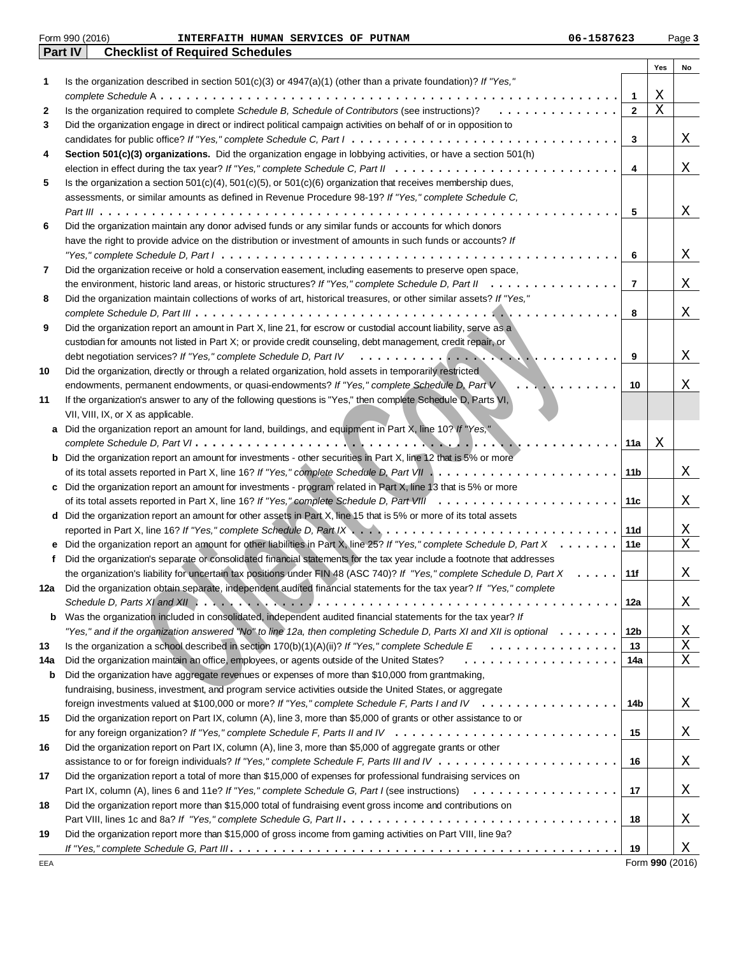|     | Form 990 (2016)<br>06-1587623<br>INTERFAITH HUMAN SERVICES OF PUTNAM                                                                                                                              |                |     | Page 3          |
|-----|---------------------------------------------------------------------------------------------------------------------------------------------------------------------------------------------------|----------------|-----|-----------------|
|     | Part IV<br><b>Checklist of Required Schedules</b>                                                                                                                                                 |                |     |                 |
|     |                                                                                                                                                                                                   |                | Yes | No              |
| 1   | Is the organization described in section $501(c)(3)$ or $4947(a)(1)$ (other than a private foundation)? If "Yes,"                                                                                 |                |     |                 |
|     |                                                                                                                                                                                                   | 1              | Χ   |                 |
| 2   | Is the organization required to complete Schedule B, Schedule of Contributors (see instructions)?<br>.                                                                                            | $\mathbf{2}$   | Χ   |                 |
| 3   | Did the organization engage in direct or indirect political campaign activities on behalf of or in opposition to                                                                                  |                |     |                 |
|     |                                                                                                                                                                                                   | 3              |     | X               |
| 4   | Section 501(c)(3) organizations. Did the organization engage in lobbying activities, or have a section 501(h)                                                                                     |                |     |                 |
|     |                                                                                                                                                                                                   | 4              |     | Χ               |
| 5   | Is the organization a section $501(c)(4)$ , $501(c)(5)$ , or $501(c)(6)$ organization that receives membership dues,                                                                              |                |     |                 |
|     | assessments, or similar amounts as defined in Revenue Procedure 98-19? If "Yes," complete Schedule C,                                                                                             |                |     |                 |
|     |                                                                                                                                                                                                   | 5              |     | Χ               |
| 6   | Did the organization maintain any donor advised funds or any similar funds or accounts for which donors                                                                                           |                |     |                 |
|     | have the right to provide advice on the distribution or investment of amounts in such funds or accounts? If                                                                                       |                |     |                 |
|     |                                                                                                                                                                                                   | 6              |     |                 |
|     |                                                                                                                                                                                                   |                |     | Χ               |
| 7   | Did the organization receive or hold a conservation easement, including easements to preserve open space,                                                                                         |                |     |                 |
|     |                                                                                                                                                                                                   | $\overline{7}$ |     | X               |
| 8   | Did the organization maintain collections of works of art, historical treasures, or other similar assets? If "Yes,"                                                                               |                |     |                 |
|     |                                                                                                                                                                                                   | 8              |     | Χ               |
| 9   | Did the organization report an amount in Part X, line 21, for escrow or custodial account liability, serve as a                                                                                   |                |     |                 |
|     | custodian for amounts not listed in Part X; or provide credit counseling, debt management, credit repair, or                                                                                      |                |     |                 |
|     | debt negotiation services? If "Yes," complete Schedule D, Part IV                                                                                                                                 | 9              |     | Χ               |
| 10  | Did the organization, directly or through a related organization, hold assets in temporarily restricted                                                                                           |                |     |                 |
|     | endowments, permanent endowments, or quasi-endowments? If "Yes," complete Schedule D, Part V<br>.                                                                                                 | 10             |     | X               |
| 11  | If the organization's answer to any of the following questions is "Yes," then complete Schedule D, Parts VI,                                                                                      |                |     |                 |
|     | VII, VIII, IX, or X as applicable.                                                                                                                                                                |                |     |                 |
| a   | Did the organization report an amount for land, buildings, and equipment in Part X, line 10? If "Yes,"                                                                                            |                |     |                 |
|     |                                                                                                                                                                                                   | 11a            | Χ   |                 |
|     | <b>b</b> Did the organization report an amount for investments - other securities in Part X, line 12 that is 5% or more                                                                           |                |     |                 |
|     |                                                                                                                                                                                                   | 11b            |     | Χ               |
|     | c Did the organization report an amount for investments - program related in Part X, line 13 that is 5% or more                                                                                   |                |     |                 |
|     |                                                                                                                                                                                                   | 11c            |     | X               |
|     | d Did the organization report an amount for other assets in Part X, line 15 that is 5% or more of its total assets                                                                                |                |     |                 |
|     |                                                                                                                                                                                                   | 11d            |     | X               |
|     | Did the organization report an amount for other liabilities in Part X, line 25? If "Yes," complete Schedule D, Part X                                                                             | 11e            |     | X               |
|     | Did the organization's separate or consolidated financial statements for the tax year include a footnote that addresses                                                                           |                |     |                 |
|     | the organization's liability for uncertain tax positions under FIN 48 (ASC 740)? If "Yes," complete Schedule D, Part X                                                                            | 11f            |     | Χ               |
| 12a | Did the organization obtain separate, independent audited financial statements for the tax year? If "Yes," complete                                                                               |                |     |                 |
|     | Schedule D, Parts XI and XII $\ldots$ , $\ldots$ , $\ldots$ , $\ldots$ , $\ldots$ , $\ldots$ , $\ldots$ , $\ldots$ , $\ldots$ , $\ldots$ , $\ldots$ , $\ldots$ , $\ldots$ , $\ldots$ , $\ldots$ , | 12a            |     | X               |
| b   | Was the organization included in consolidated, independent audited financial statements for the tax year? If                                                                                      |                |     |                 |
|     | "Yes," and if the organization answered "No" to line 12a, then completing Schedule D, Parts XI and XII is optional                                                                                | 12b            |     | Χ               |
|     |                                                                                                                                                                                                   | 13             |     | Χ               |
| 13  |                                                                                                                                                                                                   |                |     |                 |
| 14a | Did the organization maintain an office, employees, or agents outside of the United States?<br>.                                                                                                  | 14a            |     | Χ               |
| b   | Did the organization have aggregate revenues or expenses of more than \$10,000 from grantmaking,                                                                                                  |                |     |                 |
|     | fundraising, business, investment, and program service activities outside the United States, or aggregate                                                                                         |                |     |                 |
|     | foreign investments valued at \$100,000 or more? If "Yes," complete Schedule F, Parts I and IV                                                                                                    | 14b            |     | X               |
| 15  | Did the organization report on Part IX, column (A), line 3, more than \$5,000 of grants or other assistance to or                                                                                 |                |     |                 |
|     |                                                                                                                                                                                                   | 15             |     | X               |
| 16  | Did the organization report on Part IX, column (A), line 3, more than \$5,000 of aggregate grants or other                                                                                        |                |     |                 |
|     |                                                                                                                                                                                                   | 16             |     | Χ               |
| 17  | Did the organization report a total of more than \$15,000 of expenses for professional fundraising services on                                                                                    |                |     |                 |
|     |                                                                                                                                                                                                   | 17             |     | Χ               |
| 18  | Did the organization report more than \$15,000 total of fundraising event gross income and contributions on                                                                                       |                |     |                 |
|     |                                                                                                                                                                                                   | 18             |     | X               |
| 19  | Did the organization report more than \$15,000 of gross income from gaming activities on Part VIII, line 9a?                                                                                      |                |     |                 |
|     |                                                                                                                                                                                                   | 19             |     | Χ               |
| EEA |                                                                                                                                                                                                   |                |     | Form 990 (2016) |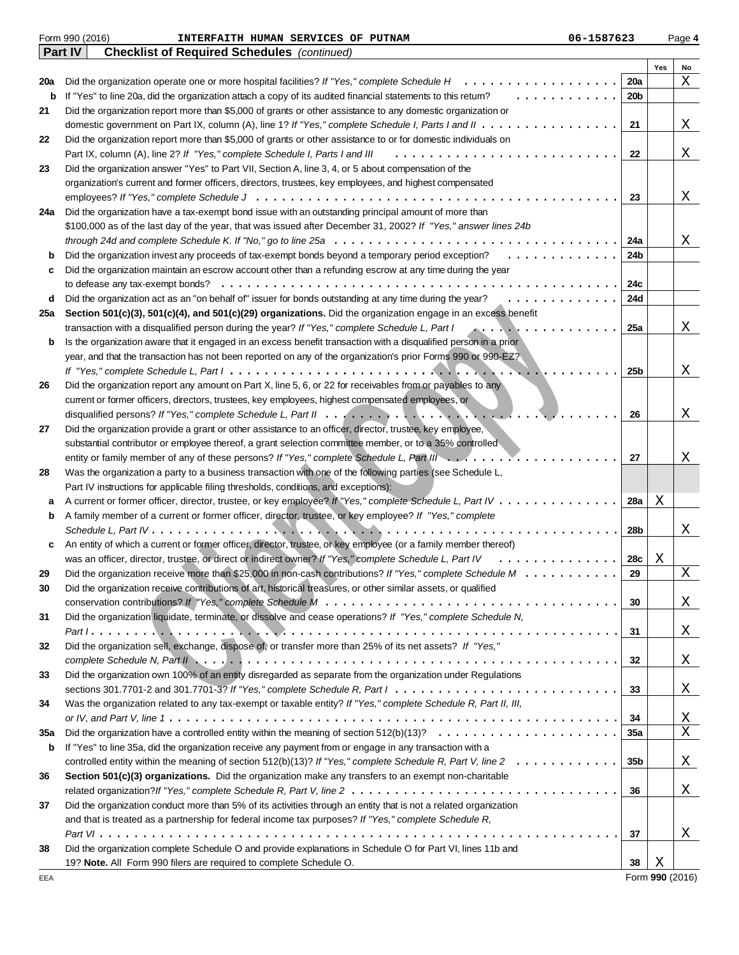|     | Form 990 (2016)<br>06-1587623<br>INTERFAITH HUMAN SERVICES OF PUTNAM                                                                                   |                 |     | Page 4 |
|-----|--------------------------------------------------------------------------------------------------------------------------------------------------------|-----------------|-----|--------|
|     | Part IV<br><b>Checklist of Required Schedules</b> (continued)                                                                                          |                 |     |        |
|     |                                                                                                                                                        |                 | Yes | No     |
| 20a | Did the organization operate one or more hospital facilities? If "Yes," complete Schedule H<br>.                                                       | 20a             |     | Χ      |
| b   | If "Yes" to line 20a, did the organization attach a copy of its audited financial statements to this retum?<br>$\mathbf{r}$                            | 20 <sub>b</sub> |     |        |
| 21  | Did the organization report more than \$5,000 of grants or other assistance to any domestic organization or                                            |                 |     |        |
|     |                                                                                                                                                        | 21              |     | Χ      |
| 22  | Did the organization report more than \$5,000 of grants or other assistance to or for domestic individuals on                                          |                 |     |        |
|     | Part IX, column (A), line 2? If "Yes," complete Schedule I, Parts I and III                                                                            | 22              |     | Χ      |
| 23  | Did the organization answer "Yes" to Part VII, Section A, line 3, 4, or 5 about compensation of the                                                    |                 |     |        |
|     | organization's current and former officers, directors, trustees, key employees, and highest compensated                                                |                 |     |        |
|     |                                                                                                                                                        | 23              |     | Χ      |
| 24a | Did the organization have a tax-exempt bond issue with an outstanding principal amount of more than                                                    |                 |     |        |
|     | \$100,000 as of the last day of the year, that was issued after December 31, 2002? If "Yes," answer lines 24b                                          |                 |     |        |
|     | through 24d and complete Schedule K. If "No," go to line 25a $\dots \dots \dots \dots \dots \dots \dots \dots \dots \dots \dots \dots \dots \dots$     | 24a             |     | Χ      |
| b   | Did the organization invest any proceeds of tax-exempt bonds beyond a temporary period exception?<br>.                                                 | 24b             |     |        |
|     | Did the organization maintain an escrow account other than a refunding escrow at any time during the year                                              |                 |     |        |
| c   |                                                                                                                                                        |                 |     |        |
|     | to defease any tax-exempt bonds?                                                                                                                       | 24c             |     |        |
| d   | Did the organization act as an "on behalf of" issuer for bonds outstanding at any time during the year?<br>.                                           | 24d             |     |        |
| 25a | Section 501(c)(3), 501(c)(4), and 501(c)(29) organizations. Did the organization engage in an excess benefit                                           |                 |     |        |
|     | transaction with a disqualified person during the year? If "Yes," complete Schedule L, Part I<br>.                                                     | 25a             |     | Χ      |
| b   | Is the organization aware that it engaged in an excess benefit transaction with a disqualified person in a prior                                       |                 |     |        |
|     | year, and that the transaction has not been reported on any of the organization's prior Forms 990 or 990-EZ?                                           |                 |     |        |
|     |                                                                                                                                                        | 25b             |     | Χ      |
| 26  | Did the organization report any amount on Part X, line 5, 6, or 22 for receivables from or payables to any                                             |                 |     |        |
|     | current or former officers, directors, trustees, key employees, highest compensated employees, or                                                      |                 |     |        |
|     |                                                                                                                                                        | 26              |     | Χ      |
| 27  | Did the organization provide a grant or other assistance to an officer, director, trustee, key employee,                                               |                 |     |        |
|     | substantial contributor or employee thereof, a grant selection committee member, or to a 35% controlled                                                |                 |     |        |
|     | entity or family member of any of these persons? If "Yes," complete Schedule L, Part III                                                               | 27              |     | Χ      |
| 28  | Was the organization a party to a business transaction with one of the following parties (see Schedule L,                                              |                 |     |        |
|     | Part IV instructions for applicable filing thresholds, conditions, and exceptions):                                                                    |                 |     |        |
| a   | A current or former officer, director, trustee, or key employee? If "Yes," complete Schedule L, Part IV                                                | 28a             | Χ   |        |
| b   | A family member of a current or former officer, director, trustee, or key employee? If "Yes," complete                                                 |                 |     |        |
|     |                                                                                                                                                        | 28b             |     | Χ      |
| c   | An entity of which a current or former officer, director, trustee, or key employee (or a family member thereof)                                        |                 |     |        |
|     | was an officer, director, trustee, or direct or indirect owner? If "Yes," complete Schedule L, Part IV<br>.                                            | 28c             | Х   |        |
| 29  | Did the organization receive more than \$25,000 in non-cash contributions? If "Yes," complete Schedule $M \ldots$ .                                    | 29              |     | Χ      |
| 30  | Did the organization receive contributions of art, historical treasures, or other similar assets, or qualified                                         |                 |     |        |
|     | conservation contributions? If "Yes," complete Schedule M $\ldots \ldots \ldots \ldots \ldots \ldots \ldots \ldots \ldots \ldots \ldots \ldots \ldots$ | 30              |     | X      |
| 31  | Did the organization liquidate, terminate, or dissolve and cease operations? If "Yes," complete Schedule N,                                            |                 |     |        |
|     |                                                                                                                                                        | 31              |     | Χ      |
| 32  | Did the organization sell, exchange, dispose of, or transfer more than 25% of its net assets? If "Yes,"                                                |                 |     |        |
|     |                                                                                                                                                        |                 |     |        |
|     |                                                                                                                                                        | 32              |     | Χ      |
| 33  | Did the organization own 100% of an entity disregarded as separate from the organization under Regulations                                             |                 |     |        |
|     | sections 301.7701-2 and 301.7701-3? If "Yes," complete Schedule R, Part $1, \ldots, \ldots, \ldots, \ldots, \ldots, \ldots, \ldots, \ldots, \ldots$    | 33              |     | Χ      |
| 34  | Was the organization related to any tax-exempt or taxable entity? If "Yes," complete Schedule R, Part II, III,                                         |                 |     |        |
|     |                                                                                                                                                        | 34              |     | Χ      |
| 35a | Did the organization have a controlled entity within the meaning of section $512(b)(13)? \ldots \ldots \ldots \ldots \ldots \ldots \ldots$             | 35a             |     | Χ      |
| b   | If "Yes" to line 35a, did the organization receive any payment from or engage in any transaction with a                                                |                 |     |        |
|     | controlled entity within the meaning of section $512(b)(13)$ ? If "Yes," complete Schedule R, Part V, line $2 \ldots \ldots \ldots \ldots$             | 35b             |     | X      |
| 36  | Section 501(c)(3) organizations. Did the organization make any transfers to an exempt non-charitable                                                   |                 |     |        |
|     |                                                                                                                                                        | 36              |     | Χ      |
| 37  | Did the organization conduct more than 5% of its activities through an entity that is not a related organization                                       |                 |     |        |
|     | and that is treated as a partnership for federal income tax purposes? If "Yes," complete Schedule R,                                                   |                 |     |        |
|     |                                                                                                                                                        | 37              |     | Χ      |
| 38  | Did the organization complete Schedule O and provide explanations in Schedule O for Part VI, lines 11b and                                             |                 |     |        |
|     | 19? Note. All Form 990 filers are required to complete Schedule O.                                                                                     | 38              | Χ   |        |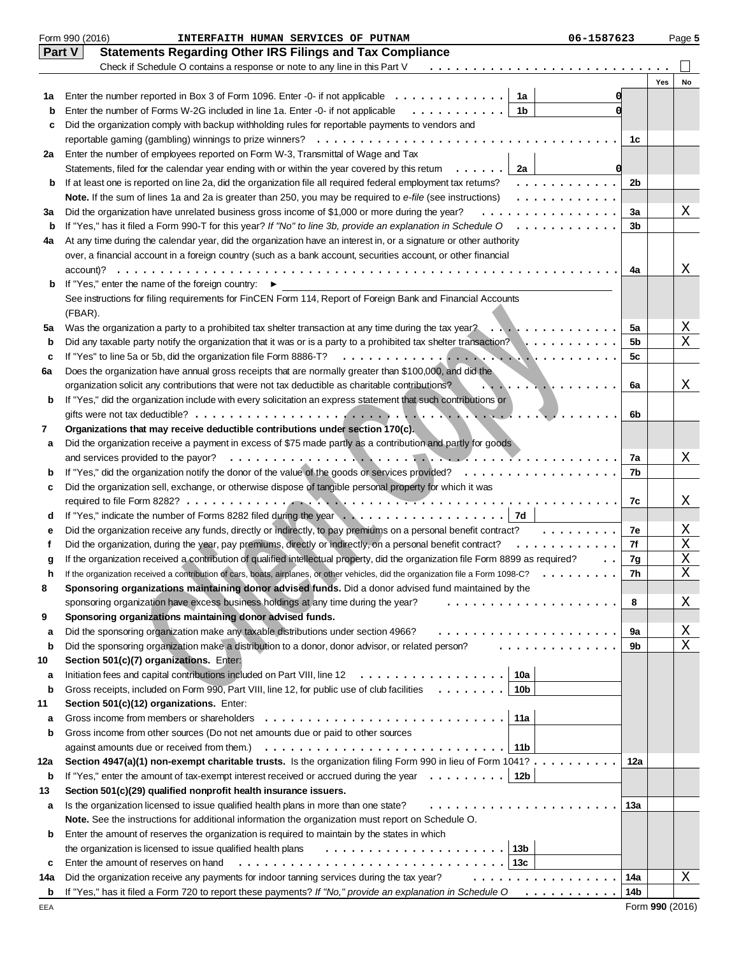|        | Form 990 (2016)<br>06-1587623<br>INTERFAITH HUMAN SERVICES OF PUTNAM                                                                                                                                             |     |     | Page 5 |
|--------|------------------------------------------------------------------------------------------------------------------------------------------------------------------------------------------------------------------|-----|-----|--------|
|        | <b>Statements Regarding Other IRS Filings and Tax Compliance</b><br><b>Part V</b>                                                                                                                                |     |     |        |
|        | Check if Schedule O contains a response or note to any line in this Part V                                                                                                                                       |     |     |        |
|        |                                                                                                                                                                                                                  |     | Yes | No     |
| 1a     | Enter the number reported in Box 3 of Form 1096. Enter -0- if not applicable $\dots \dots \dots \dots$<br>1a                                                                                                     |     |     |        |
| b      | Enter the number of Forms W-2G included in line 1a. Enter -0- if not applicable<br>1b<br>.                                                                                                                       |     |     |        |
| c      | Did the organization comply with backup withholding rules for reportable payments to vendors and                                                                                                                 |     |     |        |
|        | reportable gaming (gambling) winnings to prize winners?                                                                                                                                                          | 1c  |     |        |
| 2a     | Enter the number of employees reported on Form W-3, Transmittal of Wage and Tax                                                                                                                                  |     |     |        |
|        | Statements, filed for the calendar year ending with or within the year covered by this retum<br>2a                                                                                                               | 0   |     |        |
| b      | If at least one is reported on line 2a, did the organization file all required federal employment tax retums?<br>.                                                                                               | 2b  |     |        |
|        | Note. If the sum of lines 1a and 2a is greater than 250, you may be required to e-file (see instructions)<br>.                                                                                                   |     |     |        |
| За     | Did the organization have unrelated business gross income of \$1,000 or more during the year?<br>.                                                                                                               | 3a  |     | Χ      |
| b      | If "Yes," has it filed a Form 990-T for this year? If "No" to line 3b, provide an explanation in Schedule O $\ldots \ldots \ldots$                                                                               | 3b  |     |        |
| 4a     | At any time during the calendar year, did the organization have an interest in, or a signature or other authority                                                                                                |     |     |        |
|        | over, a financial account in a foreign country (such as a bank account, securities account, or other financial                                                                                                   |     |     |        |
|        | account)?                                                                                                                                                                                                        | 4a  |     | Χ      |
| b      | If "Yes," enter the name of the foreign country: ▶                                                                                                                                                               |     |     |        |
|        | See instructions for filing requirements for FinCEN Form 114, Report of Foreign Bank and Financial Accounts                                                                                                      |     |     |        |
|        | (FBAR).                                                                                                                                                                                                          |     |     |        |
| 5a     | Was the organization a party to a prohibited tax shelter transaction at any time during the tax year? $\ldots \ldots \ldots$                                                                                     | 5a  |     | Χ      |
| b      | Did any taxable party notify the organization that it was or is a party to a prohibited tax shelter transaction? $\ldots \ldots \ldots$                                                                          | 5b  |     | X      |
| c      | If "Yes" to line 5a or 5b, did the organization file Form 8886-T?                                                                                                                                                | 5с  |     |        |
| 6a     | Does the organization have annual gross receipts that are normally greater than \$100,000, and did the                                                                                                           |     |     |        |
|        | organization solicit any contributions that were not tax deductible as charitable contributions?<br>. <i>. .</i> .                                                                                               | 6a  |     | Χ      |
| b      | If "Yes," did the organization include with every solicitation an express statement that such contributions or                                                                                                   |     |     |        |
|        |                                                                                                                                                                                                                  | 6b  |     |        |
| 7      | Organizations that may receive deductible contributions under section 170(c).                                                                                                                                    |     |     |        |
| а      | Did the organization receive a payment in excess of \$75 made partly as a contribution and partly for goods                                                                                                      |     |     |        |
|        | and services provided to the payor?                                                                                                                                                                              | 7a  |     | Χ      |
| b      | If "Yes," did the organization notify the donor of the value of the goods or services provided?<br>.<br>Did the organization sell, exchange, or otherwise dispose of tangible personal property for which it was | 7b  |     |        |
| с      |                                                                                                                                                                                                                  |     |     |        |
|        | If "Yes," indicate the number of Forms 8282 filed during the year $\ldots \ldots \ldots \ldots \ldots \ldots$                                                                                                    | 7c  |     | Χ      |
| d      | Did the organization receive any funds, directly or indirectly, to pay premiums on a personal benefit contract?<br>.                                                                                             | 7e  |     | Χ      |
| е<br>f | Did the organization, during the year, pay premiums, directly or indirectly, on a personal benefit contract?<br>.                                                                                                | 7f  |     | Χ      |
|        | If the organization received a contribution of qualified intellectual property, did the organization file Form 8899 as required?                                                                                 | 7g  |     | X      |
| g      | If the organization received a contribution of cars, boats, airplanes, or other vehicles, did the organization file a Form 1098-C?                                                                               | 7h  |     | X      |
| 8      | Sponsoring organizations maintaining donor advised funds. Did a donor advised fund maintained by the                                                                                                             |     |     |        |
|        | sponsoring organization have excess business holdings at any time during the year?<br>.                                                                                                                          | 8   |     | Χ      |
| 9      | Sponsoring organizations maintaining donor advised funds.                                                                                                                                                        |     |     |        |
| а      | Did the sponsoring organization make any taxable distributions under section 4966?                                                                                                                               | 9a  |     | Χ      |
| b      | .<br>Did the sponsoring organization make a distribution to a donor, donor advisor, or related person?                                                                                                           | 9b  |     | X      |
| 10     | Section 501(c)(7) organizations. Enter:                                                                                                                                                                          |     |     |        |
| а      | 10a<br>Initiation fees and capital contributions included on Part VIII, line $12 \ldots \ldots \ldots \ldots \ldots$                                                                                             |     |     |        |
| b      | Gross receipts, included on Form 990, Part VIII, line 12, for public use of club facilities<br>10 <sub>b</sub>                                                                                                   |     |     |        |
| 11     | Section 501(c)(12) organizations. Enter:                                                                                                                                                                         |     |     |        |
| а      | Gross income from members or shareholders<br>11a                                                                                                                                                                 |     |     |        |
| b      | Gross income from other sources (Do not net amounts due or paid to other sources                                                                                                                                 |     |     |        |
|        | against amounts due or received from them.)<br>11b                                                                                                                                                               |     |     |        |
| 12a    | Section 4947(a)(1) non-exempt charitable trusts. Is the organization filing Form 990 in lieu of Form 1041?                                                                                                       | 12a |     |        |
| b      | If "Yes," enter the amount of tax-exempt interest received or accrued during the year $\dots \dots$<br>12 <sub>b</sub>                                                                                           |     |     |        |
| 13     | Section 501(c)(29) qualified nonprofit health insurance issuers.                                                                                                                                                 |     |     |        |
| а      | Is the organization licensed to issue qualified health plans in more than one state?                                                                                                                             | 13а |     |        |
|        | Note. See the instructions for additional information the organization must report on Schedule O.                                                                                                                |     |     |        |
| b      | Enter the amount of reserves the organization is required to maintain by the states in which                                                                                                                     |     |     |        |
|        | 13 <sub>b</sub><br>the organization is licensed to issue qualified health plans                                                                                                                                  |     |     |        |
| c      | 13с<br>Enter the amount of reserves on hand                                                                                                                                                                      |     |     |        |
| 14a    | Did the organization receive any payments for indoor tanning services during the tax year?<br>.                                                                                                                  | 14a |     | Χ      |
| b      | If "Yes," has it filed a Form 720 to report these payments? If "No," provide an explanation in Schedule $0$ ,                                                                                                    | 14b |     |        |
|        |                                                                                                                                                                                                                  |     |     |        |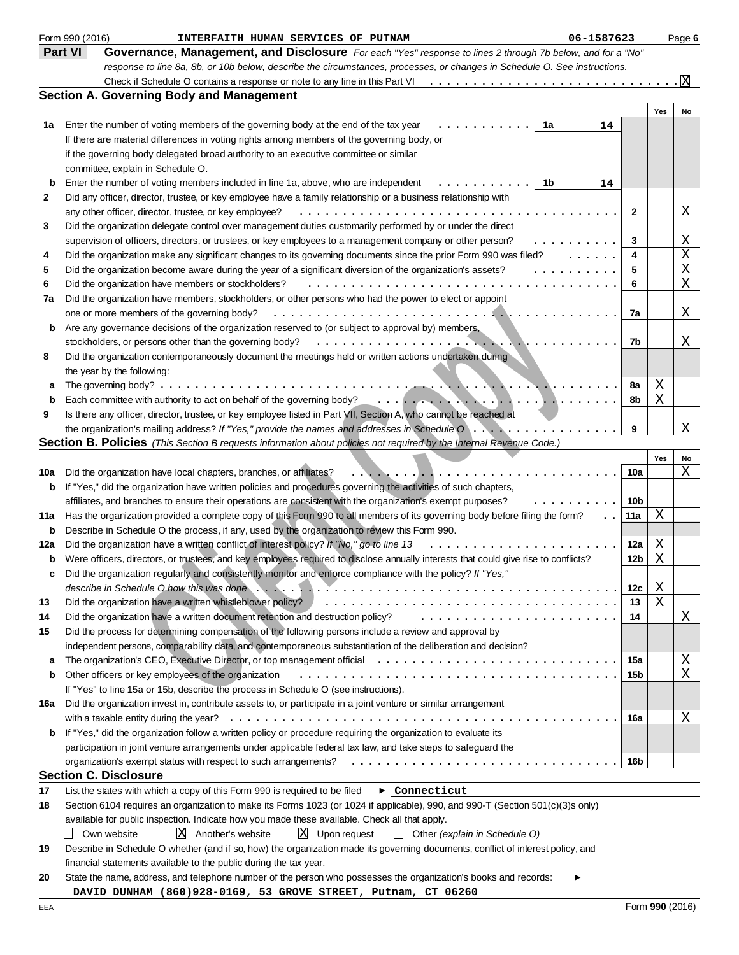|     | Form 990 (2016)<br>06-1587623<br>INTERFAITH HUMAN SERVICES OF PUTNAM                                                                           |     |        | Page 6 |
|-----|------------------------------------------------------------------------------------------------------------------------------------------------|-----|--------|--------|
|     | <b>Part VI</b><br>Governance, Management, and Disclosure For each "Yes" response to lines 2 through 7b below, and for a "No"                   |     |        |        |
|     | response to line 8a, 8b, or 10b below, describe the circumstances, processes, or changes in Schedule O. See instructions.                      |     |        |        |
|     | Check if Schedule O contains a response or note to any line in this Part VI                                                                    |     |        | X      |
|     | <b>Section A. Governing Body and Management</b>                                                                                                |     |        |        |
|     |                                                                                                                                                |     | Yes    | No     |
| 1а  | Enter the number of voting members of the governing body at the end of the tax year<br>1a<br>14                                                |     |        |        |
|     | If there are material differences in voting rights among members of the governing body, or                                                     |     |        |        |
|     | if the governing body delegated broad authority to an executive committee or similar                                                           |     |        |        |
|     | committee, explain in Schedule O.                                                                                                              |     |        |        |
| b   | Enter the number of voting members included in line 1a, above, who are independent<br>1b<br>14                                                 |     |        |        |
| 2   | Did any officer, director, trustee, or key employee have a family relationship or a business relationship with                                 |     |        |        |
|     | any other officer, director, trustee, or key employee?                                                                                         | 2   |        | Χ      |
| 3   | Did the organization delegate control over management duties customarily performed by or under the direct                                      |     |        |        |
|     | supervision of officers, directors, or trustees, or key employees to a management company or other person?                                     | 3   |        | Χ      |
| 4   | Did the organization make any significant changes to its governing documents since the prior Form 990 was filed?                               | 4   |        | Χ      |
| 5   | Did the organization become aware during the year of a significant diversion of the organization's assets?<br>.                                | 5   |        | Χ      |
| 6   | Did the organization have members or stockholders?                                                                                             | 6   |        | Χ      |
| 7a  | Did the organization have members, stockholders, or other persons who had the power to elect or appoint                                        |     |        |        |
|     | one or more members of the governing body?                                                                                                     | 7a  |        | X      |
| b   | Are any governance decisions of the organization reserved to (or subject to approval by) members,                                              |     |        |        |
|     | stockholders, or persons other than the governing body?                                                                                        | 7b  |        | Χ      |
| 8   | Did the organization contemporaneously document the meetings held or written actions undertaken during                                         |     |        |        |
|     | the year by the following:                                                                                                                     |     |        |        |
| а   | The governing body? $\ldots \ldots \ldots \ldots \ldots \ldots \ldots \ldots \ldots \ldots \ldots \ldots$<br><b>TAL LATAL LATAL LATAL</b>      | 8a  | Χ      |        |
| b   | Each committee with authority to act on behalf of the governing body?                                                                          | 8b  | Χ      |        |
| 9   | Is there any officer, director, trustee, or key employee listed in Part VII, Section A, who cannot be reached at                               |     |        |        |
|     |                                                                                                                                                | 9   |        | Χ      |
|     | Section B. Policies (This Section B requests information about policies not required by the Internal Revenue Code.)                            |     |        |        |
|     |                                                                                                                                                |     | Yes    | No     |
| 10a | Did the organization have local chapters, branches, or affiliates?                                                                             | 10a |        | Χ      |
| b   | If "Yes," did the organization have written policies and procedures governing the activities of such chapters,                                 |     |        |        |
|     | affiliates, and branches to ensure their operations are consistent with the organization's exempt purposes?                                    | 10b |        |        |
| 11a | Has the organization provided a complete copy of this Form 990 to all members of its governing body before filing the form?                    | 11a | Χ      |        |
| b   | Describe in Schedule O the process, if any, used by the organization to review this Form 990.                                                  |     |        |        |
| 12a | Did the organization have a written conflict of interest policy? If "No," go to line 13                                                        | 12a | Χ      |        |
| b   | Were officers, directors, or trustees, and key employees required to disclose annually interests that could give rise to conflicts?            | 12b | Χ      |        |
|     | Did the organization regularly and consistently monitor and enforce compliance with the policy? If "Yes,"                                      |     |        |        |
|     |                                                                                                                                                |     |        |        |
|     |                                                                                                                                                | 12c | Χ<br>Χ |        |
| 13  | Did the organization have a written whistleblower policy?                                                                                      | 13  |        |        |
| 14  | Did the organization have a written document retention and destruction policy?                                                                 | 14  |        | Χ      |
| 15  | Did the process for determining compensation of the following persons include a review and approval by                                         |     |        |        |
|     | independent persons, comparability data, and contemporaneous substantiation of the deliberation and decision?                                  |     |        |        |
| a   |                                                                                                                                                | 15a |        | Χ      |
| b   | Other officers or key employees of the organization                                                                                            | 15b |        | Χ      |
|     | If "Yes" to line 15a or 15b, describe the process in Schedule O (see instructions).                                                            |     |        |        |
| 16a | Did the organization invest in, contribute assets to, or participate in a joint venture or similar arrangement                                 |     |        |        |
|     |                                                                                                                                                | 16a |        | Χ      |
| b   | If "Yes," did the organization follow a written policy or procedure requiring the organization to evaluate its                                 |     |        |        |
|     | participation in joint venture arrangements under applicable federal tax law, and take steps to safeguard the                                  |     |        |        |
|     | organization's exempt status with respect to such arrangements? $\ldots \ldots \ldots \ldots \ldots \ldots \ldots \ldots \ldots \ldots \ldots$ | 16b |        |        |
|     | <b>Section C. Disclosure</b>                                                                                                                   |     |        |        |
| 17  | List the states with which a copy of this Form 990 is required to be filed<br>$\blacktriangleright$ Connecticut                                |     |        |        |
| 18  | Section 6104 requires an organization to make its Forms 1023 (or 1024 if applicable), 990, and 990-T (Section 501(c)(3)s only)                 |     |        |        |
|     | available for public inspection. Indicate how you made these available. Check all that apply.                                                  |     |        |        |
|     | $X$ Another's website<br>$X$ Upon request<br>Other (explain in Schedule O)<br>Own website                                                      |     |        |        |
| 19  | Describe in Schedule O whether (and if so, how) the organization made its governing documents, conflict of interest policy, and                |     |        |        |
|     | financial statements available to the public during the tax year.                                                                              |     |        |        |
| 20  | State the name, address, and telephone number of the person who possesses the organization's books and records:                                |     |        |        |
|     | DAVID DUNHAM (860)928-0169, 53 GROVE STREET, Putnam, CT 06260                                                                                  |     |        |        |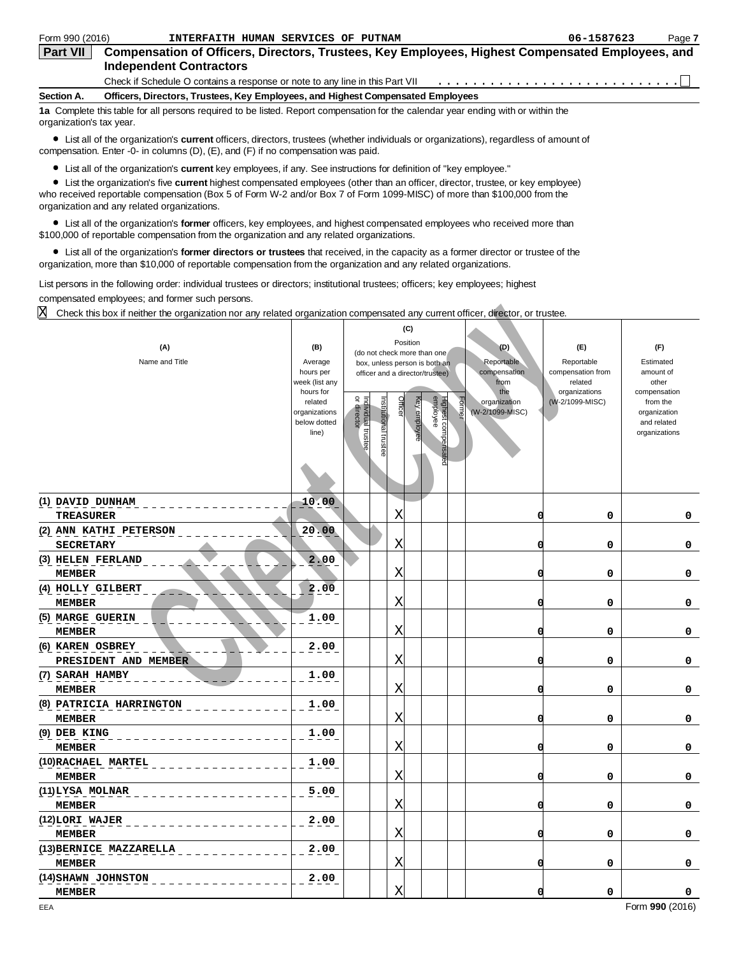| Form 990 (2016)          | INTERFAITH HUMAN SERVICES OF PUTNAM                                                                                               | 06-1587623 | Page 7 |
|--------------------------|-----------------------------------------------------------------------------------------------------------------------------------|------------|--------|
| <b>Part VII</b>          | Compensation of Officers, Directors, Trustees, Key Employees, Highest Compensated Employees, and                                  |            |        |
|                          | <b>Independent Contractors</b>                                                                                                    |            |        |
|                          |                                                                                                                                   |            |        |
| Section A.               | Officers, Directors, Trustees, Key Employees, and Highest Compensated Employees                                                   |            |        |
| organization's tax year. | 1a Complete this table for all persons required to be listed. Report compensation for the calendar year ending with or within the |            |        |

List all of the organization's **current** officers, directors, trustees (whether individuals or organizations), regardless of amount of compensation. Enter -0- in columns (D), (E), and (F) if no compensation was paid.

List all of the organization's **current** key employees, if any. See instructions for definition of "key employee."

List the organization's five **current** highest compensated employees (other than an officer, director, trustee, or key employee) who received reportable compensation (Box 5 of Form W-2 and/or Box 7 of Form 1099-MISC) of more than \$100,000 from the organization and any related organizations.

List all of the organization's **former** officers, key employees, and highest compensated employees who received more than \$100,000 of reportable compensation from the organization and any related organizations.

List all of the organization's **former directors or trustees** that received, in the capacity as a former director or trustee of the organization, more than \$10,000 of reportable compensation from the organization and any related organizations.

List persons in the following order: individual trustees or directors; institutional trustees; officers; key employees; highest compensated employees; and former such persons.

| X<br>Check this box if neither the organization nor any related organization compensated any current officer, director, or trustee. |                                                                                               |                                  |                      |         |                                                                                    |                                                                |                                                                  |                                                                                                |
|-------------------------------------------------------------------------------------------------------------------------------------|-----------------------------------------------------------------------------------------------|----------------------------------|----------------------|---------|------------------------------------------------------------------------------------|----------------------------------------------------------------|------------------------------------------------------------------|------------------------------------------------------------------------------------------------|
| (A)<br>Name and Title                                                                                                               | (B)<br>Average                                                                                |                                  |                      |         | (C)<br>Position<br>(do not check more than one<br>box, unless person is both an    | I(D)<br>Reportable                                             | (E)<br>Reportable                                                | (F)<br>Estimated                                                                               |
|                                                                                                                                     | hours per<br>week (list any<br>hours for<br>related<br>organizations<br>below dotted<br>line) | or director<br>ndividual trustee | nstitutional trustee | Officer | officer and a director/trustee)<br>Highest compensated<br>employee<br>Key employee | compensation<br>from<br>the<br>organization<br>(W-2/1099-MISC) | compensation from<br>related<br>organizations<br>(W-2/1099-MISC) | amount of<br>other<br>compensation<br>from the<br>organization<br>and related<br>organizations |
| (1) DAVID DUNHAM<br><b>TREASURER</b>                                                                                                | 10.00                                                                                         |                                  |                      | Χ       |                                                                                    | 0                                                              | 0                                                                | 0                                                                                              |
| (2) ANN KATHI PETERSON<br><b>SECRETARY</b>                                                                                          | 20.00                                                                                         |                                  |                      | Χ       |                                                                                    | 0                                                              | 0                                                                | 0                                                                                              |
| (3) HELEN FERLAND<br><b>MEMBER</b>                                                                                                  | 2.00                                                                                          |                                  |                      | Χ       |                                                                                    | 0                                                              | 0                                                                | 0                                                                                              |
| (4) HOLLY GILBERT<br><b>MEMBER</b>                                                                                                  | 2.00                                                                                          |                                  |                      | X       |                                                                                    | 0                                                              | 0                                                                | 0                                                                                              |
| (5) MARGE GUERIN<br><b>MEMBER</b>                                                                                                   | 1.00                                                                                          |                                  |                      | Χ       |                                                                                    | 0                                                              | 0                                                                | 0                                                                                              |
| (6) KAREN OSBREY<br>PRESIDENT AND MEMBER                                                                                            | 2.00                                                                                          |                                  |                      | X       |                                                                                    | 0                                                              | 0                                                                | 0                                                                                              |
| (7) SARAH HAMBY<br><b>MEMBER</b>                                                                                                    | 1.00                                                                                          |                                  |                      | X       |                                                                                    | 0                                                              | 0                                                                | 0                                                                                              |
| (8) PATRICIA HARRINGTON<br><b>MEMBER</b>                                                                                            | 1.00                                                                                          |                                  |                      | Χ       |                                                                                    | n                                                              | 0                                                                | 0                                                                                              |
| (9) DEB KING<br><b>MEMBER</b>                                                                                                       | 1.00                                                                                          |                                  |                      | Χ       |                                                                                    | 0                                                              | 0                                                                | 0                                                                                              |
| (10) RACHAEL MARTEL<br><b>MEMBER</b>                                                                                                | 1.00                                                                                          |                                  |                      | X       |                                                                                    | 0                                                              | 0                                                                | 0                                                                                              |
| (11)LYSA MOLNAR<br><b>MEMBER</b>                                                                                                    | 5.00                                                                                          |                                  |                      | Χ       |                                                                                    | n                                                              | 0                                                                | 0                                                                                              |
| (12)LORI WAJER<br><b>MEMBER</b>                                                                                                     | 2.00                                                                                          |                                  |                      | Χ       |                                                                                    | 0                                                              | 0                                                                | 0                                                                                              |
| (13) BERNICE MAZZARELLA<br><b>MEMBER</b>                                                                                            | 2.00                                                                                          |                                  |                      | Χ       |                                                                                    | 0                                                              | 0                                                                | 0                                                                                              |
| (14) SHAWN JOHNSTON<br><b>MEMBER</b>                                                                                                | 2.00                                                                                          |                                  |                      | Χ       |                                                                                    | n                                                              | 0                                                                | 0                                                                                              |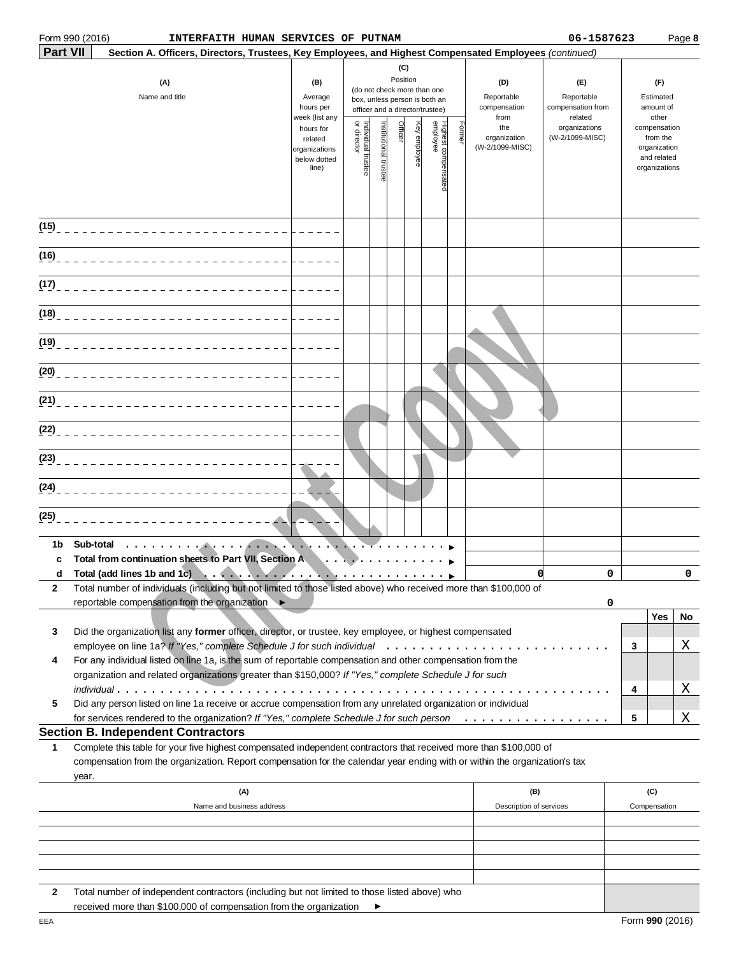|                 | Form 990 (2016)<br>INTERFAITH HUMAN SERVICES OF PUTNAM                                                                                                                                                                                                    |                                                                |                                   |                       |                 |              |                                                                                                 |        |                                           | 06-1587623                                        |          |                                                                          | Page 8 |
|-----------------|-----------------------------------------------------------------------------------------------------------------------------------------------------------------------------------------------------------------------------------------------------------|----------------------------------------------------------------|-----------------------------------|-----------------------|-----------------|--------------|-------------------------------------------------------------------------------------------------|--------|-------------------------------------------|---------------------------------------------------|----------|--------------------------------------------------------------------------|--------|
| <b>Part VII</b> | Section A. Officers, Directors, Trustees, Key Employees, and Highest Compensated Employees (continued)                                                                                                                                                    |                                                                |                                   |                       |                 |              |                                                                                                 |        |                                           |                                                   |          |                                                                          |        |
|                 | (A)<br>Name and title                                                                                                                                                                                                                                     | (B)<br>Average<br>hours per<br>week (list any                  |                                   |                       | (C)<br>Position |              | (do not check more than one<br>box, unless person is both an<br>officer and a director/trustee) |        | (D)<br>Reportable<br>compensation<br>from | (E)<br>Reportable<br>compensation from<br>related |          | (F)<br>Estimated<br>amount of<br>other                                   |        |
|                 |                                                                                                                                                                                                                                                           | hours for<br>related<br>organizations<br>below dotted<br>line) | Individual trustee<br>or director | Institutional trustee | Officer         | Key employee | Highest compensatec<br>employee                                                                 | Former | the<br>organization<br>(W-2/1099-MISC)    | organizations<br>(W-2/1099-MISC)                  |          | compensation<br>from the<br>organization<br>and related<br>organizations |        |
|                 |                                                                                                                                                                                                                                                           |                                                                |                                   |                       |                 |              |                                                                                                 |        |                                           |                                                   |          |                                                                          |        |
|                 | (16) _________________________________                                                                                                                                                                                                                    |                                                                |                                   |                       |                 |              |                                                                                                 |        |                                           |                                                   |          |                                                                          |        |
|                 |                                                                                                                                                                                                                                                           |                                                                |                                   |                       |                 |              |                                                                                                 |        |                                           |                                                   |          |                                                                          |        |
|                 | (18) _________________________________                                                                                                                                                                                                                    |                                                                |                                   |                       |                 |              |                                                                                                 |        |                                           |                                                   |          |                                                                          |        |
|                 |                                                                                                                                                                                                                                                           |                                                                |                                   |                       |                 |              |                                                                                                 |        |                                           |                                                   |          |                                                                          |        |
|                 |                                                                                                                                                                                                                                                           |                                                                |                                   |                       |                 |              |                                                                                                 |        |                                           |                                                   |          |                                                                          |        |
|                 | (21) ________________________________                                                                                                                                                                                                                     |                                                                |                                   |                       |                 |              |                                                                                                 |        |                                           |                                                   |          |                                                                          |        |
|                 |                                                                                                                                                                                                                                                           |                                                                |                                   |                       |                 |              |                                                                                                 |        |                                           |                                                   |          |                                                                          |        |
|                 | (23) _________________________________                                                                                                                                                                                                                    |                                                                |                                   |                       |                 |              |                                                                                                 |        |                                           |                                                   |          |                                                                          |        |
|                 |                                                                                                                                                                                                                                                           |                                                                |                                   |                       |                 |              |                                                                                                 |        |                                           |                                                   |          |                                                                          |        |
| (25)            |                                                                                                                                                                                                                                                           |                                                                |                                   |                       |                 |              |                                                                                                 |        |                                           |                                                   |          |                                                                          |        |
| 1b<br>C         | Sub-total<br>. <b>.</b><br>Total from continuation sheets to Part VII, Section A                                                                                                                                                                          |                                                                |                                   |                       |                 |              |                                                                                                 |        |                                           |                                                   |          |                                                                          |        |
|                 | d Total (add lines 1b and 1c)                                                                                                                                                                                                                             |                                                                |                                   |                       |                 |              |                                                                                                 |        | O                                         |                                                   | $\Omega$ |                                                                          | 0      |
| 2               | Total number of individuals (including but not limited to those listed above) who received more than \$100,000 of<br>reportable compensation from the organization ▶                                                                                      |                                                                |                                   |                       |                 |              |                                                                                                 |        |                                           |                                                   |          |                                                                          |        |
|                 |                                                                                                                                                                                                                                                           |                                                                |                                   |                       |                 |              |                                                                                                 |        |                                           |                                                   | 0        | Yes                                                                      | No     |
| 3               | Did the organization list any former officer, director, or trustee, key employee, or highest compensated                                                                                                                                                  |                                                                |                                   |                       |                 |              |                                                                                                 |        |                                           |                                                   |          |                                                                          |        |
|                 |                                                                                                                                                                                                                                                           |                                                                |                                   |                       |                 |              |                                                                                                 |        |                                           |                                                   | 3        |                                                                          | Χ      |
| 4               | For any individual listed on line 1a, is the sum of reportable compensation and other compensation from the                                                                                                                                               |                                                                |                                   |                       |                 |              |                                                                                                 |        |                                           |                                                   |          |                                                                          |        |
|                 | organization and related organizations greater than \$150,000? If "Yes," complete Schedule J for such                                                                                                                                                     |                                                                |                                   |                       |                 |              |                                                                                                 |        |                                           |                                                   |          |                                                                          |        |
| 5               | Did any person listed on line 1a receive or accrue compensation from any unrelated organization or individual                                                                                                                                             |                                                                |                                   |                       |                 |              |                                                                                                 |        |                                           |                                                   | 4        |                                                                          | Χ      |
|                 | for services rendered to the organization? If "Yes," complete Schedule J for such person                                                                                                                                                                  |                                                                |                                   |                       |                 |              |                                                                                                 |        |                                           |                                                   | 5        |                                                                          | Χ      |
|                 | <b>Section B. Independent Contractors</b>                                                                                                                                                                                                                 |                                                                |                                   |                       |                 |              |                                                                                                 |        |                                           |                                                   |          |                                                                          |        |
| 1               | Complete this table for your five highest compensated independent contractors that received more than \$100,000 of<br>compensation from the organization. Report compensation for the calendar year ending with or within the organization's tax<br>year. |                                                                |                                   |                       |                 |              |                                                                                                 |        |                                           |                                                   |          |                                                                          |        |
|                 | (A)                                                                                                                                                                                                                                                       |                                                                |                                   |                       |                 |              |                                                                                                 |        | (B)                                       |                                                   |          | (C)                                                                      |        |
|                 | Name and business address                                                                                                                                                                                                                                 |                                                                |                                   |                       |                 |              |                                                                                                 |        | Description of services                   |                                                   |          | Compensation                                                             |        |
|                 |                                                                                                                                                                                                                                                           |                                                                |                                   |                       |                 |              |                                                                                                 |        |                                           |                                                   |          |                                                                          |        |
|                 |                                                                                                                                                                                                                                                           |                                                                |                                   |                       |                 |              |                                                                                                 |        |                                           |                                                   |          |                                                                          |        |
|                 |                                                                                                                                                                                                                                                           |                                                                |                                   |                       |                 |              |                                                                                                 |        |                                           |                                                   |          |                                                                          |        |

**2** Total number of independent contractors (including but not limited to those listed above) who received more than \$100,000 of compensation from the organization  $\blacktriangleright$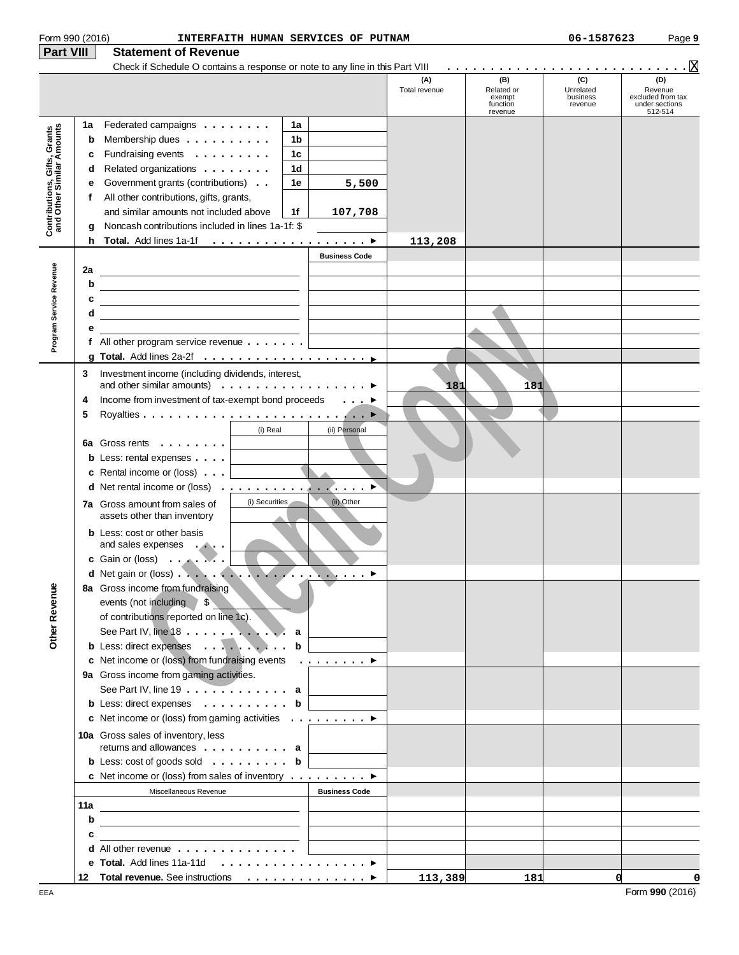| Form 990 (2016)                                           |     | INTERFAITH HUMAN SERVICES OF PUTNAM                                                                                    |                      |                      |                                                    | 06-1587623                              | Page 9                                                           |
|-----------------------------------------------------------|-----|------------------------------------------------------------------------------------------------------------------------|----------------------|----------------------|----------------------------------------------------|-----------------------------------------|------------------------------------------------------------------|
| <b>Part VIII</b>                                          |     | <b>Statement of Revenue</b>                                                                                            |                      |                      |                                                    |                                         |                                                                  |
|                                                           |     | Check if Schedule O contains a response or note to any line in this Part VIII                                          |                      |                      |                                                    |                                         | <u>.</u> 8                                                       |
|                                                           |     |                                                                                                                        |                      | (A)<br>Total revenue | (B)<br>Related or<br>exempt<br>function<br>revenue | (C)<br>Unrelated<br>business<br>revenue | (D)<br>Revenue<br>excluded from tax<br>under sections<br>512-514 |
|                                                           | 1a  | Federated campaigns                                                                                                    | 1a                   |                      |                                                    |                                         |                                                                  |
| Contributions, Gifts, Grants<br>and Other Similar Amounts | b   | Membership dues                                                                                                        | 1 <sub>b</sub>       |                      |                                                    |                                         |                                                                  |
|                                                           | c   | Fundraising events                                                                                                     | 1 <sub>c</sub>       |                      |                                                    |                                         |                                                                  |
|                                                           | d   | Related organizations                                                                                                  | 1 <sub>d</sub>       |                      |                                                    |                                         |                                                                  |
|                                                           | е   | Government grants (contributions)                                                                                      | 1e<br>5,500          |                      |                                                    |                                         |                                                                  |
|                                                           | f   | All other contributions, gifts, grants,                                                                                |                      |                      |                                                    |                                         |                                                                  |
|                                                           |     | and similar amounts not included above                                                                                 | 1f<br>107,708        |                      |                                                    |                                         |                                                                  |
|                                                           | a   | Noncash contributions included in lines 1a-1f: \$                                                                      |                      |                      |                                                    |                                         |                                                                  |
|                                                           | h   |                                                                                                                        |                      | 113,208              |                                                    |                                         |                                                                  |
|                                                           |     |                                                                                                                        | <b>Business Code</b> |                      |                                                    |                                         |                                                                  |
| Program Service Revenue                                   | 2a  | <u> 1980 - Johann Barbara, martin amerikan basar dan basa dan basa dan basa dalam basa dalam basa dalam basa dala</u>  |                      |                      |                                                    |                                         |                                                                  |
|                                                           | b   | <u> 1989 - Johann Stoff, deutscher Stoffen und der Stoffen und der Stoffen und der Stoffen und der Stoffen und der</u> |                      |                      |                                                    |                                         |                                                                  |
|                                                           | с   |                                                                                                                        |                      |                      |                                                    |                                         |                                                                  |
|                                                           | d   |                                                                                                                        |                      |                      |                                                    |                                         |                                                                  |
|                                                           | е   |                                                                                                                        |                      |                      |                                                    |                                         |                                                                  |
|                                                           |     | f All other program service revenue $\dots$                                                                            |                      |                      |                                                    |                                         |                                                                  |
|                                                           |     |                                                                                                                        |                      |                      |                                                    |                                         |                                                                  |
|                                                           | 3   | Investment income (including dividends, interest,                                                                      |                      |                      |                                                    |                                         |                                                                  |
|                                                           |     | and other similar amounts) $\ldots \ldots \ldots \ldots \ldots$                                                        |                      | 181                  | 181                                                |                                         |                                                                  |
|                                                           | 4   | Income from investment of tax-exempt bond proceeds ▶                                                                   |                      |                      |                                                    |                                         |                                                                  |
|                                                           | 5   |                                                                                                                        |                      |                      |                                                    |                                         |                                                                  |
|                                                           |     | (i) Real                                                                                                               | (ii) Personal        |                      |                                                    |                                         |                                                                  |
|                                                           |     | 6a Gross rents $\ldots$                                                                                                |                      |                      |                                                    |                                         |                                                                  |
|                                                           |     | <b>b</b> Less: rental expenses $\ldots$ $\Box$                                                                         |                      |                      |                                                    |                                         |                                                                  |
|                                                           |     | <b>c</b> Rental income or (loss) $\ldots$                                                                              |                      |                      |                                                    |                                         |                                                                  |
|                                                           |     |                                                                                                                        |                      |                      |                                                    |                                         |                                                                  |
|                                                           |     | (i) Securities<br>7a Gross amount from sales of<br>assets other than inventory                                         | (ii) Other           |                      |                                                    |                                         |                                                                  |
|                                                           |     | <b>b</b> Less: cost or other basis                                                                                     |                      |                      |                                                    |                                         |                                                                  |
|                                                           |     | and sales expenses                                                                                                     |                      |                      |                                                    |                                         |                                                                  |
|                                                           |     | c Gain or (loss) $\ldots$ , $\ldots$                                                                                   |                      |                      |                                                    |                                         |                                                                  |
|                                                           |     | 8a Gross income from fundraising                                                                                       |                      |                      |                                                    |                                         |                                                                  |
|                                                           |     | events (not including \$                                                                                               |                      |                      |                                                    |                                         |                                                                  |
|                                                           |     | of contributions reported on line 1c).                                                                                 |                      |                      |                                                    |                                         |                                                                  |
|                                                           |     | See Part IV, line 18 a                                                                                                 |                      |                      |                                                    |                                         |                                                                  |
| <b>Other Revenue</b>                                      |     | b Less: direct expenses b                                                                                              |                      |                      |                                                    |                                         |                                                                  |
|                                                           |     | c Net income or (loss) from fundraising events ▶                                                                       |                      |                      |                                                    |                                         |                                                                  |
|                                                           |     | 9a Gross income from gaming activities.                                                                                |                      |                      |                                                    |                                         |                                                                  |
|                                                           |     | See Part IV, line $19 \ldots \ldots \ldots \ldots$ a                                                                   |                      |                      |                                                    |                                         |                                                                  |
|                                                           |     | b Less: direct expenses b                                                                                              |                      |                      |                                                    |                                         |                                                                  |
|                                                           |     | c Net income or (loss) from gaming activities $\dots \dots \dots$                                                      |                      |                      |                                                    |                                         |                                                                  |
|                                                           |     | 10a Gross sales of inventory, less                                                                                     |                      |                      |                                                    |                                         |                                                                  |
|                                                           |     | returns and allowances $\dots$ , $\dots$ , $\dots$ , $a$                                                               |                      |                      |                                                    |                                         |                                                                  |
|                                                           |     | <b>b</b> Less: $\cosh$ of goods sold $\dots \dots \dots$ <b>b</b>                                                      |                      |                      |                                                    |                                         |                                                                  |
|                                                           |     | c Net income or (loss) from sales of inventory $\dots \dots \dots$                                                     |                      |                      |                                                    |                                         |                                                                  |
|                                                           |     | Miscellaneous Revenue                                                                                                  | <b>Business Code</b> |                      |                                                    |                                         |                                                                  |
|                                                           | 11a |                                                                                                                        |                      |                      |                                                    |                                         |                                                                  |
|                                                           | b   | <u> 1989 - Johann Barbara, martin amerikan basar dan basa dan basa dan basa dalam basa dalam basa dalam basa dala</u>  |                      |                      |                                                    |                                         |                                                                  |
|                                                           | с   |                                                                                                                        |                      |                      |                                                    |                                         |                                                                  |
|                                                           |     | d All other revenue                                                                                                    |                      |                      |                                                    |                                         |                                                                  |
|                                                           |     | e Total. Add lines 11a-11d ▶                                                                                           |                      |                      |                                                    |                                         |                                                                  |
|                                                           |     |                                                                                                                        |                      | 113,389              | 181                                                |                                         | d<br>0                                                           |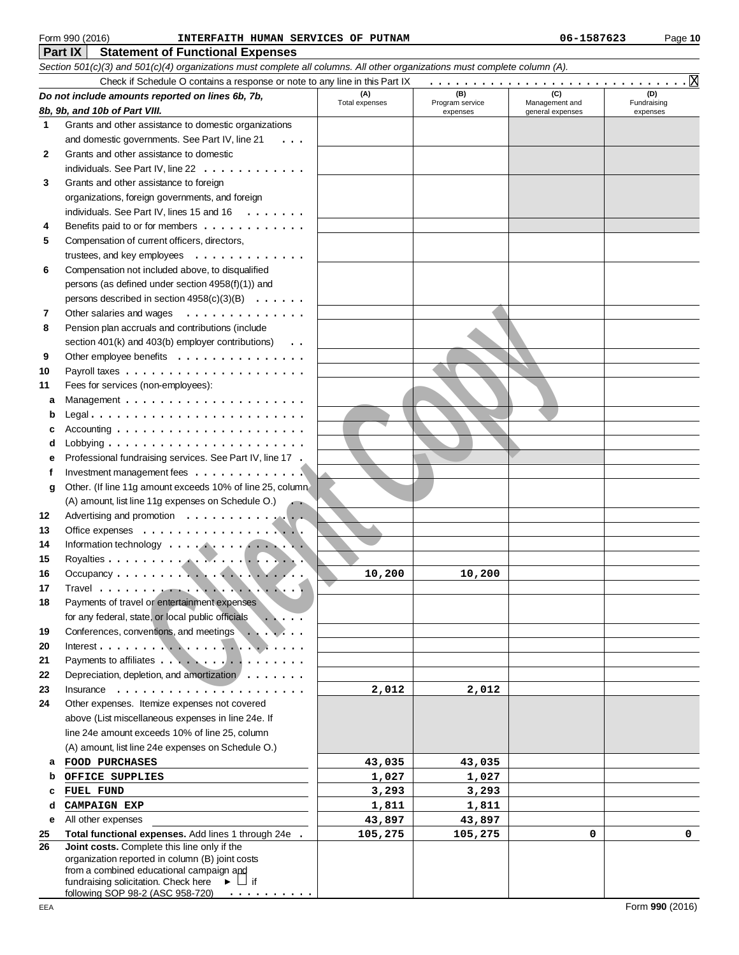#### **Part IX Statement of Functional Expenses** Form 990 (2016) Page **10 INTERFAITH HUMAN SERVICES OF PUTNAM 06-1587623**

|              | Section 501(c)(3) and 501(c)(4) organizations must complete all columns. All other organizations must complete column (A). |                 |                             |                                    |                         |  |  |  |
|--------------|----------------------------------------------------------------------------------------------------------------------------|-----------------|-----------------------------|------------------------------------|-------------------------|--|--|--|
|              | Check if Schedule O contains a response or note to any line in this Part IX                                                |                 |                             |                                    |                         |  |  |  |
|              | (B)<br>(C)<br>(D)<br>(A)<br>Do not include amounts reported on lines 6b, 7b,                                               |                 |                             |                                    |                         |  |  |  |
|              | 8b, 9b, and 10b of Part VIII.                                                                                              | Total expenses  | Program service<br>expenses | Management and<br>general expenses | Fundraising<br>expenses |  |  |  |
| 1            | Grants and other assistance to domestic organizations                                                                      |                 |                             |                                    |                         |  |  |  |
|              | and domestic governments. See Part IV, line 21                                                                             |                 |                             |                                    |                         |  |  |  |
| $\mathbf{2}$ | Grants and other assistance to domestic                                                                                    |                 |                             |                                    |                         |  |  |  |
|              | individuals. See Part IV, line 22                                                                                          |                 |                             |                                    |                         |  |  |  |
| 3            | Grants and other assistance to foreign                                                                                     |                 |                             |                                    |                         |  |  |  |
|              | organizations, foreign governments, and foreign                                                                            |                 |                             |                                    |                         |  |  |  |
|              | individuals. See Part IV, lines 15 and 16 $\dots \dots$                                                                    |                 |                             |                                    |                         |  |  |  |
| 4            | Benefits paid to or for members                                                                                            |                 |                             |                                    |                         |  |  |  |
| 5            | Compensation of current officers, directors,                                                                               |                 |                             |                                    |                         |  |  |  |
|              | trustees, and key employees $\dots \dots \dots \dots$                                                                      |                 |                             |                                    |                         |  |  |  |
| 6            | Compensation not included above, to disqualified                                                                           |                 |                             |                                    |                         |  |  |  |
|              | persons (as defined under section $4958(f)(1)$ ) and                                                                       |                 |                             |                                    |                         |  |  |  |
|              | persons described in section $4958(c)(3)(B) \ldots \ldots$                                                                 |                 |                             |                                    |                         |  |  |  |
| 7            | Other salaries and wages                                                                                                   |                 |                             |                                    |                         |  |  |  |
| 8            | Pension plan accruals and contributions (include                                                                           |                 |                             |                                    |                         |  |  |  |
|              | section 401(k) and 403(b) employer contributions)                                                                          |                 |                             |                                    |                         |  |  |  |
| 9            | Other employee benefits                                                                                                    |                 |                             |                                    |                         |  |  |  |
| 10           |                                                                                                                            |                 |                             |                                    |                         |  |  |  |
| 11           | Fees for services (non-employees):                                                                                         |                 |                             |                                    |                         |  |  |  |
| а            | Management $\ldots \ldots \ldots \ldots \ldots \ldots \ldots$                                                              |                 |                             |                                    |                         |  |  |  |
|              |                                                                                                                            |                 |                             |                                    |                         |  |  |  |
|              | Accounting $\ldots \ldots \ldots \ldots \ldots \ldots \ldots$                                                              |                 |                             |                                    |                         |  |  |  |
|              | Lobbying $\ldots \ldots \ldots \ldots \ldots \ldots \ldots$                                                                |                 |                             |                                    |                         |  |  |  |
| е            | Professional fundraising services. See Part IV, line 17 .                                                                  |                 |                             |                                    |                         |  |  |  |
| f            | Investment management fees $\dots \dots \dots \dots$                                                                       |                 |                             |                                    |                         |  |  |  |
| g            | Other. (If line 11g amount exceeds 10% of line 25, column                                                                  |                 |                             |                                    |                         |  |  |  |
|              | (A) amount, list line 11g expenses on Schedule O.)                                                                         |                 |                             |                                    |                         |  |  |  |
| 12           | Advertising and promotion                                                                                                  |                 |                             |                                    |                         |  |  |  |
| 13           |                                                                                                                            |                 |                             |                                    |                         |  |  |  |
| 14           |                                                                                                                            |                 |                             |                                    |                         |  |  |  |
| 15           |                                                                                                                            |                 |                             |                                    |                         |  |  |  |
| 16           |                                                                                                                            | 10,200          | 10,200                      |                                    |                         |  |  |  |
| 17           |                                                                                                                            |                 |                             |                                    |                         |  |  |  |
| 18           | Payments of travel or entertainment expenses                                                                               |                 |                             |                                    |                         |  |  |  |
|              | for any federal, state, or local public officials                                                                          |                 |                             |                                    |                         |  |  |  |
| 19           | Conferences, conventions, and meetings                                                                                     |                 |                             |                                    |                         |  |  |  |
| 20           |                                                                                                                            |                 |                             |                                    |                         |  |  |  |
| 21           | Payments to affiliates                                                                                                     |                 |                             |                                    |                         |  |  |  |
| 22           | Depreciation, depletion, and amortization $\ldots \ldots$                                                                  |                 |                             |                                    |                         |  |  |  |
| 23           | $Insurance \ldots \ldots \ldots \ldots \ldots \ldots$                                                                      | 2,012           | 2,012                       |                                    |                         |  |  |  |
| 24           | Other expenses. Itemize expenses not covered<br>above (List miscellaneous expenses in line 24e. If                         |                 |                             |                                    |                         |  |  |  |
|              | line 24e amount exceeds 10% of line 25, column                                                                             |                 |                             |                                    |                         |  |  |  |
|              | (A) amount, list line 24e expenses on Schedule O.)                                                                         |                 |                             |                                    |                         |  |  |  |
|              |                                                                                                                            |                 |                             |                                    |                         |  |  |  |
| а            | <b>FOOD PURCHASES</b><br>OFFICE SUPPLIES                                                                                   | 43,035<br>1,027 | 43,035<br>1,027             |                                    |                         |  |  |  |
| c            | FUEL FUND                                                                                                                  | 3,293           | 3,293                       |                                    |                         |  |  |  |
| d            | <b>CAMPAIGN EXP</b>                                                                                                        | 1,811           | 1,811                       |                                    |                         |  |  |  |
| е            | All other expenses                                                                                                         | 43,897          | 43,897                      |                                    |                         |  |  |  |
| 25           | Total functional expenses. Add lines 1 through 24e                                                                         | 105,275         | 105,275                     | 0                                  | $\mathbf 0$             |  |  |  |
| 26           | Joint costs. Complete this line only if the                                                                                |                 |                             |                                    |                         |  |  |  |
|              | organization reported in column (B) joint costs                                                                            |                 |                             |                                    |                         |  |  |  |
|              | from a combined educational campaign and                                                                                   |                 |                             |                                    |                         |  |  |  |
|              | fundraising solicitation. Check here $\blacktriangleright \Box$ if<br>following SOP 98-2 (ASC 958-720) $\cdots$            |                 |                             |                                    |                         |  |  |  |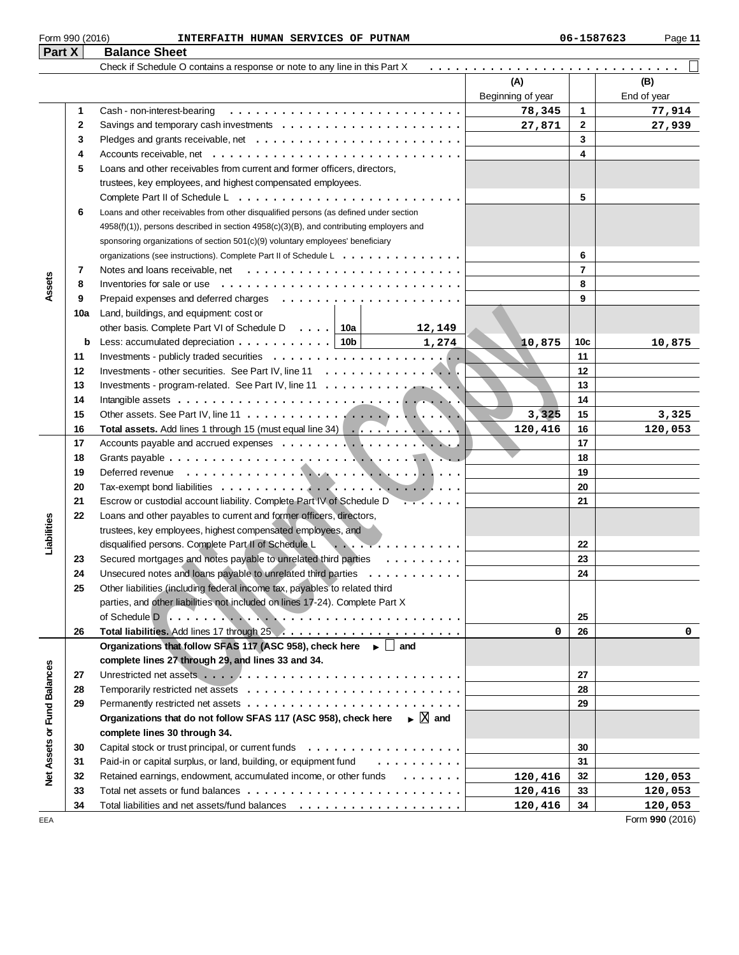| Check if Schedule O contains a response or note to any line in this Part X |
|----------------------------------------------------------------------------|
|                                                                            |
|                                                                            |
|                                                                            |

|                             |              |                                                                                                  | Beginning of year |                 | End of year     |
|-----------------------------|--------------|--------------------------------------------------------------------------------------------------|-------------------|-----------------|-----------------|
|                             | 1            | Cash - non-interest-bearing                                                                      | 78,345            | 1               | 77,914          |
|                             | $\mathbf{2}$ | Savings and temporary cash investments $\dots \dots \dots \dots \dots \dots \dots \dots$         | 27,871            | $\mathbf{2}$    | 27,939          |
|                             | 3            |                                                                                                  |                   | $\mathbf{3}$    |                 |
|                             | 4            | Accounts receivable, net $\ldots \ldots \ldots \ldots \ldots \ldots \ldots \ldots \ldots \ldots$ |                   | 4               |                 |
|                             | 5            | Loans and other receivables from current and former officers, directors,                         |                   |                 |                 |
|                             |              | trustees, key employees, and highest compensated employees.                                      |                   |                 |                 |
|                             |              |                                                                                                  |                   | 5               |                 |
|                             | 6            | Loans and other receivables from other disqualified persons (as defined under section            |                   |                 |                 |
|                             |              | 4958(f)(1)), persons described in section 4958(c)(3)(B), and contributing employers and          |                   |                 |                 |
|                             |              | sponsoring organizations of section 501(c)(9) voluntary employees' beneficiary                   |                   |                 |                 |
|                             |              | organizations (see instructions). Complete Part II of Schedule L                                 |                   | 6               |                 |
|                             | 7            |                                                                                                  |                   | $\overline{7}$  |                 |
| Assets                      | 8            |                                                                                                  |                   | 8               |                 |
|                             | 9            |                                                                                                  |                   | 9               |                 |
|                             | 10a          | Land, buildings, and equipment: cost or                                                          |                   |                 |                 |
|                             |              | other basis. Complete Part VI of Schedule D $\ldots$   10a  <br>12,149                           |                   |                 |                 |
|                             | b            | Less: accumulated depreciation $\ldots \ldots \ldots \ldots$   10b  <br>1,274                    | 10,875            | 10 <sub>c</sub> | 10,875          |
|                             | 11           |                                                                                                  |                   | 11              |                 |
|                             | 12           |                                                                                                  |                   | 12              |                 |
|                             | 13           |                                                                                                  |                   | 13              |                 |
|                             | 14           |                                                                                                  |                   | 14              |                 |
|                             | 15           |                                                                                                  | 3,325             | 15              | 3,325           |
|                             | 16           | Total assets. Add lines 1 through 15 (must equal line 34)                                        | 120,416           | 16              | 120,053         |
|                             | 17           |                                                                                                  |                   | 17              |                 |
|                             | 18           |                                                                                                  |                   | 18              |                 |
|                             | 19           |                                                                                                  |                   | 19              |                 |
|                             | 20           |                                                                                                  |                   | 20              |                 |
|                             | 21           | Escrow or custodial account liability. Complete Part IV of Schedule D<br>$\cdots$                |                   | 21              |                 |
|                             | 22           | Loans and other payables to current and former officers, directors,                              |                   |                 |                 |
| Liabilities                 |              | trustees, key employees, highest compensated employees, and                                      |                   |                 |                 |
|                             |              | disqualified persons. Complete Part II of Schedule L<br>.                                        |                   | 22              |                 |
|                             | 23           | Secured mortgages and notes payable to unrelated third parties                                   |                   | 23              |                 |
|                             | 24           | Unsecured notes and loans payable to unrelated third parties                                     |                   | 24              |                 |
|                             | 25           | Other liabilities (including federal income tax, payables to related third                       |                   |                 |                 |
|                             |              | parties, and other liabilities not included on lines 17-24). Complete Part X                     |                   |                 |                 |
|                             |              |                                                                                                  |                   | 25              |                 |
|                             | 26           |                                                                                                  | 0                 | 26              |                 |
|                             |              | Organizations that follow SFAS 117 (ASC 958), check here ► and                                   |                   |                 |                 |
|                             |              | complete lines 27 through 29, and lines 33 and 34.                                               |                   |                 |                 |
|                             | 27           |                                                                                                  |                   | 27              |                 |
|                             | 28           |                                                                                                  |                   | 28              |                 |
|                             | 29           |                                                                                                  |                   | 29              |                 |
|                             |              | Organizations that do not follow SFAS 117 (ASC 958), check here $\longrightarrow \Box$ and       |                   |                 |                 |
|                             |              | complete lines 30 through 34.                                                                    |                   |                 |                 |
|                             | 30           |                                                                                                  |                   | 30              |                 |
|                             | 31           | Paid-in or capital surplus, or land, building, or equipment fund                                 |                   | 31              |                 |
| Net Assets or Fund Balances | 32           | Retained earnings, endowment, accumulated income, or other funds                                 | 120,416           | 32              | 120,053         |
|                             | 33           |                                                                                                  | 120,416           | 33              | 120,053         |
|                             | 34           |                                                                                                  | 120,416           | 34              | 120,053         |
| EEA                         |              |                                                                                                  |                   |                 | Form 990 (2016) |

**(A) (B)**

.............................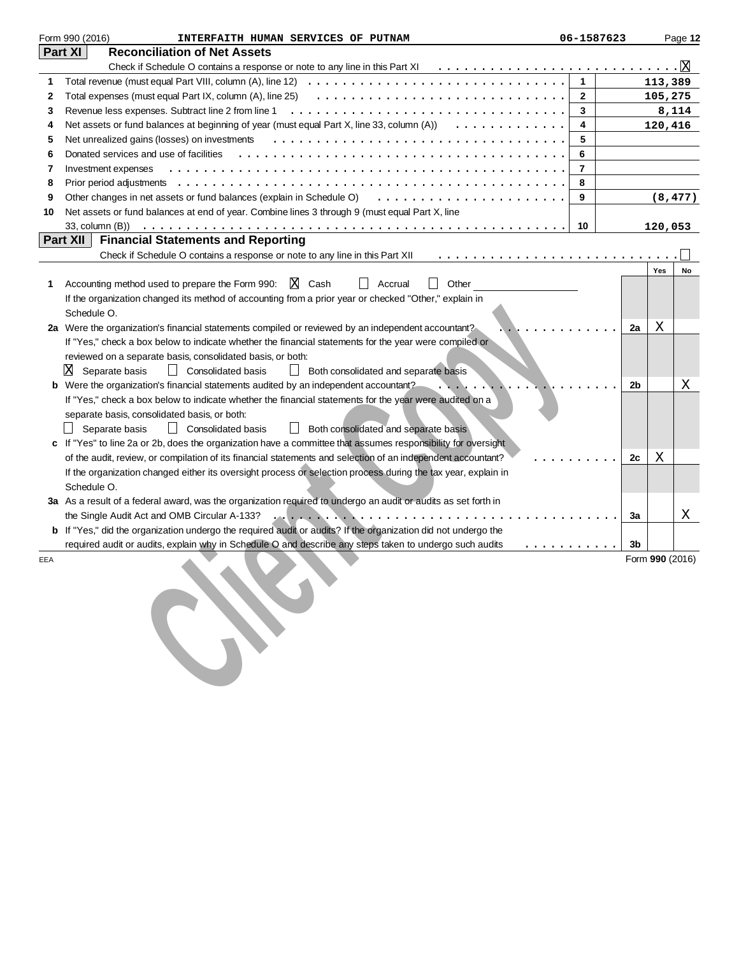|     | Form 990 (2016)<br>INTERFAITH HUMAN SERVICES OF PUTNAM                                                                                      | 06-1587623     |    |                 | Page 12  |
|-----|---------------------------------------------------------------------------------------------------------------------------------------------|----------------|----|-----------------|----------|
|     | Part XI<br><b>Reconciliation of Net Assets</b>                                                                                              |                |    |                 |          |
|     |                                                                                                                                             |                |    |                 |          |
| 1   | Total revenue (must equal Part VIII, column $(A)$ , line 12) $\ldots \ldots \ldots \ldots \ldots \ldots \ldots \ldots \ldots \ldots \ldots$ | $\mathbf{1}$   |    | 113,389         |          |
| 2   | Total expenses (must equal Part IX, column (A), line 25) $\ldots \ldots \ldots \ldots \ldots \ldots \ldots \ldots \ldots \ldots \ldots$     | $\mathbf{2}$   |    | 105,275         |          |
| 3   | Revenue less expenses. Subtract line 2 from line 1                                                                                          | 3              |    |                 | 8,114    |
| 4   | Net assets or fund balances at beginning of year (must equal Part X, line 33, column $(A)$ ) $\ldots \ldots \ldots \ldots$                  | 4              |    | 120,416         |          |
| 5   | Net unrealized gains (losses) on investments                                                                                                | 5              |    |                 |          |
| 6   | Donated services and use of facilities                                                                                                      | 6              |    |                 |          |
| 7   | Investment expenses                                                                                                                         | $\overline{7}$ |    |                 |          |
| 8   |                                                                                                                                             | 8              |    |                 |          |
| 9   | Other changes in net assets or fund balances (explain in Schedule O)                                                                        | 9              |    |                 | (8, 477) |
| 10  | Net assets or fund balances at end of year. Combine lines 3 through 9 (must equal Part X, line                                              |                |    |                 |          |
|     |                                                                                                                                             | 10             |    | 120,053         |          |
|     | Part XII<br><b>Financial Statements and Reporting</b>                                                                                       |                |    |                 |          |
|     | Check if Schedule O contains a response or note to any line in this Part XII                                                                |                |    |                 |          |
|     |                                                                                                                                             |                |    | Yes             | No       |
| 1   | X Cash<br>Other<br>Accounting method used to prepare the Form 990:<br>Accrual                                                               |                |    |                 |          |
|     | If the organization changed its method of accounting from a prior year or checked "Other," explain in                                       |                |    |                 |          |
|     | Schedule O.                                                                                                                                 |                |    |                 |          |
|     | 2a Were the organization's financial statements compiled or reviewed by an independent accountant?                                          |                | 2a | X               |          |
|     | If "Yes," check a box below to indicate whether the financial statements for the year were compiled or                                      |                |    |                 |          |
|     | reviewed on a separate basis, consolidated basis, or both:                                                                                  |                |    |                 |          |
|     | ΙX<br>Separate basis<br>$\Box$ Consolidated basis<br><b>Both consolidated and separate basis</b>                                            |                |    |                 |          |
| b   | Were the organization's financial statements audited by an independent accountant?                                                          |                | 2b |                 | Χ        |
|     | If "Yes," check a box below to indicate whether the financial statements for the year were audited on a                                     |                |    |                 |          |
|     | separate basis, consolidated basis, or both:                                                                                                |                |    |                 |          |
|     | Consolidated basis<br>Separate basis<br>Both consolidated and separate basis                                                                |                |    |                 |          |
|     | If "Yes" to line 2a or 2b, does the organization have a committee that assumes responsibility for oversight                                 |                |    |                 |          |
|     | of the audit, review, or compilation of its financial statements and selection of an independent accountant?                                |                | 2c | х               |          |
|     | If the organization changed either its oversight process or selection process during the tax year, explain in                               |                |    |                 |          |
|     | Schedule O.                                                                                                                                 |                |    |                 |          |
|     | 3a As a result of a federal award, was the organization required to undergo an audit or audits as set forth in                              |                |    |                 |          |
|     |                                                                                                                                             |                | За |                 | X        |
| b   | If "Yes," did the organization undergo the required audit or audits? If the organization did not undergo the                                |                |    |                 |          |
|     | required audit or audits, explain why in Schedule O and describe any steps taken to undergo such audits                                     | .              | 3b |                 |          |
| EEA |                                                                                                                                             |                |    | Form 990 (2016) |          |
|     |                                                                                                                                             |                |    |                 |          |
|     |                                                                                                                                             |                |    |                 |          |
|     |                                                                                                                                             |                |    |                 |          |
|     |                                                                                                                                             |                |    |                 |          |
|     |                                                                                                                                             |                |    |                 |          |
|     |                                                                                                                                             |                |    |                 |          |
|     |                                                                                                                                             |                |    |                 |          |
|     |                                                                                                                                             |                |    |                 |          |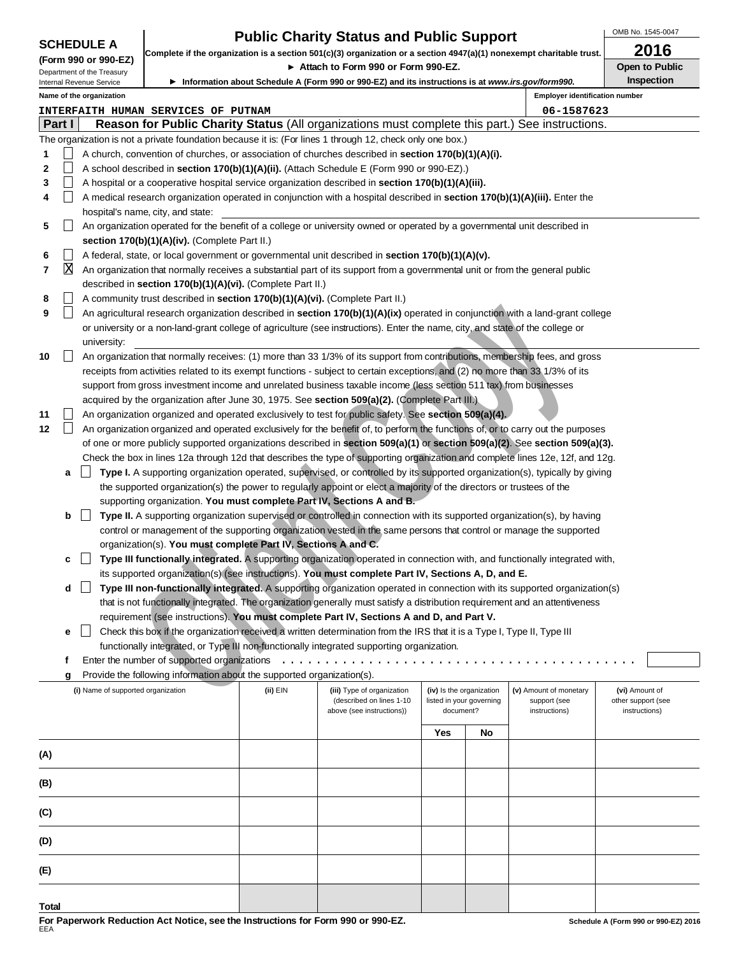| <b>Public Charity Status and Public Support</b>        |                                                                                                                                                                                                                                                    |                                                                          |                                                                              |  |                                                                                                                                  |     |    | OMB No. 1545-0047                     |                       |
|--------------------------------------------------------|----------------------------------------------------------------------------------------------------------------------------------------------------------------------------------------------------------------------------------------------------|--------------------------------------------------------------------------|------------------------------------------------------------------------------|--|----------------------------------------------------------------------------------------------------------------------------------|-----|----|---------------------------------------|-----------------------|
| <b>SCHEDULE A</b>                                      |                                                                                                                                                                                                                                                    |                                                                          |                                                                              |  | Complete if the organization is a section 501(c)(3) organization or a section $4947(a)(1)$ nonexempt charitable trust.           |     |    |                                       | 2016                  |
| (Form 990 or 990-EZ)                                   |                                                                                                                                                                                                                                                    |                                                                          |                                                                              |  | Attach to Form 990 or Form 990-EZ.                                                                                               |     |    |                                       | <b>Open to Public</b> |
| Department of the Treasury<br>Internal Revenue Service |                                                                                                                                                                                                                                                    |                                                                          |                                                                              |  | ▶ Information about Schedule A (Form 990 or 990-EZ) and its instructions is at www.irs.gov/form990.                              |     |    |                                       | Inspection            |
|                                                        |                                                                                                                                                                                                                                                    | Name of the organization                                                 |                                                                              |  |                                                                                                                                  |     |    | <b>Employer identification number</b> |                       |
|                                                        |                                                                                                                                                                                                                                                    |                                                                          | <b>INTERFAITH HUMAN SERVICES OF PUTNAM</b>                                   |  |                                                                                                                                  |     |    | 06-1587623                            |                       |
|                                                        | Part I                                                                                                                                                                                                                                             |                                                                          |                                                                              |  | Reason for Public Charity Status (All organizations must complete this part.) See instructions.                                  |     |    |                                       |                       |
|                                                        |                                                                                                                                                                                                                                                    |                                                                          |                                                                              |  | The organization is not a private foundation because it is: (For lines 1 through 12, check only one box.)                        |     |    |                                       |                       |
| 1                                                      |                                                                                                                                                                                                                                                    |                                                                          |                                                                              |  | A church, convention of churches, or association of churches described in <b>section 170(b)(1)(A)(i).</b>                        |     |    |                                       |                       |
| $\mathbf{2}$                                           |                                                                                                                                                                                                                                                    |                                                                          |                                                                              |  | A school described in section 170(b)(1)(A)(ii). (Attach Schedule E (Form 990 or 990-EZ).)                                        |     |    |                                       |                       |
| 3                                                      | $\vert \ \ \vert$                                                                                                                                                                                                                                  |                                                                          |                                                                              |  | A hospital or a cooperative hospital service organization described in section 170(b)(1)(A)(iii).                                |     |    |                                       |                       |
| 4                                                      |                                                                                                                                                                                                                                                    |                                                                          |                                                                              |  | A medical research organization operated in conjunction with a hospital described in section 170(b)(1)(A)(iii). Enter the        |     |    |                                       |                       |
|                                                        |                                                                                                                                                                                                                                                    |                                                                          | hospital's name, city, and state:                                            |  |                                                                                                                                  |     |    |                                       |                       |
| 5                                                      | $\vert \ \ \vert$                                                                                                                                                                                                                                  |                                                                          |                                                                              |  | An organization operated for the benefit of a college or university owned or operated by a governmental unit described in        |     |    |                                       |                       |
|                                                        |                                                                                                                                                                                                                                                    |                                                                          | section 170(b)(1)(A)(iv). (Complete Part II.)                                |  |                                                                                                                                  |     |    |                                       |                       |
| 6                                                      | $\blacksquare$                                                                                                                                                                                                                                     |                                                                          |                                                                              |  | A federal, state, or local government or governmental unit described in section 170(b)(1)(A)(v).                                 |     |    |                                       |                       |
| 7                                                      | X                                                                                                                                                                                                                                                  |                                                                          |                                                                              |  | An organization that normally receives a substantial part of its support from a governmental unit or from the general public     |     |    |                                       |                       |
|                                                        |                                                                                                                                                                                                                                                    |                                                                          | described in section 170(b)(1)(A)(vi). (Complete Part II.)                   |  |                                                                                                                                  |     |    |                                       |                       |
| 8                                                      |                                                                                                                                                                                                                                                    |                                                                          | A community trust described in section 170(b)(1)(A)(vi). (Complete Part II.) |  |                                                                                                                                  |     |    |                                       |                       |
| 9                                                      | $\Box$                                                                                                                                                                                                                                             |                                                                          |                                                                              |  | An agricultural research organization described in section 170(b)(1)(A)(ix) operated in conjunction with a land-grant college    |     |    |                                       |                       |
|                                                        |                                                                                                                                                                                                                                                    |                                                                          |                                                                              |  | or university or a non-land-grant college of agriculture (see instructions). Enter the name, city, and state of the college or   |     |    |                                       |                       |
|                                                        |                                                                                                                                                                                                                                                    | university:                                                              |                                                                              |  |                                                                                                                                  |     |    |                                       |                       |
| 10                                                     |                                                                                                                                                                                                                                                    |                                                                          |                                                                              |  | An organization that normally receives: (1) more than 33 1/3% of its support from contributions, membership fees, and gross      |     |    |                                       |                       |
|                                                        |                                                                                                                                                                                                                                                    |                                                                          |                                                                              |  | receipts from activities related to its exempt functions - subject to certain exceptions, and (2) no more than 33 1/3% of its    |     |    |                                       |                       |
|                                                        |                                                                                                                                                                                                                                                    |                                                                          |                                                                              |  | support from gross investment income and unrelated business taxable income (less section 511 tax) from businesses                |     |    |                                       |                       |
|                                                        |                                                                                                                                                                                                                                                    |                                                                          |                                                                              |  | acquired by the organization after June 30, 1975. See section 509(a)(2). (Complete Part III.)                                    |     |    |                                       |                       |
| 11                                                     |                                                                                                                                                                                                                                                    |                                                                          |                                                                              |  | An organization organized and operated exclusively to test for public safety. See section 509(a)(4).                             |     |    |                                       |                       |
| 12                                                     | $\Box$                                                                                                                                                                                                                                             |                                                                          |                                                                              |  | An organization organized and operated exclusively for the benefit of, to perform the functions of, or to carry out the purposes |     |    |                                       |                       |
|                                                        |                                                                                                                                                                                                                                                    |                                                                          |                                                                              |  | of one or more publicly supported organizations described in section 509(a)(1) or section 509(a)(2). See section 509(a)(3).      |     |    |                                       |                       |
|                                                        |                                                                                                                                                                                                                                                    |                                                                          |                                                                              |  | Check the box in lines 12a through 12d that describes the type of supporting organization and complete lines 12e, 12f, and 12g.  |     |    |                                       |                       |
|                                                        | a                                                                                                                                                                                                                                                  |                                                                          |                                                                              |  | Type I. A supporting organization operated, supervised, or controlled by its supported organization(s), typically by giving      |     |    |                                       |                       |
|                                                        |                                                                                                                                                                                                                                                    |                                                                          |                                                                              |  | the supported organization(s) the power to regularly appoint or elect a majority of the directors or trustees of the             |     |    |                                       |                       |
|                                                        |                                                                                                                                                                                                                                                    |                                                                          |                                                                              |  | supporting organization. You must complete Part IV, Sections A and B.                                                            |     |    |                                       |                       |
|                                                        | b                                                                                                                                                                                                                                                  | $\blacksquare$                                                           |                                                                              |  | Type II. A supporting organization supervised or controlled in connection with its supported organization(s), by having          |     |    |                                       |                       |
|                                                        |                                                                                                                                                                                                                                                    |                                                                          |                                                                              |  | control or management of the supporting organization vested in the same persons that control or manage the supported             |     |    |                                       |                       |
|                                                        |                                                                                                                                                                                                                                                    |                                                                          | organization(s). You must complete Part IV, Sections A and C.                |  |                                                                                                                                  |     |    |                                       |                       |
|                                                        | c                                                                                                                                                                                                                                                  |                                                                          |                                                                              |  | Type III functionally integrated. A supporting organization operated in connection with, and functionally integrated with,       |     |    |                                       |                       |
|                                                        |                                                                                                                                                                                                                                                    |                                                                          |                                                                              |  | its supported organization(s) (see instructions). You must complete Part IV, Sections A, D, and E.                               |     |    |                                       |                       |
|                                                        | d                                                                                                                                                                                                                                                  |                                                                          |                                                                              |  | Type III non-functionally integrated. A supporting organization operated in connection with its supported organization(s)        |     |    |                                       |                       |
|                                                        |                                                                                                                                                                                                                                                    |                                                                          |                                                                              |  | that is not functionally integrated. The organization generally must satisfy a distribution requirement and an attentiveness     |     |    |                                       |                       |
|                                                        |                                                                                                                                                                                                                                                    |                                                                          |                                                                              |  | requirement (see instructions). You must complete Part IV, Sections A and D, and Part V.                                         |     |    |                                       |                       |
|                                                        | е                                                                                                                                                                                                                                                  |                                                                          |                                                                              |  | Check this box if the organization received a written determination from the IRS that it is a Type I, Type II, Type III          |     |    |                                       |                       |
|                                                        | functionally integrated, or Type III non-functionally integrated supporting organization.                                                                                                                                                          |                                                                          |                                                                              |  |                                                                                                                                  |     |    |                                       |                       |
|                                                        | f                                                                                                                                                                                                                                                  |                                                                          |                                                                              |  |                                                                                                                                  |     |    |                                       |                       |
|                                                        | Provide the following information about the supported organization(s).<br>g                                                                                                                                                                        |                                                                          |                                                                              |  |                                                                                                                                  |     |    |                                       |                       |
|                                                        | (i) Name of supported organization<br>(ii) EIN<br>(iv) Is the organization<br>(v) Amount of monetary<br>(vi) Amount of<br>(iii) Type of organization<br>(described on lines 1-10<br>listed in your governing<br>support (see<br>other support (see |                                                                          |                                                                              |  |                                                                                                                                  |     |    |                                       |                       |
|                                                        |                                                                                                                                                                                                                                                    | above (see instructions))<br>document?<br>instructions)<br>instructions) |                                                                              |  |                                                                                                                                  |     |    |                                       |                       |
|                                                        |                                                                                                                                                                                                                                                    |                                                                          |                                                                              |  |                                                                                                                                  |     |    |                                       |                       |
|                                                        |                                                                                                                                                                                                                                                    |                                                                          |                                                                              |  |                                                                                                                                  | Yes | No |                                       |                       |
| (A)                                                    |                                                                                                                                                                                                                                                    |                                                                          |                                                                              |  |                                                                                                                                  |     |    |                                       |                       |
|                                                        |                                                                                                                                                                                                                                                    |                                                                          |                                                                              |  |                                                                                                                                  |     |    |                                       |                       |
| (B)                                                    |                                                                                                                                                                                                                                                    |                                                                          |                                                                              |  |                                                                                                                                  |     |    |                                       |                       |

**(C)**

**(D)**

**(E)**

**Total**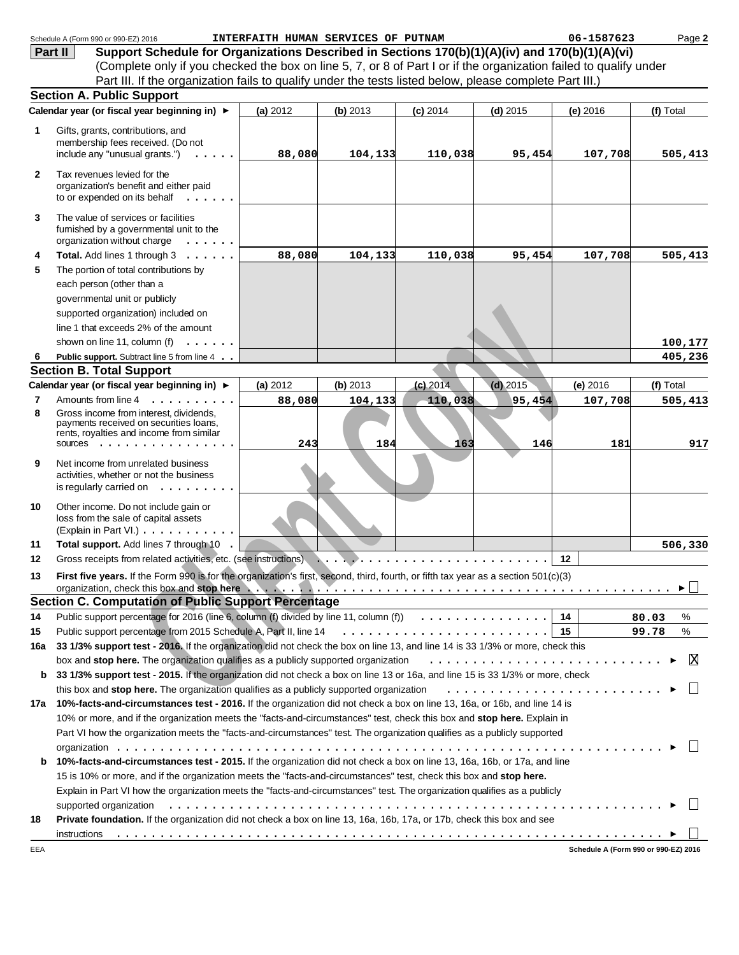|              | Schedule A (Form 990 or 990-EZ) 2016                                                                                                                                                                                           | INTERFAITH HUMAN SERVICES OF PUTNAM |          |            |            | 06-1587623 | Page 2                               |
|--------------|--------------------------------------------------------------------------------------------------------------------------------------------------------------------------------------------------------------------------------|-------------------------------------|----------|------------|------------|------------|--------------------------------------|
|              | Support Schedule for Organizations Described in Sections 170(b)(1)(A)(iv) and 170(b)(1)(A)(vi)<br>Part II                                                                                                                      |                                     |          |            |            |            |                                      |
|              | (Complete only if you checked the box on line 5, 7, or 8 of Part I or if the organization failed to qualify under                                                                                                              |                                     |          |            |            |            |                                      |
|              | Part III. If the organization fails to qualify under the tests listed below, please complete Part III.)                                                                                                                        |                                     |          |            |            |            |                                      |
|              | <b>Section A. Public Support</b>                                                                                                                                                                                               |                                     |          |            |            |            |                                      |
|              | Calendar year (or fiscal year beginning in) ▶                                                                                                                                                                                  | (a) 2012                            | (b) 2013 | $(c)$ 2014 | $(d)$ 2015 | (e) 2016   | (f) Total                            |
| 1            | Gifts, grants, contributions, and                                                                                                                                                                                              |                                     |          |            |            |            |                                      |
|              | membership fees received. (Do not                                                                                                                                                                                              |                                     |          |            |            |            |                                      |
|              | include any "unusual grants.")                                                                                                                                                                                                 | 88,080                              | 104,133  | 110,038    | 95,454     | 107,708    | 505,413                              |
|              |                                                                                                                                                                                                                                |                                     |          |            |            |            |                                      |
| $\mathbf{2}$ | Tax revenues levied for the<br>organization's benefit and either paid<br>to or expended on its behalf<br>$\cdots$                                                                                                              |                                     |          |            |            |            |                                      |
| 3            | The value of services or facilities<br>furnished by a governmental unit to the                                                                                                                                                 |                                     |          |            |            |            |                                      |
|              | organization without charge<br>.                                                                                                                                                                                               |                                     |          |            |            |            |                                      |
| 4            | Total. Add lines 1 through 3                                                                                                                                                                                                   | 88,080                              | 104,133  | 110,038    | 95,454     | 107,708    | 505,413                              |
| 5            | The portion of total contributions by                                                                                                                                                                                          |                                     |          |            |            |            |                                      |
|              | each person (other than a                                                                                                                                                                                                      |                                     |          |            |            |            |                                      |
|              | governmental unit or publicly                                                                                                                                                                                                  |                                     |          |            |            |            |                                      |
|              | supported organization) included on                                                                                                                                                                                            |                                     |          |            |            |            |                                      |
|              | line 1 that exceeds 2% of the amount                                                                                                                                                                                           |                                     |          |            |            |            |                                      |
|              | shown on line 11, column (f)<br>.                                                                                                                                                                                              |                                     |          |            |            |            | 100,177                              |
| 6            | Public support. Subtract line 5 from line 4                                                                                                                                                                                    |                                     |          |            |            |            | 405,236                              |
|              | <b>Section B. Total Support</b>                                                                                                                                                                                                |                                     |          |            |            |            |                                      |
|              | Calendar year (or fiscal year beginning in) ▶                                                                                                                                                                                  | (a) 2012                            | (b) 2013 | $(c)$ 2014 | $(d)$ 2015 | (e) 2016   | (f) Total                            |
| 7            | Amounts from line 4                                                                                                                                                                                                            | 88,080                              | 104,133  | 110,038    | 95,454     | 107,708    | 505,413                              |
| 8            | Gross income from interest, dividends,                                                                                                                                                                                         |                                     |          |            |            |            |                                      |
|              | payments received on securities loans,<br>rents, royalties and income from similar                                                                                                                                             |                                     |          |            |            |            |                                      |
|              | SOUICES                                                                                                                                                                                                                        | 243                                 | 184      | 163        | 146        | 181        | 917                                  |
| 9            | Net income from unrelated business<br>activities, whether or not the business<br>is regularly carried on $\dots \dots \dots$                                                                                                   |                                     |          |            |            |            |                                      |
| 10           | Other income. Do not include gain or<br>loss from the sale of capital assets<br>(Explain in Part VI.)                                                                                                                          |                                     |          |            |            |            |                                      |
| 11           | Total support. Add lines 7 through 10                                                                                                                                                                                          |                                     |          |            |            |            | 506,330                              |
| 12           | Gross receipts from related activities, etc. (see instructions)                                                                                                                                                                |                                     |          |            |            | 12         |                                      |
| 13           | First five years. If the Form 990 is for the organization's first, second, third, fourth, or fifth tax year as a section 501(c)(3)                                                                                             |                                     |          |            |            |            |                                      |
|              | <b>Section C. Computation of Public Support Percentage</b>                                                                                                                                                                     |                                     |          |            |            |            | ►                                    |
| 14           | Public support percentage for 2016 (line 6, column (f) divided by line 11, column (f) $\ldots \ldots \ldots \ldots$                                                                                                            |                                     |          |            |            | 14         | 80.03<br>%                           |
| 15           |                                                                                                                                                                                                                                |                                     |          |            |            | - 15       | 99.78<br>℅                           |
| 16a          | 33 1/3% support test - 2016. If the organization did not check the box on line 13, and line 14 is 33 1/3% or more, check this                                                                                                  |                                     |          |            |            |            |                                      |
|              | box and stop here. The organization qualifies as a publicly supported organization                                                                                                                                             |                                     |          |            |            |            | ΙX                                   |
|              | 33 1/3% support test - 2015. If the organization did not check a box on line 13 or 16a, and line 15 is 33 1/3% or more, check                                                                                                  |                                     |          |            |            |            |                                      |
| b            |                                                                                                                                                                                                                                |                                     |          |            |            |            |                                      |
|              | this box and stop here. The organization qualifies as a publicly supported organization                                                                                                                                        |                                     |          |            |            |            |                                      |
|              | 17a 10%-facts-and-circumstances test - 2016. If the organization did not check a box on line 13, 16a, or 16b, and line 14 is                                                                                                   |                                     |          |            |            |            |                                      |
|              | 10% or more, and if the organization meets the "facts-and-circumstances" test, check this box and stop here. Explain in                                                                                                        |                                     |          |            |            |            |                                      |
|              | Part VI how the organization meets the "facts-and-circumstances" test. The organization qualifies as a publicly supported                                                                                                      |                                     |          |            |            |            |                                      |
|              |                                                                                                                                                                                                                                |                                     |          |            |            |            |                                      |
| b            | 10%-facts-and-circumstances test - 2015. If the organization did not check a box on line 13, 16a, 16b, or 17a, and line                                                                                                        |                                     |          |            |            |            |                                      |
|              | 15 is 10% or more, and if the organization meets the "facts-and-circumstances" test, check this box and stop here.                                                                                                             |                                     |          |            |            |            |                                      |
|              | Explain in Part VI how the organization meets the "facts-and-circumstances" test. The organization qualifies as a publicly                                                                                                     |                                     |          |            |            |            |                                      |
|              | supported organization education of the content of the content of the content of the content of the content of the content of the content of the content of the content of the content of the content of the content of the co |                                     |          |            |            |            |                                      |
| 18           | Private foundation. If the organization did not check a box on line 13, 16a, 16b, 17a, or 17b, check this box and see                                                                                                          |                                     |          |            |            |            |                                      |
|              | instructions                                                                                                                                                                                                                   |                                     |          |            |            |            |                                      |
| EEA          |                                                                                                                                                                                                                                |                                     |          |            |            |            | Schedule A (Form 990 or 990-EZ) 2016 |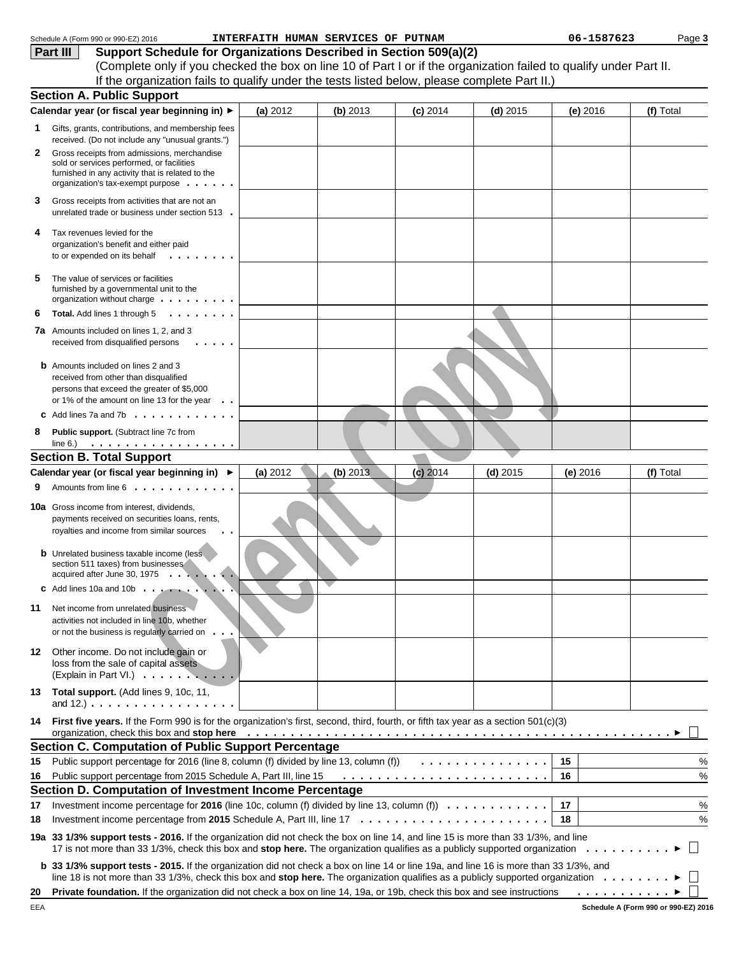|    | Schedule A (Form 990 or 990-EZ) 2016                                                                                                                                                                                                                                                                                                                               |          | INTERFAITH HUMAN SERVICES OF PUTNAM |            |            | 06-1587623                     | Page 3       |  |
|----|--------------------------------------------------------------------------------------------------------------------------------------------------------------------------------------------------------------------------------------------------------------------------------------------------------------------------------------------------------------------|----------|-------------------------------------|------------|------------|--------------------------------|--------------|--|
|    | Support Schedule for Organizations Described in Section 509(a)(2)<br>Part III                                                                                                                                                                                                                                                                                      |          |                                     |            |            |                                |              |  |
|    | (Complete only if you checked the box on line 10 of Part I or if the organization failed to qualify under Part II.                                                                                                                                                                                                                                                 |          |                                     |            |            |                                |              |  |
|    | If the organization fails to qualify under the tests listed below, please complete Part II.)                                                                                                                                                                                                                                                                       |          |                                     |            |            |                                |              |  |
|    | <b>Section A. Public Support</b>                                                                                                                                                                                                                                                                                                                                   |          |                                     |            |            |                                |              |  |
|    | Calendar year (or fiscal year beginning in) ▶                                                                                                                                                                                                                                                                                                                      | (a) 2012 | (b) 2013                            | $(c)$ 2014 | $(d)$ 2015 | (e) 2016                       | (f) Total    |  |
| 1. | Gifts, grants, contributions, and membership fees<br>received. (Do not include any "unusual grants.")                                                                                                                                                                                                                                                              |          |                                     |            |            |                                |              |  |
| 2  | Gross receipts from admissions, merchandise<br>sold or services performed, or facilities<br>furnished in any activity that is related to the<br>organization's tax-exempt purpose                                                                                                                                                                                  |          |                                     |            |            |                                |              |  |
| З  | Gross receipts from activities that are not an<br>unrelated trade or business under section 513.                                                                                                                                                                                                                                                                   |          |                                     |            |            |                                |              |  |
| 4  | Tax revenues levied for the<br>organization's benefit and either paid<br>to or expended on its behalf<br>.                                                                                                                                                                                                                                                         |          |                                     |            |            |                                |              |  |
| 5  | The value of services or facilities<br>furnished by a governmental unit to the<br>organization without charge $\dots \dots \dots$                                                                                                                                                                                                                                  |          |                                     |            |            |                                |              |  |
| 6  | .<br>Total. Add lines 1 through 5                                                                                                                                                                                                                                                                                                                                  |          |                                     |            |            |                                |              |  |
| 7a | Amounts included on lines 1, 2, and 3<br>received from disqualified persons                                                                                                                                                                                                                                                                                        |          |                                     |            |            |                                |              |  |
|    | <b>b</b> Amounts included on lines 2 and 3<br>received from other than disqualified<br>persons that exceed the greater of \$5,000<br>or 1% of the amount on line 13 for the year                                                                                                                                                                                   |          |                                     |            |            |                                |              |  |
|    | Add lines 7a and 7b $\cdot \cdot \cdot \cdot \cdot \cdot \cdot \cdot \cdot \cdot$                                                                                                                                                                                                                                                                                  |          |                                     |            |            |                                |              |  |
| 8  | Public support. (Subtract line 7c from                                                                                                                                                                                                                                                                                                                             |          |                                     |            |            |                                |              |  |
|    |                                                                                                                                                                                                                                                                                                                                                                    |          |                                     |            |            |                                |              |  |
|    | <b>Section B. Total Support</b>                                                                                                                                                                                                                                                                                                                                    |          |                                     |            |            |                                |              |  |
|    | Calendar year (or fiscal year beginning in) ▶                                                                                                                                                                                                                                                                                                                      | (a) 2012 | (b) 2013                            | $(c)$ 2014 | $(d)$ 2015 | $(e)$ 2016                     | (f) Total    |  |
|    | Amounts from line 6                                                                                                                                                                                                                                                                                                                                                |          |                                     |            |            |                                |              |  |
|    | <b>10a</b> Gross income from interest, dividends,<br>payments received on securities loans, rents,<br>royalties and income from similar sources                                                                                                                                                                                                                    |          |                                     |            |            |                                |              |  |
|    | <b>b</b> Unrelated business taxable income (less<br>section 511 taxes) from businesses<br>acquired after June 30, 1975 $\ldots$ , $\ldots$                                                                                                                                                                                                                         |          |                                     |            |            |                                |              |  |
|    | $\text{c}$ Add lines 10a and 10b $\ldots$ $\ldots$ $\ldots$                                                                                                                                                                                                                                                                                                        |          |                                     |            |            |                                |              |  |
| 11 | Net income from unrelated business<br>activities not included in line 10b, whether<br>or not the business is regularly carried on.                                                                                                                                                                                                                                 |          |                                     |            |            |                                |              |  |
| 12 | Other income. Do not include gain or<br>loss from the sale of capital assets<br>(Explain in Part VI.)                                                                                                                                                                                                                                                              |          |                                     |            |            |                                |              |  |
|    | 13 Total support. (Add lines 9, 10c, 11,<br>and $12.$ ) $\ldots$ $\ldots$ $\ldots$ $\ldots$ $\ldots$ $\ldots$ $\ldots$                                                                                                                                                                                                                                             |          |                                     |            |            |                                |              |  |
| 14 | First five years. If the Form 990 is for the organization's first, second, third, fourth, or fifth tax year as a section 501(c)(3)<br>organization, check this box and stop here entirely and state of the state of the state of the state of the state of the state of the state of the state of the state of the state of the state of the state of the state of |          |                                     |            |            |                                |              |  |
|    | <b>Section C. Computation of Public Support Percentage</b>                                                                                                                                                                                                                                                                                                         |          |                                     |            |            |                                |              |  |
| 15 | Public support percentage for 2016 (line 8, column (f) divided by line 13, column (f))                                                                                                                                                                                                                                                                             |          |                                     |            | .          | 15                             | $\%$         |  |
| 16 | Public support percentage from 2015 Schedule A, Part III, line 15                                                                                                                                                                                                                                                                                                  |          |                                     |            |            | 16                             | $\%$         |  |
|    | Section D. Computation of Investment Income Percentage                                                                                                                                                                                                                                                                                                             |          |                                     |            |            |                                |              |  |
| 17 | Investment income percentage for 2016 (line 10c, column (f) divided by line 13, column (f) $\ldots \ldots \ldots \ldots$                                                                                                                                                                                                                                           |          |                                     |            |            | 17                             | %            |  |
| 18 |                                                                                                                                                                                                                                                                                                                                                                    |          |                                     |            |            | 18                             | $\%$         |  |
|    | 19a 33 1/3% support tests - 2016. If the organization did not check the box on line 14, and line 15 is more than 33 1/3%, and line                                                                                                                                                                                                                                 |          |                                     |            |            |                                | $\mathbf{L}$ |  |
|    | b 33 1/3% support tests - 2015. If the organization did not check a box on line 14 or line 19a, and line 16 is more than 33 1/3%, and<br>line 18 is not more than 33 1/3%, check this box and stop here. The organization qualifies as a publicly supported organization                                                                                           |          |                                     |            |            |                                |              |  |
| 20 | Private foundation. If the organization did not check a box on line 14, 19a, or 19b, check this box and see instructions                                                                                                                                                                                                                                           |          |                                     |            |            | $\ldots$ $\blacktriangleright$ |              |  |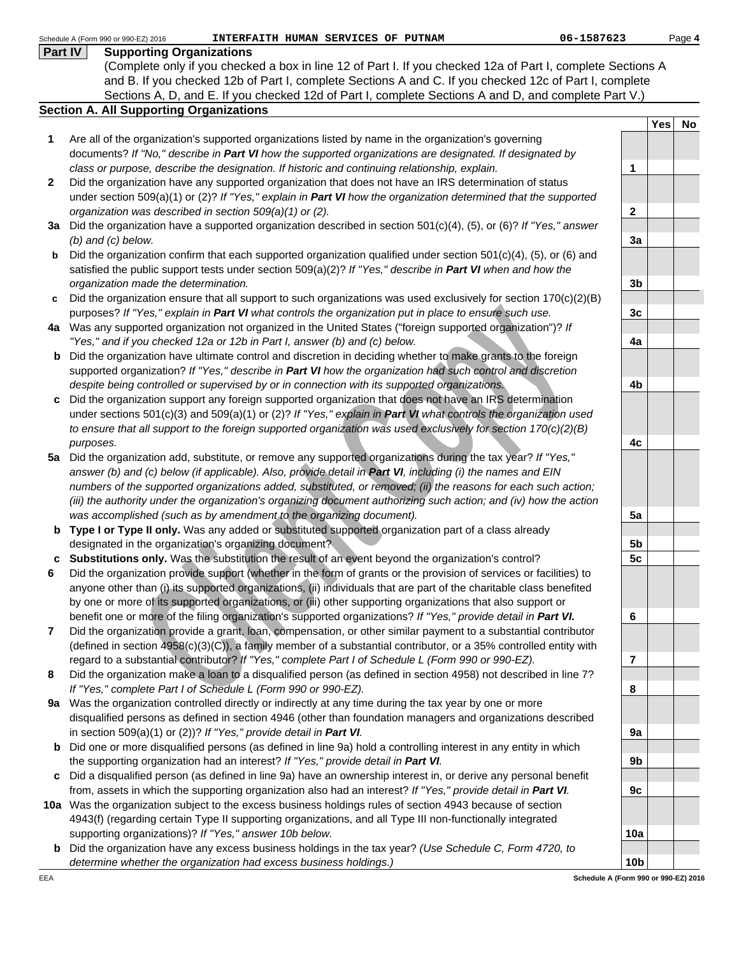| <b>Supporting Organizations</b><br>Part IV<br>(Complete only if you checked a box in line 12 of Part I. If you checked 12a of Part I, complete Sections A<br>and B. If you checked 12b of Part I, complete Sections A and C. If you checked 12c of Part I, complete<br>Sections A, D, and E. If you checked 12d of Part I, complete Sections A and D, and complete Part V.)<br><b>Section A. All Supporting Organizations</b><br><b>Yes</b><br>No<br>Are all of the organization's supported organizations listed by name in the organization's governing<br>1<br>documents? If "No," describe in Part VI how the supported organizations are designated. If designated by<br>class or purpose, describe the designation. If historic and continuing relationship, explain.<br>1<br>Did the organization have any supported organization that does not have an IRS determination of status<br>2<br>under section 509(a)(1) or (2)? If "Yes," explain in Part VI how the organization determined that the supported<br>organization was described in section 509(a)(1) or (2).<br>$\mathbf{2}$<br>3a Did the organization have a supported organization described in section 501(c)(4), (5), or (6)? If "Yes," answer<br>$(b)$ and $(c)$ below.<br>3a<br>Did the organization confirm that each supported organization qualified under section $501(c)(4)$ , (5), or (6) and<br>b<br>satisfied the public support tests under section $509(a)(2)?$ If "Yes," describe in Part VI when and how the<br>organization made the determination.<br>3 <sub>b</sub><br>Did the organization ensure that all support to such organizations was used exclusively for section $170(c)(2)(B)$<br>c<br>purposes? If "Yes," explain in Part VI what controls the organization put in place to ensure such use.<br>3c<br>4a Was any supported organization not organized in the United States ("foreign supported organization")? If<br>"Yes," and if you checked 12a or 12b in Part I, answer (b) and (c) below.<br>4a<br>Did the organization have ultimate control and discretion in deciding whether to make grants to the foreign<br>b<br>supported organization? If "Yes," describe in Part VI how the organization had such control and discretion<br>despite being controlled or supervised by or in connection with its supported organizations.<br>4b<br>Did the organization support any foreign supported organization that does not have an IRS determination<br>c<br>under sections 501(c)(3) and 509(a)(1) or (2)? If "Yes," explain in Part VI what controls the organization used<br>to ensure that all support to the foreign supported organization was used exclusively for section 170(c)(2)(B)<br>4c<br>purposes.<br>Did the organization add, substitute, or remove any supported organizations during the tax year? If "Yes,"<br>5a<br>answer (b) and (c) below (if applicable). Also, provide detail in Part VI, including (i) the names and EIN<br>numbers of the supported organizations added, substituted, or removed; (ii) the reasons for each such action;<br>(iii) the authority under the organization's organizing document authorizing such action; and (iv) how the action<br>was accomplished (such as by amendment to the organizing document).<br>5a<br>b Type I or Type II only. Was any added or substituted supported organization part of a class already<br>designated in the organization's organizing document?<br>5b<br>c Substitutions only. Was the substitution the result of an event beyond the organization's control?<br>5 <sub>c</sub><br>Did the organization provide support (whether in the form of grants or the provision of services or facilities) to<br>anyone other than (i) its supported organizations, (ii) individuals that are part of the charitable class benefited<br>by one or more of its supported organizations, or (iii) other supporting organizations that also support or<br>benefit one or more of the filing organization's supported organizations? If "Yes," provide detail in Part VI.<br>6<br>Did the organization provide a grant, loan, compensation, or other similar payment to a substantial contributor<br>7<br>(defined in section 4958(c)(3)(C)), a family member of a substantial contributor, or a 35% controlled entity with<br>regard to a substantial contributor? If "Yes," complete Part I of Schedule L (Form 990 or 990-EZ).<br>7<br>Did the organization make a loan to a disqualified person (as defined in section 4958) not described in line 7?<br>8<br>If "Yes," complete Part I of Schedule L (Form 990 or 990-EZ).<br>8<br>Was the organization controlled directly or indirectly at any time during the tax year by one or more<br>9а<br>disqualified persons as defined in section 4946 (other than foundation managers and organizations described<br>in section 509(a)(1) or (2))? If "Yes," provide detail in Part VI.<br>9a<br>Did one or more disqualified persons (as defined in line 9a) hold a controlling interest in any entity in which<br>b<br>the supporting organization had an interest? If "Yes," provide detail in Part VI.<br>9b<br>Did a disqualified person (as defined in line 9a) have an ownership interest in, or derive any personal benefit<br>c<br>from, assets in which the supporting organization also had an interest? If "Yes," provide detail in Part VI.<br>9c<br>10a Was the organization subject to the excess business holdings rules of section 4943 because of section<br>4943(f) (regarding certain Type II supporting organizations, and all Type III non-functionally integrated<br>supporting organizations)? If "Yes," answer 10b below.<br>10a<br>Did the organization have any excess business holdings in the tax year? (Use Schedule C, Form 4720, to<br>b<br>10 <sub>b</sub><br>determine whether the organization had excess business holdings.)<br>Schedule A (Form 990 or 990-EZ) 2016<br>EEA | 06-1587623<br>Schedule A (Form 990 or 990-EZ) 2016<br>INTERFAITH HUMAN SERVICES OF PUTNAM |  | Page 4 |
|-----------------------------------------------------------------------------------------------------------------------------------------------------------------------------------------------------------------------------------------------------------------------------------------------------------------------------------------------------------------------------------------------------------------------------------------------------------------------------------------------------------------------------------------------------------------------------------------------------------------------------------------------------------------------------------------------------------------------------------------------------------------------------------------------------------------------------------------------------------------------------------------------------------------------------------------------------------------------------------------------------------------------------------------------------------------------------------------------------------------------------------------------------------------------------------------------------------------------------------------------------------------------------------------------------------------------------------------------------------------------------------------------------------------------------------------------------------------------------------------------------------------------------------------------------------------------------------------------------------------------------------------------------------------------------------------------------------------------------------------------------------------------------------------------------------------------------------------------------------------------------------------------------------------------------------------------------------------------------------------------------------------------------------------------------------------------------------------------------------------------------------------------------------------------------------------------------------------------------------------------------------------------------------------------------------------------------------------------------------------------------------------------------------------------------------------------------------------------------------------------------------------------------------------------------------------------------------------------------------------------------------------------------------------------------------------------------------------------------------------------------------------------------------------------------------------------------------------------------------------------------------------------------------------------------------------------------------------------------------------------------------------------------------------------------------------------------------------------------------------------------------------------------------------------------------------------------------------------------------------------------------------------------------------------------------------------------------------------------------------------------------------------------------------------------------------------------------------------------------------------------------------------------------------------------------------------------------------------------------------------------------------------------------------------------------------------------------------------------------------------------------------------------------------------------------------------------------------------------------------------------------------------------------------------------------------------------------------------------------------------------------------------------------------------------------------------------------------------------------------------------------------------------------------------------------------------------------------------------------------------------------------------------------------------------------------------------------------------------------------------------------------------------------------------------------------------------------------------------------------------------------------------------------------------------------------------------------------------------------------------------------------------------------------------------------------------------------------------------------------------------------------------------------------------------------------------------------------------------------------------------------------------------------------------------------------------------------------------------------------------------------------------------------------------------------------------------------------------------------------------------------------------------------------------------------------------------------------------------------------------------------------------------------------------------------------------------------------------------------------------------------------------------------------------------------------------------------------------------------------------------------------------------------------------------------------------------------------------------------------------------------------------------------------------------------------------------------------------------------------------------------------------------------------------------------------------------------------------------------------------------------------------------------------------------------------------------|-------------------------------------------------------------------------------------------|--|--------|
|                                                                                                                                                                                                                                                                                                                                                                                                                                                                                                                                                                                                                                                                                                                                                                                                                                                                                                                                                                                                                                                                                                                                                                                                                                                                                                                                                                                                                                                                                                                                                                                                                                                                                                                                                                                                                                                                                                                                                                                                                                                                                                                                                                                                                                                                                                                                                                                                                                                                                                                                                                                                                                                                                                                                                                                                                                                                                                                                                                                                                                                                                                                                                                                                                                                                                                                                                                                                                                                                                                                                                                                                                                                                                                                                                                                                                                                                                                                                                                                                                                                                                                                                                                                                                                                                                                                                                                                                                                                                                                                                                                                                                                                                                                                                                                                                                                                                                                                                                                                                                                                                                                                                                                                                                                                                                                                                                                                                                                                                                                                                                                                                                                                                                                                                                                                                                                                                                                                                                     |                                                                                           |  |        |
|                                                                                                                                                                                                                                                                                                                                                                                                                                                                                                                                                                                                                                                                                                                                                                                                                                                                                                                                                                                                                                                                                                                                                                                                                                                                                                                                                                                                                                                                                                                                                                                                                                                                                                                                                                                                                                                                                                                                                                                                                                                                                                                                                                                                                                                                                                                                                                                                                                                                                                                                                                                                                                                                                                                                                                                                                                                                                                                                                                                                                                                                                                                                                                                                                                                                                                                                                                                                                                                                                                                                                                                                                                                                                                                                                                                                                                                                                                                                                                                                                                                                                                                                                                                                                                                                                                                                                                                                                                                                                                                                                                                                                                                                                                                                                                                                                                                                                                                                                                                                                                                                                                                                                                                                                                                                                                                                                                                                                                                                                                                                                                                                                                                                                                                                                                                                                                                                                                                                                     |                                                                                           |  |        |
|                                                                                                                                                                                                                                                                                                                                                                                                                                                                                                                                                                                                                                                                                                                                                                                                                                                                                                                                                                                                                                                                                                                                                                                                                                                                                                                                                                                                                                                                                                                                                                                                                                                                                                                                                                                                                                                                                                                                                                                                                                                                                                                                                                                                                                                                                                                                                                                                                                                                                                                                                                                                                                                                                                                                                                                                                                                                                                                                                                                                                                                                                                                                                                                                                                                                                                                                                                                                                                                                                                                                                                                                                                                                                                                                                                                                                                                                                                                                                                                                                                                                                                                                                                                                                                                                                                                                                                                                                                                                                                                                                                                                                                                                                                                                                                                                                                                                                                                                                                                                                                                                                                                                                                                                                                                                                                                                                                                                                                                                                                                                                                                                                                                                                                                                                                                                                                                                                                                                                     |                                                                                           |  |        |
|                                                                                                                                                                                                                                                                                                                                                                                                                                                                                                                                                                                                                                                                                                                                                                                                                                                                                                                                                                                                                                                                                                                                                                                                                                                                                                                                                                                                                                                                                                                                                                                                                                                                                                                                                                                                                                                                                                                                                                                                                                                                                                                                                                                                                                                                                                                                                                                                                                                                                                                                                                                                                                                                                                                                                                                                                                                                                                                                                                                                                                                                                                                                                                                                                                                                                                                                                                                                                                                                                                                                                                                                                                                                                                                                                                                                                                                                                                                                                                                                                                                                                                                                                                                                                                                                                                                                                                                                                                                                                                                                                                                                                                                                                                                                                                                                                                                                                                                                                                                                                                                                                                                                                                                                                                                                                                                                                                                                                                                                                                                                                                                                                                                                                                                                                                                                                                                                                                                                                     |                                                                                           |  |        |
|                                                                                                                                                                                                                                                                                                                                                                                                                                                                                                                                                                                                                                                                                                                                                                                                                                                                                                                                                                                                                                                                                                                                                                                                                                                                                                                                                                                                                                                                                                                                                                                                                                                                                                                                                                                                                                                                                                                                                                                                                                                                                                                                                                                                                                                                                                                                                                                                                                                                                                                                                                                                                                                                                                                                                                                                                                                                                                                                                                                                                                                                                                                                                                                                                                                                                                                                                                                                                                                                                                                                                                                                                                                                                                                                                                                                                                                                                                                                                                                                                                                                                                                                                                                                                                                                                                                                                                                                                                                                                                                                                                                                                                                                                                                                                                                                                                                                                                                                                                                                                                                                                                                                                                                                                                                                                                                                                                                                                                                                                                                                                                                                                                                                                                                                                                                                                                                                                                                                                     |                                                                                           |  |        |
|                                                                                                                                                                                                                                                                                                                                                                                                                                                                                                                                                                                                                                                                                                                                                                                                                                                                                                                                                                                                                                                                                                                                                                                                                                                                                                                                                                                                                                                                                                                                                                                                                                                                                                                                                                                                                                                                                                                                                                                                                                                                                                                                                                                                                                                                                                                                                                                                                                                                                                                                                                                                                                                                                                                                                                                                                                                                                                                                                                                                                                                                                                                                                                                                                                                                                                                                                                                                                                                                                                                                                                                                                                                                                                                                                                                                                                                                                                                                                                                                                                                                                                                                                                                                                                                                                                                                                                                                                                                                                                                                                                                                                                                                                                                                                                                                                                                                                                                                                                                                                                                                                                                                                                                                                                                                                                                                                                                                                                                                                                                                                                                                                                                                                                                                                                                                                                                                                                                                                     |                                                                                           |  |        |
|                                                                                                                                                                                                                                                                                                                                                                                                                                                                                                                                                                                                                                                                                                                                                                                                                                                                                                                                                                                                                                                                                                                                                                                                                                                                                                                                                                                                                                                                                                                                                                                                                                                                                                                                                                                                                                                                                                                                                                                                                                                                                                                                                                                                                                                                                                                                                                                                                                                                                                                                                                                                                                                                                                                                                                                                                                                                                                                                                                                                                                                                                                                                                                                                                                                                                                                                                                                                                                                                                                                                                                                                                                                                                                                                                                                                                                                                                                                                                                                                                                                                                                                                                                                                                                                                                                                                                                                                                                                                                                                                                                                                                                                                                                                                                                                                                                                                                                                                                                                                                                                                                                                                                                                                                                                                                                                                                                                                                                                                                                                                                                                                                                                                                                                                                                                                                                                                                                                                                     |                                                                                           |  |        |
|                                                                                                                                                                                                                                                                                                                                                                                                                                                                                                                                                                                                                                                                                                                                                                                                                                                                                                                                                                                                                                                                                                                                                                                                                                                                                                                                                                                                                                                                                                                                                                                                                                                                                                                                                                                                                                                                                                                                                                                                                                                                                                                                                                                                                                                                                                                                                                                                                                                                                                                                                                                                                                                                                                                                                                                                                                                                                                                                                                                                                                                                                                                                                                                                                                                                                                                                                                                                                                                                                                                                                                                                                                                                                                                                                                                                                                                                                                                                                                                                                                                                                                                                                                                                                                                                                                                                                                                                                                                                                                                                                                                                                                                                                                                                                                                                                                                                                                                                                                                                                                                                                                                                                                                                                                                                                                                                                                                                                                                                                                                                                                                                                                                                                                                                                                                                                                                                                                                                                     |                                                                                           |  |        |
|                                                                                                                                                                                                                                                                                                                                                                                                                                                                                                                                                                                                                                                                                                                                                                                                                                                                                                                                                                                                                                                                                                                                                                                                                                                                                                                                                                                                                                                                                                                                                                                                                                                                                                                                                                                                                                                                                                                                                                                                                                                                                                                                                                                                                                                                                                                                                                                                                                                                                                                                                                                                                                                                                                                                                                                                                                                                                                                                                                                                                                                                                                                                                                                                                                                                                                                                                                                                                                                                                                                                                                                                                                                                                                                                                                                                                                                                                                                                                                                                                                                                                                                                                                                                                                                                                                                                                                                                                                                                                                                                                                                                                                                                                                                                                                                                                                                                                                                                                                                                                                                                                                                                                                                                                                                                                                                                                                                                                                                                                                                                                                                                                                                                                                                                                                                                                                                                                                                                                     |                                                                                           |  |        |
|                                                                                                                                                                                                                                                                                                                                                                                                                                                                                                                                                                                                                                                                                                                                                                                                                                                                                                                                                                                                                                                                                                                                                                                                                                                                                                                                                                                                                                                                                                                                                                                                                                                                                                                                                                                                                                                                                                                                                                                                                                                                                                                                                                                                                                                                                                                                                                                                                                                                                                                                                                                                                                                                                                                                                                                                                                                                                                                                                                                                                                                                                                                                                                                                                                                                                                                                                                                                                                                                                                                                                                                                                                                                                                                                                                                                                                                                                                                                                                                                                                                                                                                                                                                                                                                                                                                                                                                                                                                                                                                                                                                                                                                                                                                                                                                                                                                                                                                                                                                                                                                                                                                                                                                                                                                                                                                                                                                                                                                                                                                                                                                                                                                                                                                                                                                                                                                                                                                                                     |                                                                                           |  |        |
|                                                                                                                                                                                                                                                                                                                                                                                                                                                                                                                                                                                                                                                                                                                                                                                                                                                                                                                                                                                                                                                                                                                                                                                                                                                                                                                                                                                                                                                                                                                                                                                                                                                                                                                                                                                                                                                                                                                                                                                                                                                                                                                                                                                                                                                                                                                                                                                                                                                                                                                                                                                                                                                                                                                                                                                                                                                                                                                                                                                                                                                                                                                                                                                                                                                                                                                                                                                                                                                                                                                                                                                                                                                                                                                                                                                                                                                                                                                                                                                                                                                                                                                                                                                                                                                                                                                                                                                                                                                                                                                                                                                                                                                                                                                                                                                                                                                                                                                                                                                                                                                                                                                                                                                                                                                                                                                                                                                                                                                                                                                                                                                                                                                                                                                                                                                                                                                                                                                                                     |                                                                                           |  |        |
|                                                                                                                                                                                                                                                                                                                                                                                                                                                                                                                                                                                                                                                                                                                                                                                                                                                                                                                                                                                                                                                                                                                                                                                                                                                                                                                                                                                                                                                                                                                                                                                                                                                                                                                                                                                                                                                                                                                                                                                                                                                                                                                                                                                                                                                                                                                                                                                                                                                                                                                                                                                                                                                                                                                                                                                                                                                                                                                                                                                                                                                                                                                                                                                                                                                                                                                                                                                                                                                                                                                                                                                                                                                                                                                                                                                                                                                                                                                                                                                                                                                                                                                                                                                                                                                                                                                                                                                                                                                                                                                                                                                                                                                                                                                                                                                                                                                                                                                                                                                                                                                                                                                                                                                                                                                                                                                                                                                                                                                                                                                                                                                                                                                                                                                                                                                                                                                                                                                                                     |                                                                                           |  |        |
|                                                                                                                                                                                                                                                                                                                                                                                                                                                                                                                                                                                                                                                                                                                                                                                                                                                                                                                                                                                                                                                                                                                                                                                                                                                                                                                                                                                                                                                                                                                                                                                                                                                                                                                                                                                                                                                                                                                                                                                                                                                                                                                                                                                                                                                                                                                                                                                                                                                                                                                                                                                                                                                                                                                                                                                                                                                                                                                                                                                                                                                                                                                                                                                                                                                                                                                                                                                                                                                                                                                                                                                                                                                                                                                                                                                                                                                                                                                                                                                                                                                                                                                                                                                                                                                                                                                                                                                                                                                                                                                                                                                                                                                                                                                                                                                                                                                                                                                                                                                                                                                                                                                                                                                                                                                                                                                                                                                                                                                                                                                                                                                                                                                                                                                                                                                                                                                                                                                                                     |                                                                                           |  |        |
|                                                                                                                                                                                                                                                                                                                                                                                                                                                                                                                                                                                                                                                                                                                                                                                                                                                                                                                                                                                                                                                                                                                                                                                                                                                                                                                                                                                                                                                                                                                                                                                                                                                                                                                                                                                                                                                                                                                                                                                                                                                                                                                                                                                                                                                                                                                                                                                                                                                                                                                                                                                                                                                                                                                                                                                                                                                                                                                                                                                                                                                                                                                                                                                                                                                                                                                                                                                                                                                                                                                                                                                                                                                                                                                                                                                                                                                                                                                                                                                                                                                                                                                                                                                                                                                                                                                                                                                                                                                                                                                                                                                                                                                                                                                                                                                                                                                                                                                                                                                                                                                                                                                                                                                                                                                                                                                                                                                                                                                                                                                                                                                                                                                                                                                                                                                                                                                                                                                                                     |                                                                                           |  |        |
|                                                                                                                                                                                                                                                                                                                                                                                                                                                                                                                                                                                                                                                                                                                                                                                                                                                                                                                                                                                                                                                                                                                                                                                                                                                                                                                                                                                                                                                                                                                                                                                                                                                                                                                                                                                                                                                                                                                                                                                                                                                                                                                                                                                                                                                                                                                                                                                                                                                                                                                                                                                                                                                                                                                                                                                                                                                                                                                                                                                                                                                                                                                                                                                                                                                                                                                                                                                                                                                                                                                                                                                                                                                                                                                                                                                                                                                                                                                                                                                                                                                                                                                                                                                                                                                                                                                                                                                                                                                                                                                                                                                                                                                                                                                                                                                                                                                                                                                                                                                                                                                                                                                                                                                                                                                                                                                                                                                                                                                                                                                                                                                                                                                                                                                                                                                                                                                                                                                                                     |                                                                                           |  |        |
|                                                                                                                                                                                                                                                                                                                                                                                                                                                                                                                                                                                                                                                                                                                                                                                                                                                                                                                                                                                                                                                                                                                                                                                                                                                                                                                                                                                                                                                                                                                                                                                                                                                                                                                                                                                                                                                                                                                                                                                                                                                                                                                                                                                                                                                                                                                                                                                                                                                                                                                                                                                                                                                                                                                                                                                                                                                                                                                                                                                                                                                                                                                                                                                                                                                                                                                                                                                                                                                                                                                                                                                                                                                                                                                                                                                                                                                                                                                                                                                                                                                                                                                                                                                                                                                                                                                                                                                                                                                                                                                                                                                                                                                                                                                                                                                                                                                                                                                                                                                                                                                                                                                                                                                                                                                                                                                                                                                                                                                                                                                                                                                                                                                                                                                                                                                                                                                                                                                                                     |                                                                                           |  |        |
|                                                                                                                                                                                                                                                                                                                                                                                                                                                                                                                                                                                                                                                                                                                                                                                                                                                                                                                                                                                                                                                                                                                                                                                                                                                                                                                                                                                                                                                                                                                                                                                                                                                                                                                                                                                                                                                                                                                                                                                                                                                                                                                                                                                                                                                                                                                                                                                                                                                                                                                                                                                                                                                                                                                                                                                                                                                                                                                                                                                                                                                                                                                                                                                                                                                                                                                                                                                                                                                                                                                                                                                                                                                                                                                                                                                                                                                                                                                                                                                                                                                                                                                                                                                                                                                                                                                                                                                                                                                                                                                                                                                                                                                                                                                                                                                                                                                                                                                                                                                                                                                                                                                                                                                                                                                                                                                                                                                                                                                                                                                                                                                                                                                                                                                                                                                                                                                                                                                                                     |                                                                                           |  |        |
|                                                                                                                                                                                                                                                                                                                                                                                                                                                                                                                                                                                                                                                                                                                                                                                                                                                                                                                                                                                                                                                                                                                                                                                                                                                                                                                                                                                                                                                                                                                                                                                                                                                                                                                                                                                                                                                                                                                                                                                                                                                                                                                                                                                                                                                                                                                                                                                                                                                                                                                                                                                                                                                                                                                                                                                                                                                                                                                                                                                                                                                                                                                                                                                                                                                                                                                                                                                                                                                                                                                                                                                                                                                                                                                                                                                                                                                                                                                                                                                                                                                                                                                                                                                                                                                                                                                                                                                                                                                                                                                                                                                                                                                                                                                                                                                                                                                                                                                                                                                                                                                                                                                                                                                                                                                                                                                                                                                                                                                                                                                                                                                                                                                                                                                                                                                                                                                                                                                                                     |                                                                                           |  |        |
|                                                                                                                                                                                                                                                                                                                                                                                                                                                                                                                                                                                                                                                                                                                                                                                                                                                                                                                                                                                                                                                                                                                                                                                                                                                                                                                                                                                                                                                                                                                                                                                                                                                                                                                                                                                                                                                                                                                                                                                                                                                                                                                                                                                                                                                                                                                                                                                                                                                                                                                                                                                                                                                                                                                                                                                                                                                                                                                                                                                                                                                                                                                                                                                                                                                                                                                                                                                                                                                                                                                                                                                                                                                                                                                                                                                                                                                                                                                                                                                                                                                                                                                                                                                                                                                                                                                                                                                                                                                                                                                                                                                                                                                                                                                                                                                                                                                                                                                                                                                                                                                                                                                                                                                                                                                                                                                                                                                                                                                                                                                                                                                                                                                                                                                                                                                                                                                                                                                                                     |                                                                                           |  |        |
|                                                                                                                                                                                                                                                                                                                                                                                                                                                                                                                                                                                                                                                                                                                                                                                                                                                                                                                                                                                                                                                                                                                                                                                                                                                                                                                                                                                                                                                                                                                                                                                                                                                                                                                                                                                                                                                                                                                                                                                                                                                                                                                                                                                                                                                                                                                                                                                                                                                                                                                                                                                                                                                                                                                                                                                                                                                                                                                                                                                                                                                                                                                                                                                                                                                                                                                                                                                                                                                                                                                                                                                                                                                                                                                                                                                                                                                                                                                                                                                                                                                                                                                                                                                                                                                                                                                                                                                                                                                                                                                                                                                                                                                                                                                                                                                                                                                                                                                                                                                                                                                                                                                                                                                                                                                                                                                                                                                                                                                                                                                                                                                                                                                                                                                                                                                                                                                                                                                                                     |                                                                                           |  |        |
|                                                                                                                                                                                                                                                                                                                                                                                                                                                                                                                                                                                                                                                                                                                                                                                                                                                                                                                                                                                                                                                                                                                                                                                                                                                                                                                                                                                                                                                                                                                                                                                                                                                                                                                                                                                                                                                                                                                                                                                                                                                                                                                                                                                                                                                                                                                                                                                                                                                                                                                                                                                                                                                                                                                                                                                                                                                                                                                                                                                                                                                                                                                                                                                                                                                                                                                                                                                                                                                                                                                                                                                                                                                                                                                                                                                                                                                                                                                                                                                                                                                                                                                                                                                                                                                                                                                                                                                                                                                                                                                                                                                                                                                                                                                                                                                                                                                                                                                                                                                                                                                                                                                                                                                                                                                                                                                                                                                                                                                                                                                                                                                                                                                                                                                                                                                                                                                                                                                                                     |                                                                                           |  |        |
|                                                                                                                                                                                                                                                                                                                                                                                                                                                                                                                                                                                                                                                                                                                                                                                                                                                                                                                                                                                                                                                                                                                                                                                                                                                                                                                                                                                                                                                                                                                                                                                                                                                                                                                                                                                                                                                                                                                                                                                                                                                                                                                                                                                                                                                                                                                                                                                                                                                                                                                                                                                                                                                                                                                                                                                                                                                                                                                                                                                                                                                                                                                                                                                                                                                                                                                                                                                                                                                                                                                                                                                                                                                                                                                                                                                                                                                                                                                                                                                                                                                                                                                                                                                                                                                                                                                                                                                                                                                                                                                                                                                                                                                                                                                                                                                                                                                                                                                                                                                                                                                                                                                                                                                                                                                                                                                                                                                                                                                                                                                                                                                                                                                                                                                                                                                                                                                                                                                                                     |                                                                                           |  |        |
|                                                                                                                                                                                                                                                                                                                                                                                                                                                                                                                                                                                                                                                                                                                                                                                                                                                                                                                                                                                                                                                                                                                                                                                                                                                                                                                                                                                                                                                                                                                                                                                                                                                                                                                                                                                                                                                                                                                                                                                                                                                                                                                                                                                                                                                                                                                                                                                                                                                                                                                                                                                                                                                                                                                                                                                                                                                                                                                                                                                                                                                                                                                                                                                                                                                                                                                                                                                                                                                                                                                                                                                                                                                                                                                                                                                                                                                                                                                                                                                                                                                                                                                                                                                                                                                                                                                                                                                                                                                                                                                                                                                                                                                                                                                                                                                                                                                                                                                                                                                                                                                                                                                                                                                                                                                                                                                                                                                                                                                                                                                                                                                                                                                                                                                                                                                                                                                                                                                                                     |                                                                                           |  |        |
|                                                                                                                                                                                                                                                                                                                                                                                                                                                                                                                                                                                                                                                                                                                                                                                                                                                                                                                                                                                                                                                                                                                                                                                                                                                                                                                                                                                                                                                                                                                                                                                                                                                                                                                                                                                                                                                                                                                                                                                                                                                                                                                                                                                                                                                                                                                                                                                                                                                                                                                                                                                                                                                                                                                                                                                                                                                                                                                                                                                                                                                                                                                                                                                                                                                                                                                                                                                                                                                                                                                                                                                                                                                                                                                                                                                                                                                                                                                                                                                                                                                                                                                                                                                                                                                                                                                                                                                                                                                                                                                                                                                                                                                                                                                                                                                                                                                                                                                                                                                                                                                                                                                                                                                                                                                                                                                                                                                                                                                                                                                                                                                                                                                                                                                                                                                                                                                                                                                                                     |                                                                                           |  |        |
|                                                                                                                                                                                                                                                                                                                                                                                                                                                                                                                                                                                                                                                                                                                                                                                                                                                                                                                                                                                                                                                                                                                                                                                                                                                                                                                                                                                                                                                                                                                                                                                                                                                                                                                                                                                                                                                                                                                                                                                                                                                                                                                                                                                                                                                                                                                                                                                                                                                                                                                                                                                                                                                                                                                                                                                                                                                                                                                                                                                                                                                                                                                                                                                                                                                                                                                                                                                                                                                                                                                                                                                                                                                                                                                                                                                                                                                                                                                                                                                                                                                                                                                                                                                                                                                                                                                                                                                                                                                                                                                                                                                                                                                                                                                                                                                                                                                                                                                                                                                                                                                                                                                                                                                                                                                                                                                                                                                                                                                                                                                                                                                                                                                                                                                                                                                                                                                                                                                                                     |                                                                                           |  |        |
|                                                                                                                                                                                                                                                                                                                                                                                                                                                                                                                                                                                                                                                                                                                                                                                                                                                                                                                                                                                                                                                                                                                                                                                                                                                                                                                                                                                                                                                                                                                                                                                                                                                                                                                                                                                                                                                                                                                                                                                                                                                                                                                                                                                                                                                                                                                                                                                                                                                                                                                                                                                                                                                                                                                                                                                                                                                                                                                                                                                                                                                                                                                                                                                                                                                                                                                                                                                                                                                                                                                                                                                                                                                                                                                                                                                                                                                                                                                                                                                                                                                                                                                                                                                                                                                                                                                                                                                                                                                                                                                                                                                                                                                                                                                                                                                                                                                                                                                                                                                                                                                                                                                                                                                                                                                                                                                                                                                                                                                                                                                                                                                                                                                                                                                                                                                                                                                                                                                                                     |                                                                                           |  |        |
|                                                                                                                                                                                                                                                                                                                                                                                                                                                                                                                                                                                                                                                                                                                                                                                                                                                                                                                                                                                                                                                                                                                                                                                                                                                                                                                                                                                                                                                                                                                                                                                                                                                                                                                                                                                                                                                                                                                                                                                                                                                                                                                                                                                                                                                                                                                                                                                                                                                                                                                                                                                                                                                                                                                                                                                                                                                                                                                                                                                                                                                                                                                                                                                                                                                                                                                                                                                                                                                                                                                                                                                                                                                                                                                                                                                                                                                                                                                                                                                                                                                                                                                                                                                                                                                                                                                                                                                                                                                                                                                                                                                                                                                                                                                                                                                                                                                                                                                                                                                                                                                                                                                                                                                                                                                                                                                                                                                                                                                                                                                                                                                                                                                                                                                                                                                                                                                                                                                                                     |                                                                                           |  |        |
|                                                                                                                                                                                                                                                                                                                                                                                                                                                                                                                                                                                                                                                                                                                                                                                                                                                                                                                                                                                                                                                                                                                                                                                                                                                                                                                                                                                                                                                                                                                                                                                                                                                                                                                                                                                                                                                                                                                                                                                                                                                                                                                                                                                                                                                                                                                                                                                                                                                                                                                                                                                                                                                                                                                                                                                                                                                                                                                                                                                                                                                                                                                                                                                                                                                                                                                                                                                                                                                                                                                                                                                                                                                                                                                                                                                                                                                                                                                                                                                                                                                                                                                                                                                                                                                                                                                                                                                                                                                                                                                                                                                                                                                                                                                                                                                                                                                                                                                                                                                                                                                                                                                                                                                                                                                                                                                                                                                                                                                                                                                                                                                                                                                                                                                                                                                                                                                                                                                                                     |                                                                                           |  |        |
|                                                                                                                                                                                                                                                                                                                                                                                                                                                                                                                                                                                                                                                                                                                                                                                                                                                                                                                                                                                                                                                                                                                                                                                                                                                                                                                                                                                                                                                                                                                                                                                                                                                                                                                                                                                                                                                                                                                                                                                                                                                                                                                                                                                                                                                                                                                                                                                                                                                                                                                                                                                                                                                                                                                                                                                                                                                                                                                                                                                                                                                                                                                                                                                                                                                                                                                                                                                                                                                                                                                                                                                                                                                                                                                                                                                                                                                                                                                                                                                                                                                                                                                                                                                                                                                                                                                                                                                                                                                                                                                                                                                                                                                                                                                                                                                                                                                                                                                                                                                                                                                                                                                                                                                                                                                                                                                                                                                                                                                                                                                                                                                                                                                                                                                                                                                                                                                                                                                                                     |                                                                                           |  |        |
|                                                                                                                                                                                                                                                                                                                                                                                                                                                                                                                                                                                                                                                                                                                                                                                                                                                                                                                                                                                                                                                                                                                                                                                                                                                                                                                                                                                                                                                                                                                                                                                                                                                                                                                                                                                                                                                                                                                                                                                                                                                                                                                                                                                                                                                                                                                                                                                                                                                                                                                                                                                                                                                                                                                                                                                                                                                                                                                                                                                                                                                                                                                                                                                                                                                                                                                                                                                                                                                                                                                                                                                                                                                                                                                                                                                                                                                                                                                                                                                                                                                                                                                                                                                                                                                                                                                                                                                                                                                                                                                                                                                                                                                                                                                                                                                                                                                                                                                                                                                                                                                                                                                                                                                                                                                                                                                                                                                                                                                                                                                                                                                                                                                                                                                                                                                                                                                                                                                                                     |                                                                                           |  |        |
|                                                                                                                                                                                                                                                                                                                                                                                                                                                                                                                                                                                                                                                                                                                                                                                                                                                                                                                                                                                                                                                                                                                                                                                                                                                                                                                                                                                                                                                                                                                                                                                                                                                                                                                                                                                                                                                                                                                                                                                                                                                                                                                                                                                                                                                                                                                                                                                                                                                                                                                                                                                                                                                                                                                                                                                                                                                                                                                                                                                                                                                                                                                                                                                                                                                                                                                                                                                                                                                                                                                                                                                                                                                                                                                                                                                                                                                                                                                                                                                                                                                                                                                                                                                                                                                                                                                                                                                                                                                                                                                                                                                                                                                                                                                                                                                                                                                                                                                                                                                                                                                                                                                                                                                                                                                                                                                                                                                                                                                                                                                                                                                                                                                                                                                                                                                                                                                                                                                                                     |                                                                                           |  |        |
|                                                                                                                                                                                                                                                                                                                                                                                                                                                                                                                                                                                                                                                                                                                                                                                                                                                                                                                                                                                                                                                                                                                                                                                                                                                                                                                                                                                                                                                                                                                                                                                                                                                                                                                                                                                                                                                                                                                                                                                                                                                                                                                                                                                                                                                                                                                                                                                                                                                                                                                                                                                                                                                                                                                                                                                                                                                                                                                                                                                                                                                                                                                                                                                                                                                                                                                                                                                                                                                                                                                                                                                                                                                                                                                                                                                                                                                                                                                                                                                                                                                                                                                                                                                                                                                                                                                                                                                                                                                                                                                                                                                                                                                                                                                                                                                                                                                                                                                                                                                                                                                                                                                                                                                                                                                                                                                                                                                                                                                                                                                                                                                                                                                                                                                                                                                                                                                                                                                                                     |                                                                                           |  |        |
|                                                                                                                                                                                                                                                                                                                                                                                                                                                                                                                                                                                                                                                                                                                                                                                                                                                                                                                                                                                                                                                                                                                                                                                                                                                                                                                                                                                                                                                                                                                                                                                                                                                                                                                                                                                                                                                                                                                                                                                                                                                                                                                                                                                                                                                                                                                                                                                                                                                                                                                                                                                                                                                                                                                                                                                                                                                                                                                                                                                                                                                                                                                                                                                                                                                                                                                                                                                                                                                                                                                                                                                                                                                                                                                                                                                                                                                                                                                                                                                                                                                                                                                                                                                                                                                                                                                                                                                                                                                                                                                                                                                                                                                                                                                                                                                                                                                                                                                                                                                                                                                                                                                                                                                                                                                                                                                                                                                                                                                                                                                                                                                                                                                                                                                                                                                                                                                                                                                                                     |                                                                                           |  |        |
|                                                                                                                                                                                                                                                                                                                                                                                                                                                                                                                                                                                                                                                                                                                                                                                                                                                                                                                                                                                                                                                                                                                                                                                                                                                                                                                                                                                                                                                                                                                                                                                                                                                                                                                                                                                                                                                                                                                                                                                                                                                                                                                                                                                                                                                                                                                                                                                                                                                                                                                                                                                                                                                                                                                                                                                                                                                                                                                                                                                                                                                                                                                                                                                                                                                                                                                                                                                                                                                                                                                                                                                                                                                                                                                                                                                                                                                                                                                                                                                                                                                                                                                                                                                                                                                                                                                                                                                                                                                                                                                                                                                                                                                                                                                                                                                                                                                                                                                                                                                                                                                                                                                                                                                                                                                                                                                                                                                                                                                                                                                                                                                                                                                                                                                                                                                                                                                                                                                                                     |                                                                                           |  |        |
|                                                                                                                                                                                                                                                                                                                                                                                                                                                                                                                                                                                                                                                                                                                                                                                                                                                                                                                                                                                                                                                                                                                                                                                                                                                                                                                                                                                                                                                                                                                                                                                                                                                                                                                                                                                                                                                                                                                                                                                                                                                                                                                                                                                                                                                                                                                                                                                                                                                                                                                                                                                                                                                                                                                                                                                                                                                                                                                                                                                                                                                                                                                                                                                                                                                                                                                                                                                                                                                                                                                                                                                                                                                                                                                                                                                                                                                                                                                                                                                                                                                                                                                                                                                                                                                                                                                                                                                                                                                                                                                                                                                                                                                                                                                                                                                                                                                                                                                                                                                                                                                                                                                                                                                                                                                                                                                                                                                                                                                                                                                                                                                                                                                                                                                                                                                                                                                                                                                                                     |                                                                                           |  |        |
|                                                                                                                                                                                                                                                                                                                                                                                                                                                                                                                                                                                                                                                                                                                                                                                                                                                                                                                                                                                                                                                                                                                                                                                                                                                                                                                                                                                                                                                                                                                                                                                                                                                                                                                                                                                                                                                                                                                                                                                                                                                                                                                                                                                                                                                                                                                                                                                                                                                                                                                                                                                                                                                                                                                                                                                                                                                                                                                                                                                                                                                                                                                                                                                                                                                                                                                                                                                                                                                                                                                                                                                                                                                                                                                                                                                                                                                                                                                                                                                                                                                                                                                                                                                                                                                                                                                                                                                                                                                                                                                                                                                                                                                                                                                                                                                                                                                                                                                                                                                                                                                                                                                                                                                                                                                                                                                                                                                                                                                                                                                                                                                                                                                                                                                                                                                                                                                                                                                                                     |                                                                                           |  |        |
|                                                                                                                                                                                                                                                                                                                                                                                                                                                                                                                                                                                                                                                                                                                                                                                                                                                                                                                                                                                                                                                                                                                                                                                                                                                                                                                                                                                                                                                                                                                                                                                                                                                                                                                                                                                                                                                                                                                                                                                                                                                                                                                                                                                                                                                                                                                                                                                                                                                                                                                                                                                                                                                                                                                                                                                                                                                                                                                                                                                                                                                                                                                                                                                                                                                                                                                                                                                                                                                                                                                                                                                                                                                                                                                                                                                                                                                                                                                                                                                                                                                                                                                                                                                                                                                                                                                                                                                                                                                                                                                                                                                                                                                                                                                                                                                                                                                                                                                                                                                                                                                                                                                                                                                                                                                                                                                                                                                                                                                                                                                                                                                                                                                                                                                                                                                                                                                                                                                                                     |                                                                                           |  |        |
|                                                                                                                                                                                                                                                                                                                                                                                                                                                                                                                                                                                                                                                                                                                                                                                                                                                                                                                                                                                                                                                                                                                                                                                                                                                                                                                                                                                                                                                                                                                                                                                                                                                                                                                                                                                                                                                                                                                                                                                                                                                                                                                                                                                                                                                                                                                                                                                                                                                                                                                                                                                                                                                                                                                                                                                                                                                                                                                                                                                                                                                                                                                                                                                                                                                                                                                                                                                                                                                                                                                                                                                                                                                                                                                                                                                                                                                                                                                                                                                                                                                                                                                                                                                                                                                                                                                                                                                                                                                                                                                                                                                                                                                                                                                                                                                                                                                                                                                                                                                                                                                                                                                                                                                                                                                                                                                                                                                                                                                                                                                                                                                                                                                                                                                                                                                                                                                                                                                                                     |                                                                                           |  |        |
|                                                                                                                                                                                                                                                                                                                                                                                                                                                                                                                                                                                                                                                                                                                                                                                                                                                                                                                                                                                                                                                                                                                                                                                                                                                                                                                                                                                                                                                                                                                                                                                                                                                                                                                                                                                                                                                                                                                                                                                                                                                                                                                                                                                                                                                                                                                                                                                                                                                                                                                                                                                                                                                                                                                                                                                                                                                                                                                                                                                                                                                                                                                                                                                                                                                                                                                                                                                                                                                                                                                                                                                                                                                                                                                                                                                                                                                                                                                                                                                                                                                                                                                                                                                                                                                                                                                                                                                                                                                                                                                                                                                                                                                                                                                                                                                                                                                                                                                                                                                                                                                                                                                                                                                                                                                                                                                                                                                                                                                                                                                                                                                                                                                                                                                                                                                                                                                                                                                                                     |                                                                                           |  |        |
|                                                                                                                                                                                                                                                                                                                                                                                                                                                                                                                                                                                                                                                                                                                                                                                                                                                                                                                                                                                                                                                                                                                                                                                                                                                                                                                                                                                                                                                                                                                                                                                                                                                                                                                                                                                                                                                                                                                                                                                                                                                                                                                                                                                                                                                                                                                                                                                                                                                                                                                                                                                                                                                                                                                                                                                                                                                                                                                                                                                                                                                                                                                                                                                                                                                                                                                                                                                                                                                                                                                                                                                                                                                                                                                                                                                                                                                                                                                                                                                                                                                                                                                                                                                                                                                                                                                                                                                                                                                                                                                                                                                                                                                                                                                                                                                                                                                                                                                                                                                                                                                                                                                                                                                                                                                                                                                                                                                                                                                                                                                                                                                                                                                                                                                                                                                                                                                                                                                                                     |                                                                                           |  |        |
|                                                                                                                                                                                                                                                                                                                                                                                                                                                                                                                                                                                                                                                                                                                                                                                                                                                                                                                                                                                                                                                                                                                                                                                                                                                                                                                                                                                                                                                                                                                                                                                                                                                                                                                                                                                                                                                                                                                                                                                                                                                                                                                                                                                                                                                                                                                                                                                                                                                                                                                                                                                                                                                                                                                                                                                                                                                                                                                                                                                                                                                                                                                                                                                                                                                                                                                                                                                                                                                                                                                                                                                                                                                                                                                                                                                                                                                                                                                                                                                                                                                                                                                                                                                                                                                                                                                                                                                                                                                                                                                                                                                                                                                                                                                                                                                                                                                                                                                                                                                                                                                                                                                                                                                                                                                                                                                                                                                                                                                                                                                                                                                                                                                                                                                                                                                                                                                                                                                                                     |                                                                                           |  |        |
|                                                                                                                                                                                                                                                                                                                                                                                                                                                                                                                                                                                                                                                                                                                                                                                                                                                                                                                                                                                                                                                                                                                                                                                                                                                                                                                                                                                                                                                                                                                                                                                                                                                                                                                                                                                                                                                                                                                                                                                                                                                                                                                                                                                                                                                                                                                                                                                                                                                                                                                                                                                                                                                                                                                                                                                                                                                                                                                                                                                                                                                                                                                                                                                                                                                                                                                                                                                                                                                                                                                                                                                                                                                                                                                                                                                                                                                                                                                                                                                                                                                                                                                                                                                                                                                                                                                                                                                                                                                                                                                                                                                                                                                                                                                                                                                                                                                                                                                                                                                                                                                                                                                                                                                                                                                                                                                                                                                                                                                                                                                                                                                                                                                                                                                                                                                                                                                                                                                                                     |                                                                                           |  |        |
|                                                                                                                                                                                                                                                                                                                                                                                                                                                                                                                                                                                                                                                                                                                                                                                                                                                                                                                                                                                                                                                                                                                                                                                                                                                                                                                                                                                                                                                                                                                                                                                                                                                                                                                                                                                                                                                                                                                                                                                                                                                                                                                                                                                                                                                                                                                                                                                                                                                                                                                                                                                                                                                                                                                                                                                                                                                                                                                                                                                                                                                                                                                                                                                                                                                                                                                                                                                                                                                                                                                                                                                                                                                                                                                                                                                                                                                                                                                                                                                                                                                                                                                                                                                                                                                                                                                                                                                                                                                                                                                                                                                                                                                                                                                                                                                                                                                                                                                                                                                                                                                                                                                                                                                                                                                                                                                                                                                                                                                                                                                                                                                                                                                                                                                                                                                                                                                                                                                                                     |                                                                                           |  |        |
|                                                                                                                                                                                                                                                                                                                                                                                                                                                                                                                                                                                                                                                                                                                                                                                                                                                                                                                                                                                                                                                                                                                                                                                                                                                                                                                                                                                                                                                                                                                                                                                                                                                                                                                                                                                                                                                                                                                                                                                                                                                                                                                                                                                                                                                                                                                                                                                                                                                                                                                                                                                                                                                                                                                                                                                                                                                                                                                                                                                                                                                                                                                                                                                                                                                                                                                                                                                                                                                                                                                                                                                                                                                                                                                                                                                                                                                                                                                                                                                                                                                                                                                                                                                                                                                                                                                                                                                                                                                                                                                                                                                                                                                                                                                                                                                                                                                                                                                                                                                                                                                                                                                                                                                                                                                                                                                                                                                                                                                                                                                                                                                                                                                                                                                                                                                                                                                                                                                                                     |                                                                                           |  |        |
|                                                                                                                                                                                                                                                                                                                                                                                                                                                                                                                                                                                                                                                                                                                                                                                                                                                                                                                                                                                                                                                                                                                                                                                                                                                                                                                                                                                                                                                                                                                                                                                                                                                                                                                                                                                                                                                                                                                                                                                                                                                                                                                                                                                                                                                                                                                                                                                                                                                                                                                                                                                                                                                                                                                                                                                                                                                                                                                                                                                                                                                                                                                                                                                                                                                                                                                                                                                                                                                                                                                                                                                                                                                                                                                                                                                                                                                                                                                                                                                                                                                                                                                                                                                                                                                                                                                                                                                                                                                                                                                                                                                                                                                                                                                                                                                                                                                                                                                                                                                                                                                                                                                                                                                                                                                                                                                                                                                                                                                                                                                                                                                                                                                                                                                                                                                                                                                                                                                                                     |                                                                                           |  |        |
|                                                                                                                                                                                                                                                                                                                                                                                                                                                                                                                                                                                                                                                                                                                                                                                                                                                                                                                                                                                                                                                                                                                                                                                                                                                                                                                                                                                                                                                                                                                                                                                                                                                                                                                                                                                                                                                                                                                                                                                                                                                                                                                                                                                                                                                                                                                                                                                                                                                                                                                                                                                                                                                                                                                                                                                                                                                                                                                                                                                                                                                                                                                                                                                                                                                                                                                                                                                                                                                                                                                                                                                                                                                                                                                                                                                                                                                                                                                                                                                                                                                                                                                                                                                                                                                                                                                                                                                                                                                                                                                                                                                                                                                                                                                                                                                                                                                                                                                                                                                                                                                                                                                                                                                                                                                                                                                                                                                                                                                                                                                                                                                                                                                                                                                                                                                                                                                                                                                                                     |                                                                                           |  |        |
|                                                                                                                                                                                                                                                                                                                                                                                                                                                                                                                                                                                                                                                                                                                                                                                                                                                                                                                                                                                                                                                                                                                                                                                                                                                                                                                                                                                                                                                                                                                                                                                                                                                                                                                                                                                                                                                                                                                                                                                                                                                                                                                                                                                                                                                                                                                                                                                                                                                                                                                                                                                                                                                                                                                                                                                                                                                                                                                                                                                                                                                                                                                                                                                                                                                                                                                                                                                                                                                                                                                                                                                                                                                                                                                                                                                                                                                                                                                                                                                                                                                                                                                                                                                                                                                                                                                                                                                                                                                                                                                                                                                                                                                                                                                                                                                                                                                                                                                                                                                                                                                                                                                                                                                                                                                                                                                                                                                                                                                                                                                                                                                                                                                                                                                                                                                                                                                                                                                                                     |                                                                                           |  |        |
|                                                                                                                                                                                                                                                                                                                                                                                                                                                                                                                                                                                                                                                                                                                                                                                                                                                                                                                                                                                                                                                                                                                                                                                                                                                                                                                                                                                                                                                                                                                                                                                                                                                                                                                                                                                                                                                                                                                                                                                                                                                                                                                                                                                                                                                                                                                                                                                                                                                                                                                                                                                                                                                                                                                                                                                                                                                                                                                                                                                                                                                                                                                                                                                                                                                                                                                                                                                                                                                                                                                                                                                                                                                                                                                                                                                                                                                                                                                                                                                                                                                                                                                                                                                                                                                                                                                                                                                                                                                                                                                                                                                                                                                                                                                                                                                                                                                                                                                                                                                                                                                                                                                                                                                                                                                                                                                                                                                                                                                                                                                                                                                                                                                                                                                                                                                                                                                                                                                                                     |                                                                                           |  |        |
|                                                                                                                                                                                                                                                                                                                                                                                                                                                                                                                                                                                                                                                                                                                                                                                                                                                                                                                                                                                                                                                                                                                                                                                                                                                                                                                                                                                                                                                                                                                                                                                                                                                                                                                                                                                                                                                                                                                                                                                                                                                                                                                                                                                                                                                                                                                                                                                                                                                                                                                                                                                                                                                                                                                                                                                                                                                                                                                                                                                                                                                                                                                                                                                                                                                                                                                                                                                                                                                                                                                                                                                                                                                                                                                                                                                                                                                                                                                                                                                                                                                                                                                                                                                                                                                                                                                                                                                                                                                                                                                                                                                                                                                                                                                                                                                                                                                                                                                                                                                                                                                                                                                                                                                                                                                                                                                                                                                                                                                                                                                                                                                                                                                                                                                                                                                                                                                                                                                                                     |                                                                                           |  |        |
|                                                                                                                                                                                                                                                                                                                                                                                                                                                                                                                                                                                                                                                                                                                                                                                                                                                                                                                                                                                                                                                                                                                                                                                                                                                                                                                                                                                                                                                                                                                                                                                                                                                                                                                                                                                                                                                                                                                                                                                                                                                                                                                                                                                                                                                                                                                                                                                                                                                                                                                                                                                                                                                                                                                                                                                                                                                                                                                                                                                                                                                                                                                                                                                                                                                                                                                                                                                                                                                                                                                                                                                                                                                                                                                                                                                                                                                                                                                                                                                                                                                                                                                                                                                                                                                                                                                                                                                                                                                                                                                                                                                                                                                                                                                                                                                                                                                                                                                                                                                                                                                                                                                                                                                                                                                                                                                                                                                                                                                                                                                                                                                                                                                                                                                                                                                                                                                                                                                                                     |                                                                                           |  |        |
|                                                                                                                                                                                                                                                                                                                                                                                                                                                                                                                                                                                                                                                                                                                                                                                                                                                                                                                                                                                                                                                                                                                                                                                                                                                                                                                                                                                                                                                                                                                                                                                                                                                                                                                                                                                                                                                                                                                                                                                                                                                                                                                                                                                                                                                                                                                                                                                                                                                                                                                                                                                                                                                                                                                                                                                                                                                                                                                                                                                                                                                                                                                                                                                                                                                                                                                                                                                                                                                                                                                                                                                                                                                                                                                                                                                                                                                                                                                                                                                                                                                                                                                                                                                                                                                                                                                                                                                                                                                                                                                                                                                                                                                                                                                                                                                                                                                                                                                                                                                                                                                                                                                                                                                                                                                                                                                                                                                                                                                                                                                                                                                                                                                                                                                                                                                                                                                                                                                                                     |                                                                                           |  |        |
|                                                                                                                                                                                                                                                                                                                                                                                                                                                                                                                                                                                                                                                                                                                                                                                                                                                                                                                                                                                                                                                                                                                                                                                                                                                                                                                                                                                                                                                                                                                                                                                                                                                                                                                                                                                                                                                                                                                                                                                                                                                                                                                                                                                                                                                                                                                                                                                                                                                                                                                                                                                                                                                                                                                                                                                                                                                                                                                                                                                                                                                                                                                                                                                                                                                                                                                                                                                                                                                                                                                                                                                                                                                                                                                                                                                                                                                                                                                                                                                                                                                                                                                                                                                                                                                                                                                                                                                                                                                                                                                                                                                                                                                                                                                                                                                                                                                                                                                                                                                                                                                                                                                                                                                                                                                                                                                                                                                                                                                                                                                                                                                                                                                                                                                                                                                                                                                                                                                                                     |                                                                                           |  |        |
|                                                                                                                                                                                                                                                                                                                                                                                                                                                                                                                                                                                                                                                                                                                                                                                                                                                                                                                                                                                                                                                                                                                                                                                                                                                                                                                                                                                                                                                                                                                                                                                                                                                                                                                                                                                                                                                                                                                                                                                                                                                                                                                                                                                                                                                                                                                                                                                                                                                                                                                                                                                                                                                                                                                                                                                                                                                                                                                                                                                                                                                                                                                                                                                                                                                                                                                                                                                                                                                                                                                                                                                                                                                                                                                                                                                                                                                                                                                                                                                                                                                                                                                                                                                                                                                                                                                                                                                                                                                                                                                                                                                                                                                                                                                                                                                                                                                                                                                                                                                                                                                                                                                                                                                                                                                                                                                                                                                                                                                                                                                                                                                                                                                                                                                                                                                                                                                                                                                                                     |                                                                                           |  |        |
|                                                                                                                                                                                                                                                                                                                                                                                                                                                                                                                                                                                                                                                                                                                                                                                                                                                                                                                                                                                                                                                                                                                                                                                                                                                                                                                                                                                                                                                                                                                                                                                                                                                                                                                                                                                                                                                                                                                                                                                                                                                                                                                                                                                                                                                                                                                                                                                                                                                                                                                                                                                                                                                                                                                                                                                                                                                                                                                                                                                                                                                                                                                                                                                                                                                                                                                                                                                                                                                                                                                                                                                                                                                                                                                                                                                                                                                                                                                                                                                                                                                                                                                                                                                                                                                                                                                                                                                                                                                                                                                                                                                                                                                                                                                                                                                                                                                                                                                                                                                                                                                                                                                                                                                                                                                                                                                                                                                                                                                                                                                                                                                                                                                                                                                                                                                                                                                                                                                                                     |                                                                                           |  |        |
|                                                                                                                                                                                                                                                                                                                                                                                                                                                                                                                                                                                                                                                                                                                                                                                                                                                                                                                                                                                                                                                                                                                                                                                                                                                                                                                                                                                                                                                                                                                                                                                                                                                                                                                                                                                                                                                                                                                                                                                                                                                                                                                                                                                                                                                                                                                                                                                                                                                                                                                                                                                                                                                                                                                                                                                                                                                                                                                                                                                                                                                                                                                                                                                                                                                                                                                                                                                                                                                                                                                                                                                                                                                                                                                                                                                                                                                                                                                                                                                                                                                                                                                                                                                                                                                                                                                                                                                                                                                                                                                                                                                                                                                                                                                                                                                                                                                                                                                                                                                                                                                                                                                                                                                                                                                                                                                                                                                                                                                                                                                                                                                                                                                                                                                                                                                                                                                                                                                                                     |                                                                                           |  |        |
|                                                                                                                                                                                                                                                                                                                                                                                                                                                                                                                                                                                                                                                                                                                                                                                                                                                                                                                                                                                                                                                                                                                                                                                                                                                                                                                                                                                                                                                                                                                                                                                                                                                                                                                                                                                                                                                                                                                                                                                                                                                                                                                                                                                                                                                                                                                                                                                                                                                                                                                                                                                                                                                                                                                                                                                                                                                                                                                                                                                                                                                                                                                                                                                                                                                                                                                                                                                                                                                                                                                                                                                                                                                                                                                                                                                                                                                                                                                                                                                                                                                                                                                                                                                                                                                                                                                                                                                                                                                                                                                                                                                                                                                                                                                                                                                                                                                                                                                                                                                                                                                                                                                                                                                                                                                                                                                                                                                                                                                                                                                                                                                                                                                                                                                                                                                                                                                                                                                                                     |                                                                                           |  |        |
|                                                                                                                                                                                                                                                                                                                                                                                                                                                                                                                                                                                                                                                                                                                                                                                                                                                                                                                                                                                                                                                                                                                                                                                                                                                                                                                                                                                                                                                                                                                                                                                                                                                                                                                                                                                                                                                                                                                                                                                                                                                                                                                                                                                                                                                                                                                                                                                                                                                                                                                                                                                                                                                                                                                                                                                                                                                                                                                                                                                                                                                                                                                                                                                                                                                                                                                                                                                                                                                                                                                                                                                                                                                                                                                                                                                                                                                                                                                                                                                                                                                                                                                                                                                                                                                                                                                                                                                                                                                                                                                                                                                                                                                                                                                                                                                                                                                                                                                                                                                                                                                                                                                                                                                                                                                                                                                                                                                                                                                                                                                                                                                                                                                                                                                                                                                                                                                                                                                                                     |                                                                                           |  |        |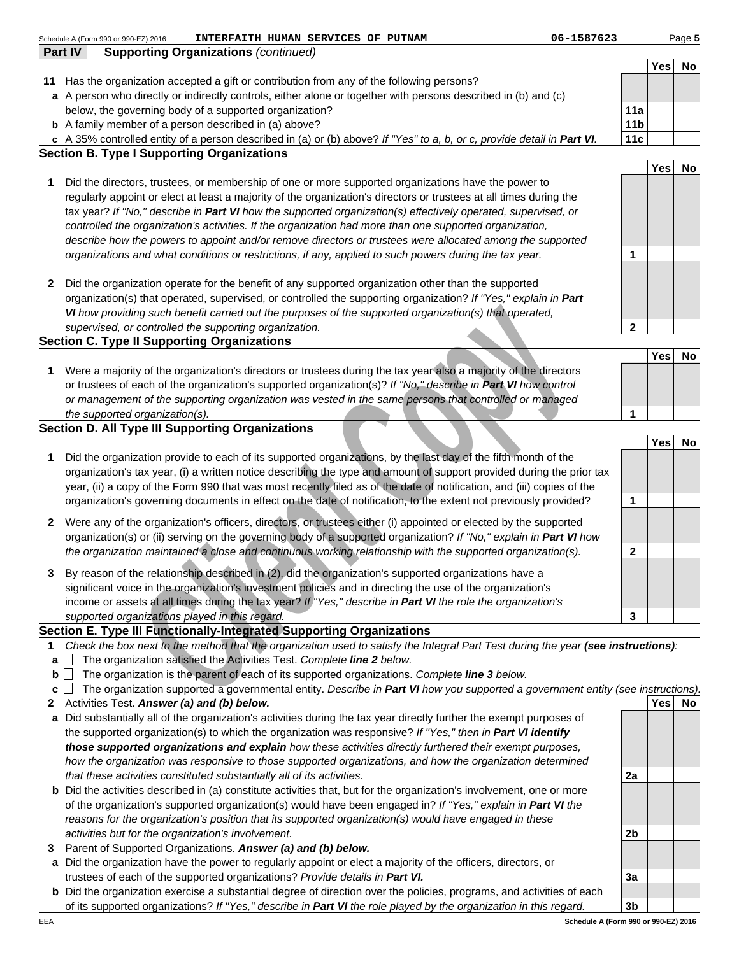|              |                | INTERFAITH HUMAN SERVICES OF PUTNAM<br>Schedule A (Form 990 or 990-EZ) 2016                                                                                                                                                                         | 06-1587623      |            | Page 5    |
|--------------|----------------|-----------------------------------------------------------------------------------------------------------------------------------------------------------------------------------------------------------------------------------------------------|-----------------|------------|-----------|
|              | <b>Part IV</b> | <b>Supporting Organizations (continued)</b>                                                                                                                                                                                                         |                 |            |           |
|              |                |                                                                                                                                                                                                                                                     |                 | Yes        | No        |
|              |                | 11 Has the organization accepted a gift or contribution from any of the following persons?                                                                                                                                                          |                 |            |           |
|              |                | a A person who directly or indirectly controls, either alone or together with persons described in (b) and (c)                                                                                                                                      |                 |            |           |
|              |                | below, the governing body of a supported organization?                                                                                                                                                                                              | 11a             |            |           |
|              |                | <b>b</b> A family member of a person described in (a) above?                                                                                                                                                                                        | 11 <sub>b</sub> |            |           |
|              |                | c A 35% controlled entity of a person described in (a) or (b) above? If "Yes" to a, b, or c, provide detail in Part VI.                                                                                                                             | 11c             |            |           |
|              |                | <b>Section B. Type I Supporting Organizations</b>                                                                                                                                                                                                   |                 |            |           |
|              |                |                                                                                                                                                                                                                                                     |                 | <b>Yes</b> | No        |
| 1            |                | Did the directors, trustees, or membership of one or more supported organizations have the power to                                                                                                                                                 |                 |            |           |
|              |                | regularly appoint or elect at least a majority of the organization's directors or trustees at all times during the                                                                                                                                  |                 |            |           |
|              |                | tax year? If "No," describe in Part VI how the supported organization(s) effectively operated, supervised, or                                                                                                                                       |                 |            |           |
|              |                | controlled the organization's activities. If the organization had more than one supported organization,                                                                                                                                             |                 |            |           |
|              |                | describe how the powers to appoint and/or remove directors or trustees were allocated among the supported                                                                                                                                           |                 |            |           |
|              |                | organizations and what conditions or restrictions, if any, applied to such powers during the tax year.                                                                                                                                              | 1               |            |           |
|              |                |                                                                                                                                                                                                                                                     |                 |            |           |
| 2            |                | Did the organization operate for the benefit of any supported organization other than the supported                                                                                                                                                 |                 |            |           |
|              |                | organization(s) that operated, supervised, or controlled the supporting organization? If "Yes," explain in Part                                                                                                                                     |                 |            |           |
|              |                | VI how providing such benefit carried out the purposes of the supported organization(s) that operated,                                                                                                                                              |                 |            |           |
|              |                | supervised, or controlled the supporting organization.                                                                                                                                                                                              | $\mathbf{2}$    |            |           |
|              |                | <b>Section C. Type II Supporting Organizations</b>                                                                                                                                                                                                  |                 |            |           |
|              |                |                                                                                                                                                                                                                                                     |                 | <b>Yes</b> | No        |
| 1            |                | Were a majority of the organization's directors or trustees during the tax year also a majority of the directors                                                                                                                                    |                 |            |           |
|              |                | or trustees of each of the organization's supported organization(s)? If "No," describe in Part VI how control                                                                                                                                       |                 |            |           |
|              |                | or management of the supporting organization was vested in the same persons that controlled or managed                                                                                                                                              |                 |            |           |
|              |                | the supported organization(s).                                                                                                                                                                                                                      | 1               |            |           |
|              |                | <b>Section D. All Type III Supporting Organizations</b>                                                                                                                                                                                             |                 |            |           |
|              |                |                                                                                                                                                                                                                                                     |                 | <b>Yes</b> | No        |
| 1            |                | Did the organization provide to each of its supported organizations, by the last day of the fifth month of the                                                                                                                                      |                 |            |           |
|              |                | organization's tax year, (i) a written notice describing the type and amount of support provided during the prior tax                                                                                                                               |                 |            |           |
|              |                | year, (ii) a copy of the Form 990 that was most recently filed as of the date of notification, and (iii) copies of the                                                                                                                              |                 |            |           |
|              |                | organization's governing documents in effect on the date of notification, to the extent not previously provided?                                                                                                                                    | 1               |            |           |
| $\mathbf{2}$ |                | Were any of the organization's officers, directors, or trustees either (i) appointed or elected by the supported                                                                                                                                    |                 |            |           |
|              |                | organization(s) or (ii) serving on the governing body of a supported organization? If "No," explain in Part VI how                                                                                                                                  |                 |            |           |
|              |                | the organization maintained a close and continuous working relationship with the supported organization(s).                                                                                                                                         | 2               |            |           |
|              |                |                                                                                                                                                                                                                                                     |                 |            |           |
|              |                | By reason of the relationship described in (2), did the organization's supported organizations have a                                                                                                                                               |                 |            |           |
|              |                | significant voice in the organization's investment policies and in directing the use of the organization's                                                                                                                                          |                 |            |           |
|              |                | income or assets at all times during the tax year? If "Yes," describe in Part VI the role the organization's                                                                                                                                        |                 |            |           |
|              |                | supported organizations played in this regard.                                                                                                                                                                                                      | 3               |            |           |
|              |                | Section E. Type III Functionally-Integrated Supporting Organizations                                                                                                                                                                                |                 |            |           |
| 1            |                | Check the box next to the method that the organization used to satisfy the Integral Part Test during the year (see instructions):                                                                                                                   |                 |            |           |
| a            |                | The organization satisfied the Activities Test. Complete line 2 below.                                                                                                                                                                              |                 |            |           |
| b            |                | The organization is the parent of each of its supported organizations. Complete line 3 below.                                                                                                                                                       |                 |            |           |
| c            |                | The organization supported a governmental entity. Describe in Part VI how you supported a government entity (see instructions).<br>Activities Test. Answer (a) and (b) below.                                                                       |                 | Yes        | <b>No</b> |
| 2            |                |                                                                                                                                                                                                                                                     |                 |            |           |
| a            |                | Did substantially all of the organization's activities during the tax year directly further the exempt purposes of                                                                                                                                  |                 |            |           |
|              |                | the supported organization(s) to which the organization was responsive? If "Yes," then in Part VI identify<br>those supported organizations and explain how these activities directly furthered their exempt purposes,                              |                 |            |           |
|              |                |                                                                                                                                                                                                                                                     |                 |            |           |
|              |                | how the organization was responsive to those supported organizations, and how the organization determined                                                                                                                                           |                 |            |           |
|              |                | that these activities constituted substantially all of its activities.                                                                                                                                                                              | 2a              |            |           |
|              |                | <b>b</b> Did the activities described in (a) constitute activities that, but for the organization's involvement, one or more<br>of the ergenization's supported ergenization(s) would boye been engaged in the "Ves " evalor in <b>Part III</b> the |                 |            |           |

- of the organization's supported organization(s) would have been engaged in? If "Yes," explain in **Part VI** the reasons for the organization's position that its supported organization(s) would have engaged in these activities but for the organization's involvement.
- **3** Parent of Supported Organizations. **Answer (a) and (b) below.**
- **a** Did the organization have the power to regularly appoint or elect a majority of the officers, directors, or trustees of each of the supported organizations? Provide details in **Part VI.**
- **b** Did the organization exercise a substantial degree of direction over the policies, programs, and activities of each of its supported organizations? If "Yes," describe in **Part VI** the role played by the organization in this regard.

**3b Schedule A (Form 990 or 990-EZ) 2016**

**2b**

**3a**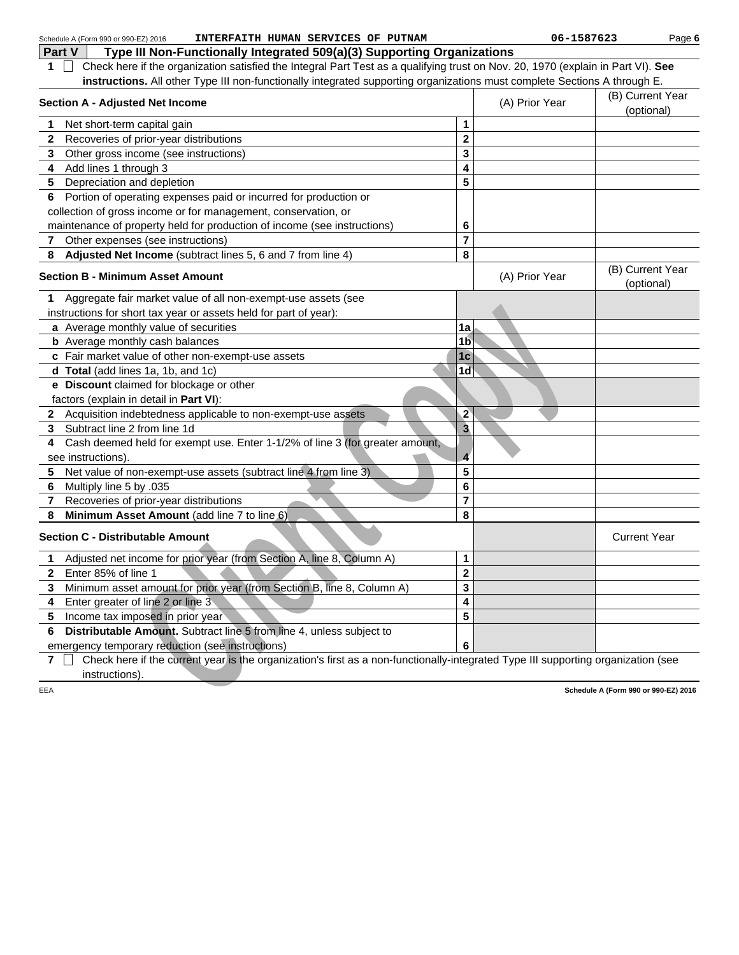|     | INTERFAITH HUMAN SERVICES OF PUTNAM<br>Schedule A (Form 990 or 990-EZ) 2016                                                       |                         | 06-1587623     |                                      | Page 6 |
|-----|-----------------------------------------------------------------------------------------------------------------------------------|-------------------------|----------------|--------------------------------------|--------|
|     | Part V<br>Type III Non-Functionally Integrated 509(a)(3) Supporting Organizations                                                 |                         |                |                                      |        |
| 1.  | Check here if the organization satisfied the Integral Part Test as a qualifying trust on Nov. 20, 1970 (explain in Part VI). See  |                         |                |                                      |        |
|     | instructions. All other Type III non-functionally integrated supporting organizations must complete Sections A through E.         |                         |                |                                      |        |
|     | <b>Section A - Adjusted Net Income</b>                                                                                            |                         | (A) Prior Year | (B) Current Year<br>(optional)       |        |
| 1   | Net short-term capital gain                                                                                                       | 1                       |                |                                      |        |
| 2   | Recoveries of prior-year distributions                                                                                            | $\mathbf 2$             |                |                                      |        |
| 3   | Other gross income (see instructions)                                                                                             | 3                       |                |                                      |        |
| 4   | Add lines 1 through 3                                                                                                             | 4                       |                |                                      |        |
| 5   | Depreciation and depletion                                                                                                        | 5                       |                |                                      |        |
| 6   | Portion of operating expenses paid or incurred for production or                                                                  |                         |                |                                      |        |
|     | collection of gross income or for management, conservation, or                                                                    |                         |                |                                      |        |
|     | maintenance of property held for production of income (see instructions)                                                          | 6                       |                |                                      |        |
| 7   | Other expenses (see instructions)                                                                                                 | $\overline{7}$          |                |                                      |        |
| 8   | Adjusted Net Income (subtract lines 5, 6 and 7 from line 4)                                                                       | 8                       |                |                                      |        |
|     | <b>Section B - Minimum Asset Amount</b>                                                                                           |                         | (A) Prior Year | (B) Current Year<br>(optional)       |        |
| 1   | Aggregate fair market value of all non-exempt-use assets (see                                                                     |                         |                |                                      |        |
|     | instructions for short tax year or assets held for part of year):                                                                 |                         |                |                                      |        |
|     | a Average monthly value of securities                                                                                             | 1a                      |                |                                      |        |
|     | <b>b</b> Average monthly cash balances                                                                                            | 1 <sub>b</sub>          |                |                                      |        |
|     | c Fair market value of other non-exempt-use assets                                                                                | 1 <sub>c</sub>          |                |                                      |        |
|     | d Total (add lines 1a, 1b, and 1c)                                                                                                | 1 <sub>d</sub>          |                |                                      |        |
|     | e Discount claimed for blockage or other                                                                                          |                         |                |                                      |        |
|     | factors (explain in detail in Part VI):                                                                                           |                         |                |                                      |        |
|     | 2 Acquisition indebtedness applicable to non-exempt-use assets                                                                    | $\overline{2}$          |                |                                      |        |
| 3   | Subtract line 2 from line 1d                                                                                                      | $\overline{\mathbf{3}}$ |                |                                      |        |
| 4   | Cash deemed held for exempt use. Enter 1-1/2% of line 3 (for greater amount,                                                      |                         |                |                                      |        |
|     | see instructions).                                                                                                                | $\overline{\mathbf{4}}$ |                |                                      |        |
| 5   | Net value of non-exempt-use assets (subtract line 4 from line 3)                                                                  | 5                       |                |                                      |        |
| 6   | Multiply line 5 by .035                                                                                                           | 6                       |                |                                      |        |
| 7   | Recoveries of prior-year distributions                                                                                            | $\overline{7}$          |                |                                      |        |
| 8   | Minimum Asset Amount (add line 7 to line 6)                                                                                       | 8                       |                |                                      |        |
|     | <b>Section C - Distributable Amount</b>                                                                                           |                         |                | <b>Current Year</b>                  |        |
| 1   | Adjusted net income for prior year (from Section A, line 8, Column A)                                                             | 1                       |                |                                      |        |
| 2   | Enter 85% of line 1                                                                                                               | $\mathbf 2$             |                |                                      |        |
| 3   | Minimum asset amount for prior year (from Section B, line 8, Column A)                                                            | 3                       |                |                                      |        |
| 4   | Enter greater of line 2 or line 3                                                                                                 | 4                       |                |                                      |        |
| 5   | Income tax imposed in prior year                                                                                                  | 5                       |                |                                      |        |
| 6   | Distributable Amount. Subtract line 5 from line 4, unless subject to                                                              |                         |                |                                      |        |
|     | emergency temporary reduction (see instructions)                                                                                  | 6                       |                |                                      |        |
| 7   | Check here if the current year is the organization's first as a non-functionally-integrated Type III supporting organization (see |                         |                |                                      |        |
|     | instructions).                                                                                                                    |                         |                |                                      |        |
| EEA |                                                                                                                                   |                         |                | Schedule A (Form 990 or 990-EZ) 2016 |        |
|     |                                                                                                                                   |                         |                |                                      |        |
|     |                                                                                                                                   |                         |                |                                      |        |
|     |                                                                                                                                   |                         |                |                                      |        |
|     |                                                                                                                                   |                         |                |                                      |        |
|     |                                                                                                                                   |                         |                |                                      |        |
|     |                                                                                                                                   |                         |                |                                      |        |
|     |                                                                                                                                   |                         |                |                                      |        |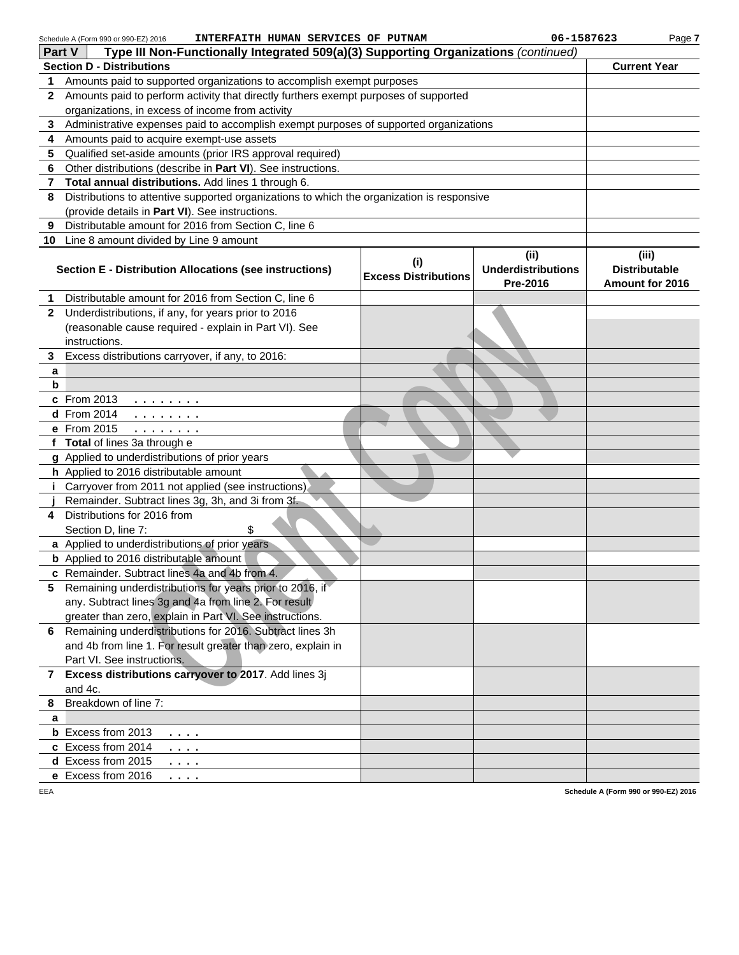| Schedule A (Form 990 or 990-EZ) 2016 | INTERFAITH HUMAN SERVICES OF PUTNAM |  |  |  |  |
|--------------------------------------|-------------------------------------|--|--|--|--|
|--------------------------------------|-------------------------------------|--|--|--|--|

**INTERFAITH HUMAN SERVICES OF PUTNAM 06-1587623**

Page **7**

|    | Type III Non-Functionally Integrated 509(a)(3) Supporting Organizations (continued)<br>Part V                                                                                        |                             |                           |                      |  |  |  |  |
|----|--------------------------------------------------------------------------------------------------------------------------------------------------------------------------------------|-----------------------------|---------------------------|----------------------|--|--|--|--|
|    | <b>Section D - Distributions</b>                                                                                                                                                     |                             |                           |                      |  |  |  |  |
| 1  | Amounts paid to supported organizations to accomplish exempt purposes                                                                                                                |                             |                           |                      |  |  |  |  |
| 2  | Amounts paid to perform activity that directly furthers exempt purposes of supported                                                                                                 |                             |                           |                      |  |  |  |  |
|    | organizations, in excess of income from activity                                                                                                                                     |                             |                           |                      |  |  |  |  |
| 3  | Administrative expenses paid to accomplish exempt purposes of supported organizations                                                                                                |                             |                           |                      |  |  |  |  |
| 4  | Amounts paid to acquire exempt-use assets                                                                                                                                            |                             |                           |                      |  |  |  |  |
| 5  | Qualified set-aside amounts (prior IRS approval required)                                                                                                                            |                             |                           |                      |  |  |  |  |
| 6  | Other distributions (describe in Part VI). See instructions.                                                                                                                         |                             |                           |                      |  |  |  |  |
| 7  | Total annual distributions. Add lines 1 through 6.                                                                                                                                   |                             |                           |                      |  |  |  |  |
| 8  | Distributions to attentive supported organizations to which the organization is responsive                                                                                           |                             |                           |                      |  |  |  |  |
|    | (provide details in Part VI). See instructions.                                                                                                                                      |                             |                           |                      |  |  |  |  |
| 9  | Distributable amount for 2016 from Section C, line 6                                                                                                                                 |                             |                           |                      |  |  |  |  |
| 10 | Line 8 amount divided by Line 9 amount                                                                                                                                               |                             |                           |                      |  |  |  |  |
|    |                                                                                                                                                                                      | (i)                         | (ii)                      | (iii)                |  |  |  |  |
|    | Section E - Distribution Allocations (see instructions)                                                                                                                              | <b>Excess Distributions</b> | <b>Underdistributions</b> | <b>Distributable</b> |  |  |  |  |
|    |                                                                                                                                                                                      |                             | Pre-2016                  | Amount for 2016      |  |  |  |  |
| 1. | Distributable amount for 2016 from Section C, line 6                                                                                                                                 |                             |                           |                      |  |  |  |  |
| 2  | Underdistributions, if any, for years prior to 2016                                                                                                                                  |                             |                           |                      |  |  |  |  |
|    | (reasonable cause required - explain in Part VI). See                                                                                                                                |                             |                           |                      |  |  |  |  |
|    | instructions.                                                                                                                                                                        |                             |                           |                      |  |  |  |  |
| 3  | Excess distributions carryover, if any, to 2016:                                                                                                                                     |                             |                           |                      |  |  |  |  |
| а  |                                                                                                                                                                                      |                             |                           |                      |  |  |  |  |
| b  |                                                                                                                                                                                      |                             |                           |                      |  |  |  |  |
|    | c From 2013<br>.                                                                                                                                                                     |                             |                           |                      |  |  |  |  |
|    | <b>d</b> From 2014<br>.                                                                                                                                                              |                             |                           |                      |  |  |  |  |
|    | e From 2015<br>$\mathbf{1} \quad \mathbf{1} \quad \mathbf{1} \quad \mathbf{1} \quad \mathbf{1} \quad \mathbf{1} \quad \mathbf{1} \quad \mathbf{1} \quad \mathbf{1} \quad \mathbf{1}$ |                             |                           |                      |  |  |  |  |
|    | f Total of lines 3a through e                                                                                                                                                        |                             |                           |                      |  |  |  |  |
|    | g Applied to underdistributions of prior years                                                                                                                                       |                             |                           |                      |  |  |  |  |
|    | h Applied to 2016 distributable amount                                                                                                                                               |                             |                           |                      |  |  |  |  |
|    | <i>i</i> Carryover from 2011 not applied (see instructions)<br>Remainder. Subtract lines 3g, 3h, and 3i from 3f.                                                                     |                             |                           |                      |  |  |  |  |
| 4  | Distributions for 2016 from                                                                                                                                                          |                             |                           |                      |  |  |  |  |
|    | Section D, line 7:<br>\$                                                                                                                                                             |                             |                           |                      |  |  |  |  |
|    | a Applied to underdistributions of prior years                                                                                                                                       |                             |                           |                      |  |  |  |  |
|    | <b>b</b> Applied to 2016 distributable amount                                                                                                                                        |                             |                           |                      |  |  |  |  |
|    | c Remainder. Subtract lines 4a and 4b from 4.                                                                                                                                        |                             |                           |                      |  |  |  |  |
|    | 5 Remaining underdistributions for years prior to 2016, if                                                                                                                           |                             |                           |                      |  |  |  |  |
|    | any. Subtract lines 3g and 4a from line 2. For result                                                                                                                                |                             |                           |                      |  |  |  |  |
|    | greater than zero, explain in Part VI. See instructions.                                                                                                                             |                             |                           |                      |  |  |  |  |
| 6. | Remaining underdistributions for 2016. Subtract lines 3h                                                                                                                             |                             |                           |                      |  |  |  |  |
|    | and 4b from line 1. For result greater than zero, explain in                                                                                                                         |                             |                           |                      |  |  |  |  |
|    | Part VI. See instructions.                                                                                                                                                           |                             |                           |                      |  |  |  |  |
|    | 7 Excess distributions carryover to 2017. Add lines 3j                                                                                                                               |                             |                           |                      |  |  |  |  |
|    | and 4c.                                                                                                                                                                              |                             |                           |                      |  |  |  |  |
| 8  | Breakdown of line 7:                                                                                                                                                                 |                             |                           |                      |  |  |  |  |
| a  |                                                                                                                                                                                      |                             |                           |                      |  |  |  |  |
|    | <b>b</b> Excess from 2013<br>.                                                                                                                                                       |                             |                           |                      |  |  |  |  |
|    | c Excess from 2014<br>.                                                                                                                                                              |                             |                           |                      |  |  |  |  |
|    | d Excess from 2015<br>.                                                                                                                                                              |                             |                           |                      |  |  |  |  |
|    | e Excess from 2016<br>.                                                                                                                                                              |                             |                           |                      |  |  |  |  |
|    |                                                                                                                                                                                      |                             |                           |                      |  |  |  |  |

**Schedule A (Form 990 or 990-EZ) 2016**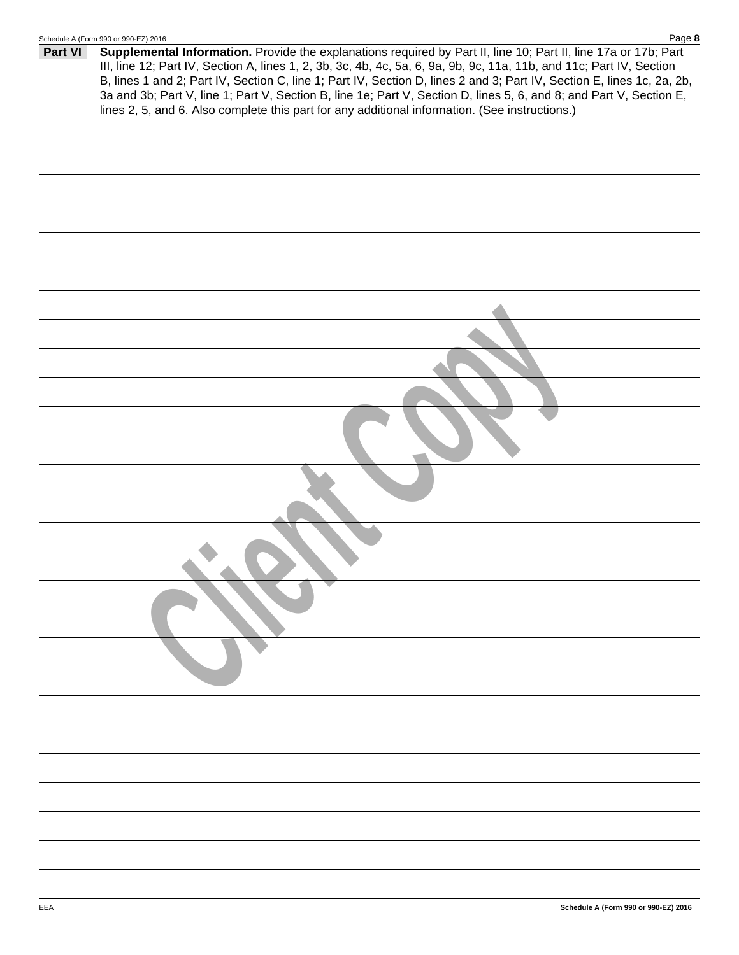|         | Page 8<br>Schedule A (Form 990 or 990-EZ) 2016                                                                                                                                                                                                                                                                                                                                                                                                                                                                                                                                             |
|---------|--------------------------------------------------------------------------------------------------------------------------------------------------------------------------------------------------------------------------------------------------------------------------------------------------------------------------------------------------------------------------------------------------------------------------------------------------------------------------------------------------------------------------------------------------------------------------------------------|
| Part VI | Supplemental Information. Provide the explanations required by Part II, line 10; Part II, line 17a or 17b; Part<br>III, line 12; Part IV, Section A, lines 1, 2, 3b, 3c, 4b, 4c, 5a, 6, 9a, 9b, 9c, 11a, 11b, and 11c; Part IV, Section<br>B, lines 1 and 2; Part IV, Section C, line 1; Part IV, Section D, lines 2 and 3; Part IV, Section E, lines 1c, 2a, 2b,<br>3a and 3b; Part V, line 1; Part V, Section B, line 1e; Part V, Section D, lines 5, 6, and 8; and Part V, Section E,<br>lines 2, 5, and 6. Also complete this part for any additional information. (See instructions.) |
|         |                                                                                                                                                                                                                                                                                                                                                                                                                                                                                                                                                                                            |
|         |                                                                                                                                                                                                                                                                                                                                                                                                                                                                                                                                                                                            |
|         |                                                                                                                                                                                                                                                                                                                                                                                                                                                                                                                                                                                            |
|         |                                                                                                                                                                                                                                                                                                                                                                                                                                                                                                                                                                                            |
|         |                                                                                                                                                                                                                                                                                                                                                                                                                                                                                                                                                                                            |
|         |                                                                                                                                                                                                                                                                                                                                                                                                                                                                                                                                                                                            |
|         |                                                                                                                                                                                                                                                                                                                                                                                                                                                                                                                                                                                            |
|         |                                                                                                                                                                                                                                                                                                                                                                                                                                                                                                                                                                                            |
|         |                                                                                                                                                                                                                                                                                                                                                                                                                                                                                                                                                                                            |
|         |                                                                                                                                                                                                                                                                                                                                                                                                                                                                                                                                                                                            |
|         |                                                                                                                                                                                                                                                                                                                                                                                                                                                                                                                                                                                            |
|         |                                                                                                                                                                                                                                                                                                                                                                                                                                                                                                                                                                                            |
|         |                                                                                                                                                                                                                                                                                                                                                                                                                                                                                                                                                                                            |
|         |                                                                                                                                                                                                                                                                                                                                                                                                                                                                                                                                                                                            |
|         |                                                                                                                                                                                                                                                                                                                                                                                                                                                                                                                                                                                            |
|         |                                                                                                                                                                                                                                                                                                                                                                                                                                                                                                                                                                                            |
|         |                                                                                                                                                                                                                                                                                                                                                                                                                                                                                                                                                                                            |
|         |                                                                                                                                                                                                                                                                                                                                                                                                                                                                                                                                                                                            |
|         |                                                                                                                                                                                                                                                                                                                                                                                                                                                                                                                                                                                            |
|         |                                                                                                                                                                                                                                                                                                                                                                                                                                                                                                                                                                                            |
|         |                                                                                                                                                                                                                                                                                                                                                                                                                                                                                                                                                                                            |
|         |                                                                                                                                                                                                                                                                                                                                                                                                                                                                                                                                                                                            |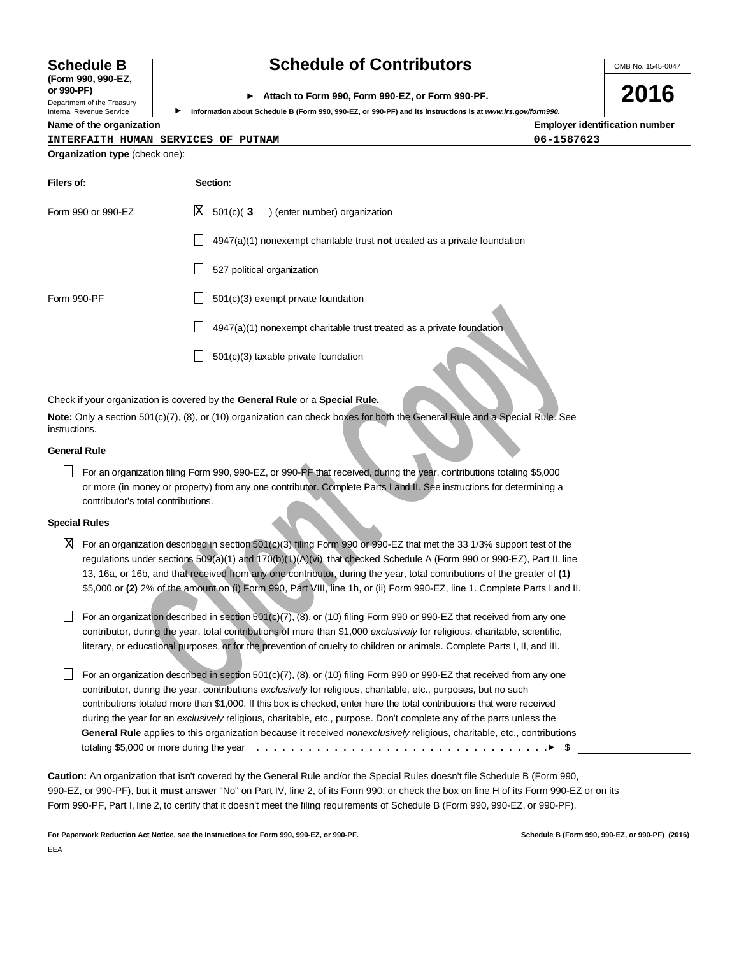# **(Form 990, 990-EZ,**

Department of the Treasury<br>Internal Revenue Service

### **Schedule B Schedule of Contributors**

OMB No. 1545-0047

**2016**

### **or 990-PF) Attach to Form 990, Form 990-EZ, or Form 990-PF.**

Information about Schedule B (Form 990, 990-EZ, or 990-PF) and its instructions is at *www.irs.gov/form990.* 

#### **Name of the organization Employer identification number**

| INTERFAITH HUMAN SERVICES OF PUTNAM | 06-1587623 |
|-------------------------------------|------------|
|                                     |            |

| INIERFAIII HOMAN DERVICED OF FOINAR   |  |  |  |
|---------------------------------------|--|--|--|
| <b>Organization type (check one):</b> |  |  |  |

| Filers of:         | Section:                                                                           |
|--------------------|------------------------------------------------------------------------------------|
| Form 990 or 990-EZ | $X = 501(c)$ (3<br>) (enter number) organization                                   |
|                    | $4947(a)(1)$ nonexempt charitable trust <b>not</b> treated as a private foundation |
|                    | 527 political organization                                                         |
| Form 990-PF        | $501(c)(3)$ exempt private foundation                                              |
|                    | 4947(a)(1) nonexempt charitable trust treated as a private foundation              |
|                    | $501(c)(3)$ taxable private foundation                                             |

Check if your organization is covered by the **General Rule** or a **Special Rule.**

**Note:** Only a section 501(c)(7), (8), or (10) organization can check boxes for both the General Rule and a Special Rule. See instructions.

#### **General Rule**

For an organization filing Form 990, 990-EZ, or 990-PF that received, during the year, contributions totaling \$5,000 or more (in money or property) from any one contributor. Complete Parts I and II. See instructions for determining a contributor's total contributions.

#### **Special Rules**

 $\overline{X}$  For an organization described in section 501(c)(3) filing Form 990 or 990-EZ that met the 33 1/3% support test of the regulations under sections 509(a)(1) and 170(b)(1)(A)(vi), that checked Schedule A (Form 990 or 990-EZ), Part II, line 13, 16a, or 16b, and that received from any one contributor, during the year, total contributions of the greater of **(1)** \$5,000 or **(2)** 2% of the amount on (i) Form 990, Part VIII, line 1h, or (ii) Form 990-EZ, line 1. Complete Parts I and II.

For an organization described in section 501 $(c)(7)$ ,  $(8)$ , or  $(10)$  filing Form 990 or 990-EZ that received from any one contributor, during the year, total contributions of more than \$1,000 exclusively for religious, charitable, scientific, literary, or educational purposes, or for the prevention of cruelty to children or animals. Complete Parts I, II, and III.

**Clientiation** discrete that in the second and the second and the second and the particle of the particle of the second and spin and spin and spin and spin and spin and spin and spin and spin and spin and spin and spin and For an organization described in section 501(c)(7), (8), or (10) filing Form 990 or 990-EZ that received from any one contributor, during the year, contributions exclusively for religious, charitable, etc., purposes, but no such contributions totaled more than \$1,000. If this box is checked, enter here the total contributions that were received during the year for an exclusively religious, charitable, etc., purpose. Don't complete any of the parts unless the **General Rule** applies to this organization because it received nonexclusively religious, charitable, etc., contributions totaling \$5,000 or more during the year  $\dots\dots\dots\dots\dots\dots\dots\dots\dots\dots\dots\dots\dots\dots\dots\dots$ 

**Caution:** An organization that isn't covered by the General Rule and/or the Special Rules doesn't file Schedule B (Form 990, 990-EZ, or 990-PF), but it **must** answer "No" on Part IV, line 2, of its Form 990; or check the box on line H of its Form 990-EZ or on its Form 990-PF, Part I, line 2, to certify that it doesn't meet the filing requirements of Schedule B (Form 990, 990-EZ, or 990-PF).

**For Paperwork Reduction Act Notice, see the Instructions for Form 990, 990-EZ, or 990-PF. Schedule B (Form 990, 990-EZ, or 990-PF) (2016)** EEA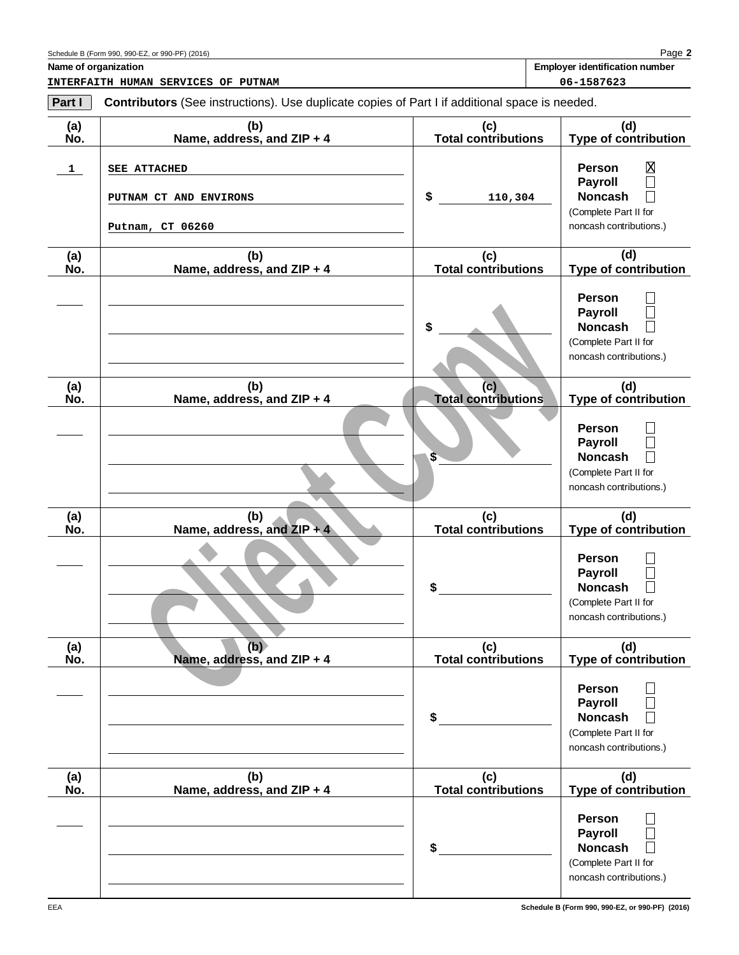**Part I**

**Name of organization Employer identification number**

**INTERFAITH HUMAN SERVICES OF PUTNAM 06-1587623**

**Contributors** (See instructions). Use duplicate copies of Part I if additional space is needed.

| (a)<br>No.   | (b)<br>Name, address, and ZIP + 4                                 | (c)<br><b>Total contributions</b>       | (d)<br><b>Type of contribution</b>                                                                                                          |
|--------------|-------------------------------------------------------------------|-----------------------------------------|---------------------------------------------------------------------------------------------------------------------------------------------|
| $\mathbf{1}$ | <b>SEE ATTACHED</b><br>PUTNAM CT AND ENVIRONS<br>Putnam, CT 06260 | \$<br>110,304                           | Χ<br><b>Person</b><br><b>Payroll</b><br>$\Box$<br><b>Noncash</b><br>(Complete Part II for<br>noncash contributions.)                        |
| (a)<br>No.   | (b)<br>Name, address, and ZIP + 4                                 | (c)<br><b>Total contributions</b>       | (d)<br>Type of contribution                                                                                                                 |
|              |                                                                   | \$                                      | <b>Person</b><br><b>Payroll</b><br><b>Noncash</b><br>(Complete Part II for<br>noncash contributions.)                                       |
| (a)<br>No.   | (b)<br>Name, address, and ZIP + 4                                 | (c)<br><b>Total contributions</b><br>\$ | (d)<br><b>Type of contribution</b><br><b>Person</b><br><b>Payroll</b><br><b>Noncash</b><br>(Complete Part II for<br>noncash contributions.) |
| (a)<br>No.   | (b)<br>Name, address, and $ZIP + 4$                               | (c)<br><b>Total contributions</b>       | (d)<br><b>Type of contribution</b>                                                                                                          |
|              |                                                                   | \$                                      | <b>Person</b><br><b>Payroll</b><br>$\Box$<br><b>Noncash</b><br>П<br>(Complete Part II for<br>noncash contributions.)                        |
| (a)<br>No.   | (b)<br>Name, address, and ZIP + 4                                 | (c)<br><b>Total contributions</b>       | (d)<br>Type of contribution                                                                                                                 |
|              |                                                                   | \$                                      | Person<br><b>Payroll</b><br><b>Noncash</b><br>(Complete Part II for<br>noncash contributions.)                                              |
| (a)<br>No.   | (b)<br>Name, address, and ZIP + 4                                 | (c)<br><b>Total contributions</b>       | (d)<br>Type of contribution                                                                                                                 |
|              |                                                                   | \$                                      | Person<br><b>Payroll</b><br><b>Noncash</b><br>(Complete Part II for<br>noncash contributions.)                                              |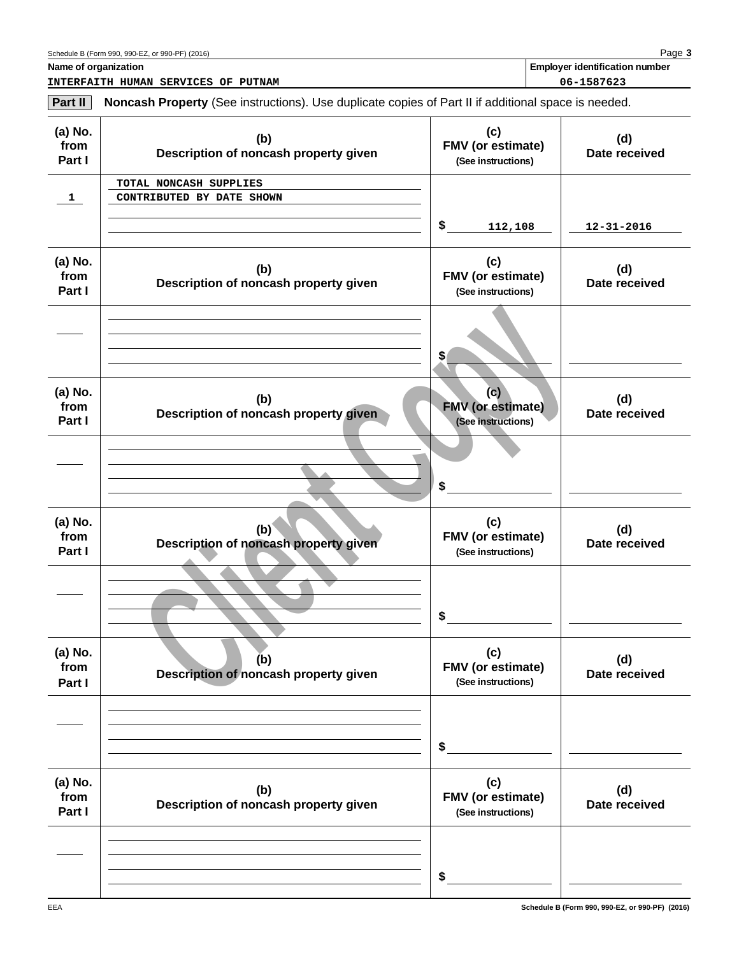| Part II                   | <b>Noncash Property</b> (See instructions). Use duplicate copies of Part II if additional space is needed. |                                                       |                      |
|---------------------------|------------------------------------------------------------------------------------------------------------|-------------------------------------------------------|----------------------|
| (a) No.<br>from<br>Part I | (b)<br>Description of noncash property given                                                               | (c)<br>FMV (or estimate)<br>(See instructions)        | (d)<br>Date received |
| $\mathbf{1}$              | TOTAL NONCASH SUPPLIES<br>CONTRIBUTED BY DATE SHOWN                                                        | \$<br>112,108                                         | $12 - 31 - 2016$     |
| (a) No.<br>from<br>Part I | (b)<br>Description of noncash property given                                                               | (c)<br>FMV (or estimate)<br>(See instructions)        | (d)<br>Date received |
|                           |                                                                                                            | \$                                                    |                      |
| (a) No.<br>from<br>Part I | (b)<br>Description of noncash property given                                                               | (c)<br><b>FMV</b> (or estimate)<br>(See instructions) | (d)<br>Date received |
|                           |                                                                                                            | \$                                                    |                      |
| (a) No.<br>from<br>Part I | (b)<br>Description of noncash property given                                                               | (c)<br>FMV (or estimate)<br>(See instructions)        | (d)<br>Date received |
|                           |                                                                                                            | \$                                                    |                      |
| (a) No.<br>from<br>Part I | (b)<br>Description of noncash property given                                                               | (c)<br>FMV (or estimate)<br>(See instructions)        | (d)<br>Date received |
|                           |                                                                                                            | \$                                                    |                      |
| (a) No.<br>from<br>Part I | (b)<br>Description of noncash property given                                                               | (c)<br>FMV (or estimate)<br>(See instructions)        | (d)<br>Date received |
|                           |                                                                                                            | \$                                                    |                      |

**INTERFAITH HUMAN SERVICES OF PUTNAM 06-1587623**

**Schedule B (Form 990, 990-EZ, or 990-PF) (2016)**

EEA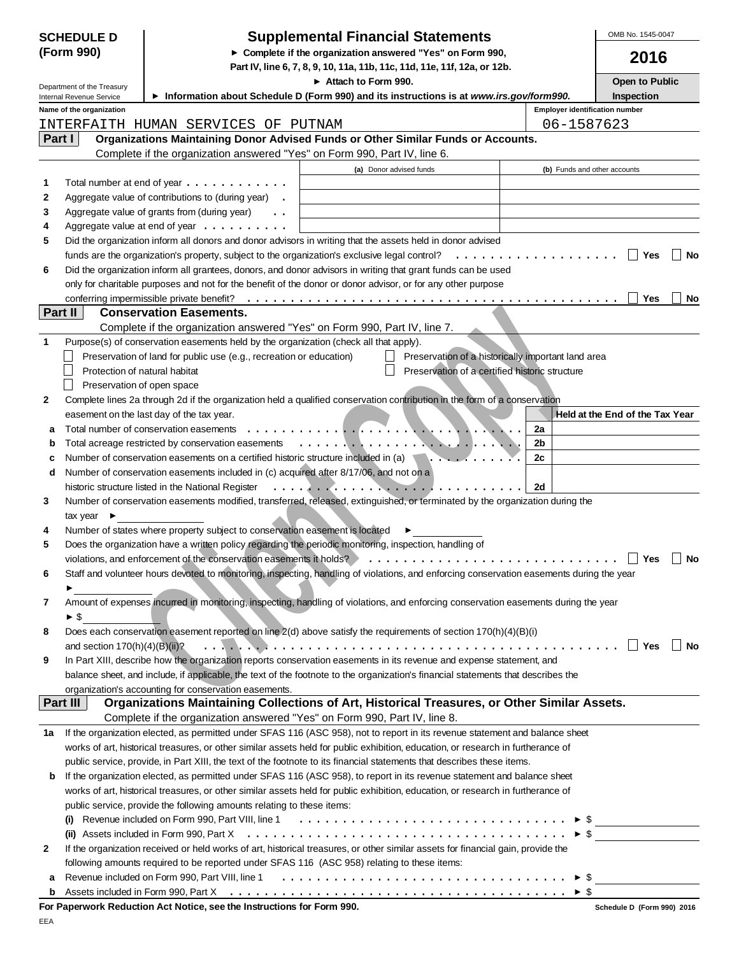| <b>SCHEDULE D</b> |                                                        |                                                                                                                      | <b>Supplemental Financial Statements</b>                                                                                                                                                                                             |                                       | OMB No. 1545-0047               |
|-------------------|--------------------------------------------------------|----------------------------------------------------------------------------------------------------------------------|--------------------------------------------------------------------------------------------------------------------------------------------------------------------------------------------------------------------------------------|---------------------------------------|---------------------------------|
|                   | (Form 990)                                             |                                                                                                                      | ► Complete if the organization answered "Yes" on Form 990,<br>Part IV, line 6, 7, 8, 9, 10, 11a, 11b, 11c, 11d, 11e, 11f, 12a, or 12b.                                                                                               |                                       | 2016                            |
|                   |                                                        |                                                                                                                      | Attach to Form 990.                                                                                                                                                                                                                  |                                       | Open to Public                  |
|                   | Department of the Treasury<br>Internal Revenue Service |                                                                                                                      | Information about Schedule D (Form 990) and its instructions is at www.irs.gov/form990.                                                                                                                                              |                                       | Inspection                      |
|                   | Name of the organization                               |                                                                                                                      |                                                                                                                                                                                                                                      | <b>Employer identification number</b> |                                 |
|                   |                                                        | INTERFAITH HUMAN SERVICES OF PUTNAM                                                                                  |                                                                                                                                                                                                                                      | 06-1587623                            |                                 |
| Part I            |                                                        |                                                                                                                      | Organizations Maintaining Donor Advised Funds or Other Similar Funds or Accounts.                                                                                                                                                    |                                       |                                 |
|                   |                                                        | Complete if the organization answered "Yes" on Form 990, Part IV, line 6.                                            |                                                                                                                                                                                                                                      |                                       |                                 |
|                   |                                                        |                                                                                                                      | (a) Donor advised funds                                                                                                                                                                                                              | (b) Funds and other accounts          |                                 |
| 1                 |                                                        | Total number at end of year $\dots \dots \dots \dots$                                                                |                                                                                                                                                                                                                                      |                                       |                                 |
| 2                 |                                                        | Aggregate value of contributions to (during year) .                                                                  |                                                                                                                                                                                                                                      |                                       |                                 |
| 3<br>4            |                                                        | Aggregate value of grants from (during year)<br>Aggregate value at end of year $\dots \dots \dots$                   |                                                                                                                                                                                                                                      |                                       |                                 |
| 5                 |                                                        |                                                                                                                      | Did the organization inform all donors and donor advisors in writing that the assets held in donor advised                                                                                                                           |                                       |                                 |
|                   |                                                        | funds are the organization's property, subject to the organization's exclusive legal control?                        | .                                                                                                                                                                                                                                    |                                       | Yes<br>No                       |
| 6                 |                                                        |                                                                                                                      | Did the organization inform all grantees, donors, and donor advisors in writing that grant funds can be used                                                                                                                         |                                       |                                 |
|                   |                                                        |                                                                                                                      | only for charitable purposes and not for the benefit of the donor or donor advisor, or for any other purpose                                                                                                                         |                                       |                                 |
|                   |                                                        | conferring impermissible private benefit?                                                                            |                                                                                                                                                                                                                                      |                                       | Yes<br>No                       |
| Part II           |                                                        | <b>Conservation Easements.</b>                                                                                       |                                                                                                                                                                                                                                      |                                       |                                 |
|                   |                                                        | Complete if the organization answered "Yes" on Form 990, Part IV, line 7.                                            |                                                                                                                                                                                                                                      |                                       |                                 |
| 1                 |                                                        | Purpose(s) of conservation easements held by the organization (check all that apply).                                |                                                                                                                                                                                                                                      |                                       |                                 |
|                   |                                                        | Preservation of land for public use (e.g., recreation or education)                                                  | Preservation of a historically important land area                                                                                                                                                                                   |                                       |                                 |
|                   | Protection of natural habitat                          |                                                                                                                      | Preservation of a certified historic structure                                                                                                                                                                                       |                                       |                                 |
|                   | Preservation of open space                             |                                                                                                                      |                                                                                                                                                                                                                                      |                                       |                                 |
| 2                 |                                                        |                                                                                                                      | Complete lines 2a through 2d if the organization held a qualified conservation contribution in the form of a conservation                                                                                                            |                                       |                                 |
|                   |                                                        | easement on the last day of the tax year.<br>Total number of conservation easements<br>and a resource and a resource |                                                                                                                                                                                                                                      | 2a                                    | Held at the End of the Tax Year |
| a<br>b            |                                                        | Total acreage restricted by conservation easements                                                                   | <u>in the contract of the contract of the contract of the contract of the contract of the contract of the contract of the contract of the contract of the contract of the contract of the contract of the contract of the contra</u> | 2b                                    |                                 |
| с                 |                                                        | Number of conservation easements on a certified historic structure included in (a)                                   | $\mathbf{L}$ , $\mathbf{L}$ , $\mathbf{L}$ , $\mathbf{L}$ , $\mathbf{L}$ , $\mathbf{L}$                                                                                                                                              | 2c                                    |                                 |
| d                 |                                                        | Number of conservation easements included in (c) acquired after 8/17/06, and not on a                                |                                                                                                                                                                                                                                      |                                       |                                 |
|                   |                                                        | historic structure listed in the National Register                                                                   | . <i>.</i>                                                                                                                                                                                                                           | 2d                                    |                                 |
| 3                 |                                                        |                                                                                                                      | Number of conservation easements modified, transferred, released, extinguished, or terminated by the organization during the                                                                                                         |                                       |                                 |
|                   | tax year $\blacktriangleright$                         |                                                                                                                      |                                                                                                                                                                                                                                      |                                       |                                 |
| 4                 |                                                        | Number of states where property subject to conservation easement is located                                          |                                                                                                                                                                                                                                      |                                       |                                 |
| 5                 |                                                        |                                                                                                                      | Does the organization have a written policy regarding the periodic monitoring, inspection, handling of                                                                                                                               |                                       |                                 |
|                   |                                                        | violations, and enforcement of the conservation easements it holds?                                                  |                                                                                                                                                                                                                                      |                                       | Yes<br>No                       |
| 6                 |                                                        |                                                                                                                      | Staff and volunteer hours devoted to monitoring, inspecting, handling of violations, and enforcing conservation easements during the year                                                                                            |                                       |                                 |
|                   |                                                        |                                                                                                                      |                                                                                                                                                                                                                                      |                                       |                                 |
| 7                 |                                                        |                                                                                                                      | Amount of expenses incurred in monitoring, inspecting, handling of violations, and enforcing conservation easements during the year                                                                                                  |                                       |                                 |
|                   | $\blacktriangleright$ \$                               |                                                                                                                      |                                                                                                                                                                                                                                      |                                       |                                 |
| 8                 |                                                        |                                                                                                                      | Does each conservation easement reported on line 2(d) above satisfy the requirements of section 170(h)(4)(B)(i)                                                                                                                      |                                       |                                 |
|                   | and section $170(h)(4)(B)(ii)$ ?                       |                                                                                                                      | $\overline{1}$ . The second contract of the contract of the contract of the contract of the contract of the contract of the contract of the contract of the contract of the contract of the contract of the contract of the contrac  |                                       | Yes<br><b>No</b>                |
| 9                 |                                                        |                                                                                                                      | In Part XIII, describe how the organization reports conservation easements in its revenue and expense statement, and                                                                                                                 |                                       |                                 |
|                   |                                                        | organization's accounting for conservation easements.                                                                | balance sheet, and include, if applicable, the text of the footnote to the organization's financial statements that describes the                                                                                                    |                                       |                                 |
|                   | Part III                                               |                                                                                                                      | Organizations Maintaining Collections of Art, Historical Treasures, or Other Similar Assets.                                                                                                                                         |                                       |                                 |
|                   |                                                        |                                                                                                                      | Complete if the organization answered "Yes" on Form 990, Part IV, line 8.                                                                                                                                                            |                                       |                                 |
| 1a                |                                                        |                                                                                                                      | If the organization elected, as permitted under SFAS 116 (ASC 958), not to report in its revenue statement and balance sheet                                                                                                         |                                       |                                 |
|                   |                                                        |                                                                                                                      | works of art, historical treasures, or other similar assets held for public exhibition, education, or research in furtherance of                                                                                                     |                                       |                                 |
|                   |                                                        |                                                                                                                      | public service, provide, in Part XIII, the text of the footnote to its financial statements that describes these items.                                                                                                              |                                       |                                 |
| b                 |                                                        |                                                                                                                      | If the organization elected, as permitted under SFAS 116 (ASC 958), to report in its revenue statement and balance sheet                                                                                                             |                                       |                                 |
|                   |                                                        |                                                                                                                      | works of art, historical treasures, or other similar assets held for public exhibition, education, or research in furtherance of                                                                                                     |                                       |                                 |
|                   |                                                        | public service, provide the following amounts relating to these items:                                               |                                                                                                                                                                                                                                      |                                       |                                 |
|                   |                                                        |                                                                                                                      | (i) Revenue included on Form 990, Part VIII, line 1 $\ldots \ldots \ldots \ldots \ldots \ldots \ldots \ldots \ldots \ldots \vdots$                                                                                                   |                                       |                                 |
|                   |                                                        |                                                                                                                      |                                                                                                                                                                                                                                      |                                       | $\triangleright$ \$             |
| 2                 |                                                        |                                                                                                                      | If the organization received or held works of art, historical treasures, or other similar assets for financial gain, provide the                                                                                                     |                                       |                                 |
|                   |                                                        |                                                                                                                      | following amounts required to be reported under SFAS 116 (ASC 958) relating to these items:                                                                                                                                          |                                       |                                 |
| а                 |                                                        |                                                                                                                      | Revenue included on Form 990, Part VIII, line 1 $\ldots \ldots \ldots \ldots \ldots \ldots \ldots \ldots \ldots \ldots \ldots$                                                                                                       |                                       |                                 |
| b                 |                                                        |                                                                                                                      |                                                                                                                                                                                                                                      | $\triangleright$ \$                   |                                 |
|                   |                                                        | For Paperwork Reduction Act Notice, see the Instructions for Form 990.                                               |                                                                                                                                                                                                                                      |                                       | Schedule D (Form 990) 2016      |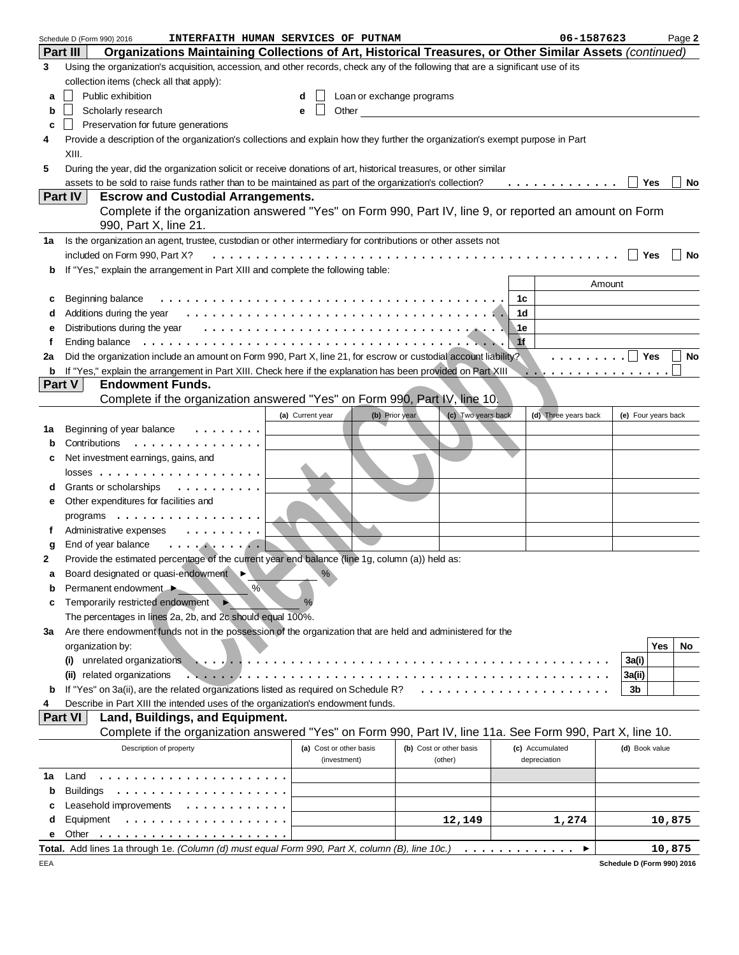|    | INTERFAITH HUMAN SERVICES OF PUTNAM<br>Schedule D (Form 990) 2016                                                                                                                                                             |                         |                           |                         |      | 06-1587623           |                | Page 2              |
|----|-------------------------------------------------------------------------------------------------------------------------------------------------------------------------------------------------------------------------------|-------------------------|---------------------------|-------------------------|------|----------------------|----------------|---------------------|
|    | Organizations Maintaining Collections of Art, Historical Treasures, or Other Similar Assets (continued)<br>Part III                                                                                                           |                         |                           |                         |      |                      |                |                     |
| 3  | Using the organization's acquisition, accession, and other records, check any of the following that are a significant use of its                                                                                              |                         |                           |                         |      |                      |                |                     |
|    | collection items (check all that apply):                                                                                                                                                                                      |                         |                           |                         |      |                      |                |                     |
| a  | Public exhibition                                                                                                                                                                                                             | d                       | Loan or exchange programs |                         |      |                      |                |                     |
| b  | Scholarly research                                                                                                                                                                                                            | Other<br>е              |                           |                         |      |                      |                |                     |
|    | Preservation for future generations                                                                                                                                                                                           |                         |                           |                         |      |                      |                |                     |
| c  |                                                                                                                                                                                                                               |                         |                           |                         |      |                      |                |                     |
| 4  | Provide a description of the organization's collections and explain how they further the organization's exempt purpose in Part                                                                                                |                         |                           |                         |      |                      |                |                     |
|    | XIII.                                                                                                                                                                                                                         |                         |                           |                         |      |                      |                |                     |
| 5  | During the year, did the organization solicit or receive donations of art, historical treasures, or other similar                                                                                                             |                         |                           |                         |      |                      |                |                     |
|    | assets to be sold to raise funds rather than to be maintained as part of the organization's collection?                                                                                                                       |                         |                           |                         |      | .                    | Yes            | No                  |
|    | Part IV<br><b>Escrow and Custodial Arrangements.</b>                                                                                                                                                                          |                         |                           |                         |      |                      |                |                     |
|    | Complete if the organization answered "Yes" on Form 990, Part IV, line 9, or reported an amount on Form                                                                                                                       |                         |                           |                         |      |                      |                |                     |
|    | 990, Part X, line 21.                                                                                                                                                                                                         |                         |                           |                         |      |                      |                |                     |
| 1a | Is the organization an agent, trustee, custodian or other intermediary for contributions or other assets not                                                                                                                  |                         |                           |                         |      |                      |                |                     |
|    | included on Form 990, Part X?                                                                                                                                                                                                 |                         |                           |                         |      |                      | Yes            | <b>No</b>           |
| b  | If "Yes," explain the arrangement in Part XIII and complete the following table:                                                                                                                                              |                         |                           |                         |      |                      |                |                     |
|    |                                                                                                                                                                                                                               |                         |                           |                         |      | Amount               |                |                     |
| c  | Beginning balance                                                                                                                                                                                                             |                         |                           |                         | 1с   |                      |                |                     |
| d  | Additions during the year end contact with the state of the state of the state of the state of the state of the state of the state of the state of the state of the state of the state of the state of the state of the state |                         |                           |                         | 1d   |                      |                |                     |
|    | Distributions during the year $\dots \dots \dots \dots \dots \dots \dots \dots \dots \dots \dots \dots \dots$                                                                                                                 |                         |                           |                         |      |                      |                |                     |
| е  |                                                                                                                                                                                                                               |                         |                           |                         | ⊾1e. |                      |                |                     |
| f  | Ending balance                                                                                                                                                                                                                |                         |                           |                         | 1f   |                      |                |                     |
| 2a | Did the organization include an amount on Form 990, Part X, line 21, for escrow or custodial account liability?                                                                                                               |                         |                           |                         |      | .   <b>Pes</b>       |                | No                  |
| b  | If "Yes," explain the arrangement in Part XIII. Check here if the explanation has been provided on Part XIII                                                                                                                  |                         |                           |                         |      | .                    |                |                     |
|    | <b>Endowment Funds.</b><br>Part V                                                                                                                                                                                             |                         |                           |                         |      |                      |                |                     |
|    | Complete if the organization answered "Yes" on Form 990, Part IV, line 10.                                                                                                                                                    |                         |                           |                         |      |                      |                |                     |
|    |                                                                                                                                                                                                                               | (a) Current year        | (b) Prior year            | (c) Two years back      |      | (d) Three years back |                | (e) Four years back |
| 1а | Beginning of year balance                                                                                                                                                                                                     |                         |                           |                         |      |                      |                |                     |
| b  | Contributions<br>.                                                                                                                                                                                                            |                         |                           |                         |      |                      |                |                     |
| с  | Net investment earnings, gains, and                                                                                                                                                                                           |                         |                           |                         |      |                      |                |                     |
|    |                                                                                                                                                                                                                               |                         |                           |                         |      |                      |                |                     |
| d  | Grants or scholarships<br>.                                                                                                                                                                                                   |                         |                           |                         |      |                      |                |                     |
| е  | Other expenditures for facilities and                                                                                                                                                                                         |                         |                           |                         |      |                      |                |                     |
|    | programs                                                                                                                                                                                                                      |                         |                           |                         |      |                      |                |                     |
| f  | Administrative expenses<br>.                                                                                                                                                                                                  |                         |                           |                         |      |                      |                |                     |
| g  | End of year balance<br>. <b>.</b>                                                                                                                                                                                             |                         |                           |                         |      |                      |                |                     |
| 2  | Provide the estimated percentage of the current year end balance (line 1g, column (a)) held as:                                                                                                                               |                         |                           |                         |      |                      |                |                     |
|    | Board designated or quasi-endowment                                                                                                                                                                                           | $\%$                    |                           |                         |      |                      |                |                     |
|    | $\%$                                                                                                                                                                                                                          |                         |                           |                         |      |                      |                |                     |
| b  | Permanent endowment ▶                                                                                                                                                                                                         |                         |                           |                         |      |                      |                |                     |
| c  | Temporarily restricted endowment                                                                                                                                                                                              | %                       |                           |                         |      |                      |                |                     |
|    | The percentages in lines 2a, 2b, and 2c should equal 100%.                                                                                                                                                                    |                         |                           |                         |      |                      |                |                     |
| За | Are there endowment funds not in the possession of the organization that are held and administered for the                                                                                                                    |                         |                           |                         |      |                      |                |                     |
|    | organization by:                                                                                                                                                                                                              |                         |                           |                         |      |                      |                | Yes<br>No           |
|    | unrelated organizations<br>(i)                                                                                                                                                                                                |                         |                           |                         |      |                      | 3a(i)          |                     |
|    | related organizations<br>.                                                                                                                                                                                                    |                         |                           |                         |      |                      | 3a(ii)         |                     |
| b  | If "Yes" on 3a(ii), are the related organizations listed as required on Schedule R?                                                                                                                                           |                         |                           |                         |      |                      | 3b             |                     |
|    | Describe in Part XIII the intended uses of the organization's endowment funds.                                                                                                                                                |                         |                           |                         |      |                      |                |                     |
|    | Part VI<br>Land, Buildings, and Equipment.                                                                                                                                                                                    |                         |                           |                         |      |                      |                |                     |
|    | Complete if the organization answered "Yes" on Form 990, Part IV, line 11a. See Form 990, Part X, line 10.                                                                                                                    |                         |                           |                         |      |                      |                |                     |
|    | Description of property                                                                                                                                                                                                       | (a) Cost or other basis |                           | (b) Cost or other basis |      | (c) Accumulated      | (d) Book value |                     |
|    |                                                                                                                                                                                                                               | (investment)            |                           | (other)                 |      | depreciation         |                |                     |
| 1a | Land                                                                                                                                                                                                                          |                         |                           |                         |      |                      |                |                     |
|    | <b>Buildings</b>                                                                                                                                                                                                              |                         |                           |                         |      |                      |                |                     |
| b  |                                                                                                                                                                                                                               |                         |                           |                         |      |                      |                |                     |
| с  | Leasehold improvements                                                                                                                                                                                                        |                         |                           |                         |      |                      |                |                     |
| d  | Equipment<br>.                                                                                                                                                                                                                |                         |                           | 12,149                  |      | 1,274                |                | 10,875              |
| е  | Other                                                                                                                                                                                                                         |                         |                           |                         |      |                      |                |                     |
|    | Total. Add lines 1a through 1e. (Column (d) must equal Form 990, Part X, column (B), line 10c.)                                                                                                                               |                         |                           |                         |      | ▶<br>.               |                | 10,875              |

EEA

**Schedule D (Form 990) 2016**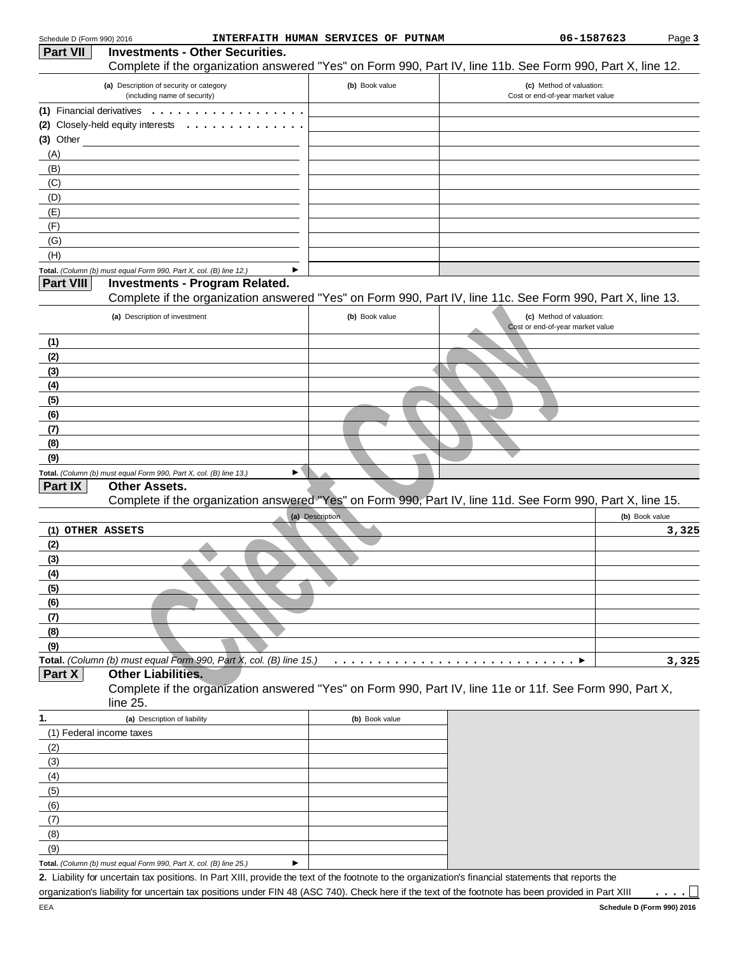|                  | (a) Description of security or category                                                                     | (b) Book value  | (c) Method of valuation:         |                |
|------------------|-------------------------------------------------------------------------------------------------------------|-----------------|----------------------------------|----------------|
|                  | (including name of security)                                                                                |                 | Cost or end-of-year market value |                |
| (1)              | Financial derivatives                                                                                       |                 |                                  |                |
| (2)              | Closely-held equity interests                                                                               |                 |                                  |                |
| $(3)$ Other      |                                                                                                             |                 |                                  |                |
| (A)              |                                                                                                             |                 |                                  |                |
| (B)              |                                                                                                             |                 |                                  |                |
| (C)              |                                                                                                             |                 |                                  |                |
| (D)              |                                                                                                             |                 |                                  |                |
| (E)              |                                                                                                             |                 |                                  |                |
| (F)              |                                                                                                             |                 |                                  |                |
| (G)              |                                                                                                             |                 |                                  |                |
| (H)              |                                                                                                             |                 |                                  |                |
| <b>Part VIII</b> | Total. (Column (b) must equal Form 990, Part X, col. (B) line 12.)<br><b>Investments - Program Related.</b> | ▶               |                                  |                |
|                  | Complete if the organization answered "Yes" on Form 990, Part IV, line 11c. See Form 990, Part X, line 13.  |                 |                                  |                |
|                  | (a) Description of investment                                                                               | (b) Book value  | (c) Method of valuation:         |                |
|                  |                                                                                                             |                 | Cost or end-of-year market value |                |
| (1)              |                                                                                                             |                 |                                  |                |
| (2)              |                                                                                                             |                 |                                  |                |
| (3)              |                                                                                                             |                 |                                  |                |
| (4)              |                                                                                                             |                 |                                  |                |
| (5)              |                                                                                                             |                 |                                  |                |
| (6)              |                                                                                                             |                 |                                  |                |
|                  |                                                                                                             |                 |                                  |                |
| (7)              |                                                                                                             |                 |                                  |                |
| (8)              |                                                                                                             |                 |                                  |                |
| (9)              |                                                                                                             |                 |                                  |                |
|                  | Total. (Column (b) must equal Form 990, Part X, col. (B) line 13.)                                          | ▶               |                                  |                |
| Part IX          | <b>Other Assets.</b>                                                                                        |                 |                                  |                |
|                  | Complete if the organization answered "Yes" on Form 990, Part IV, line 11d. See Form 990, Part X, line 15.  |                 |                                  |                |
|                  |                                                                                                             | (a) Description |                                  | (b) Book value |
| (1) OTHER ASSETS |                                                                                                             |                 |                                  |                |
| (2)              |                                                                                                             |                 |                                  |                |
| (3)              |                                                                                                             |                 |                                  |                |
| (4)              |                                                                                                             |                 |                                  |                |
| (5)              |                                                                                                             |                 |                                  |                |
| (6)              |                                                                                                             |                 |                                  |                |
| (7)              |                                                                                                             |                 |                                  |                |
| (8)              |                                                                                                             |                 |                                  |                |
| (9)              |                                                                                                             |                 |                                  | 3,325          |
|                  | Total. (Column (b) must equal Form 990, Part X, col. (B) line 15.)                                          |                 |                                  | 3,325          |
|                  | <b>Other Liabilities.</b>                                                                                   |                 |                                  |                |
|                  | Complete if the organization answered "Yes" on Form 990, Part IV, line 11e or 11f. See Form 990, Part X,    |                 |                                  |                |
|                  | line $25$ .                                                                                                 |                 |                                  |                |
| Part X<br>1.     | (a) Description of liability                                                                                | (b) Book value  |                                  |                |
|                  | (1) Federal income taxes                                                                                    |                 |                                  |                |
| (2)              |                                                                                                             |                 |                                  |                |
| (3)              |                                                                                                             |                 |                                  |                |
| (4)              |                                                                                                             |                 |                                  |                |
| (5)              |                                                                                                             |                 |                                  |                |
| (6)              |                                                                                                             |                 |                                  |                |
| (7)              |                                                                                                             |                 |                                  |                |
| (8)              |                                                                                                             |                 |                                  |                |
| (9)              |                                                                                                             |                 |                                  |                |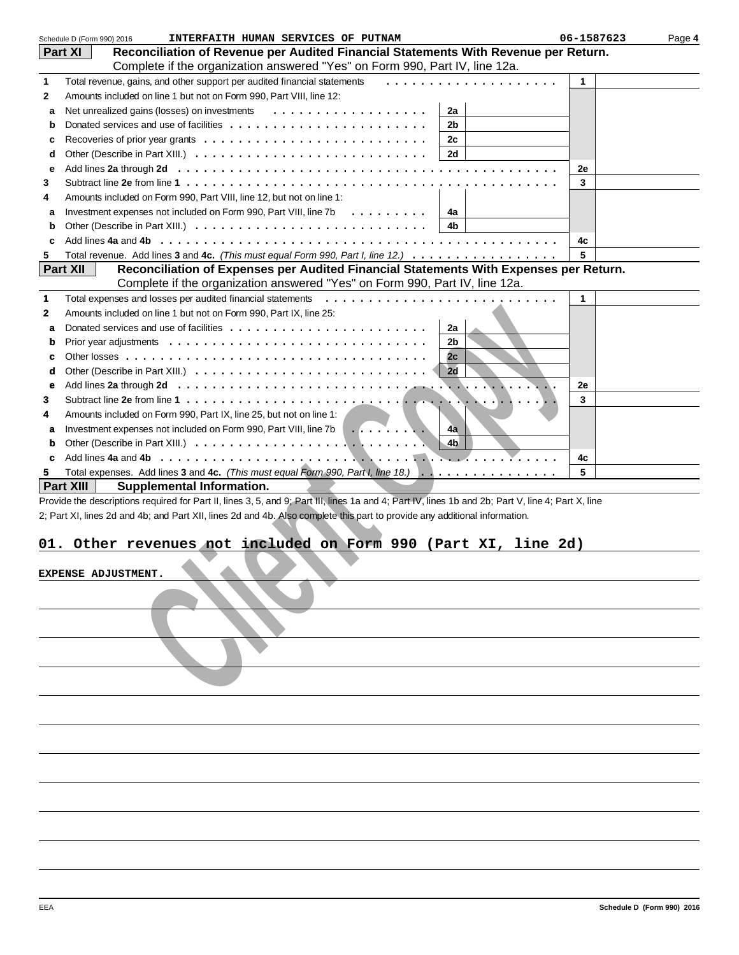|   | Schedule D (Form 990) 2016<br>INTERFAITH HUMAN SERVICES OF PUTNAM                                                                                                      | 06-1587623 | Page 4 |
|---|------------------------------------------------------------------------------------------------------------------------------------------------------------------------|------------|--------|
|   | Reconciliation of Revenue per Audited Financial Statements With Revenue per Return.<br><b>Part XI</b>                                                                  |            |        |
|   | Complete if the organization answered "Yes" on Form 990, Part IV, line 12a.                                                                                            |            |        |
| 1 | Total revenue, gains, and other support per audited financial statements                                                                                               | 1          |        |
| 2 | Amounts included on line 1 but not on Form 990, Part VIII, line 12:                                                                                                    |            |        |
| a | 2a                                                                                                                                                                     |            |        |
| b | 2b                                                                                                                                                                     |            |        |
| c | 2с                                                                                                                                                                     |            |        |
| d |                                                                                                                                                                        |            |        |
| е |                                                                                                                                                                        | 2е         |        |
| 3 | Subtract line 2e from line 1 $\dots$ , $\dots$ , $\dots$ , $\dots$ , $\dots$ , $\dots$ , $\dots$ , $\dots$ , $\dots$ , $\dots$ , $\dots$ , $\dots$ , $\dots$ , $\dots$ | 3          |        |
| 4 | Amounts included on Form 990, Part VIII, line 12, but not on line 1:                                                                                                   |            |        |
| a | Investment expenses not included on Form 990, Part VIII, line 7b<br>∣ 4a                                                                                               |            |        |
| b | 4b                                                                                                                                                                     |            |        |
| c |                                                                                                                                                                        | 4c         |        |
| 5 | Total revenue. Add lines 3 and 4c. (This must equal Form 990, Part I, line 12.)                                                                                        | 5          |        |
|   | <b>Part XII</b><br>Reconciliation of Expenses per Audited Financial Statements With Expenses per Return.                                                               |            |        |
|   | Complete if the organization answered "Yes" on Form 990, Part IV, line 12a.                                                                                            |            |        |
| 1 | Total expenses and losses per audited financial statements<br>.                                                                                                        | 1          |        |
| 2 | Amounts included on line 1 but not on Form 990, Part IX, line 25:                                                                                                      |            |        |
| a | Donated services and use of facilities $\ldots$ , $\ldots$ , $\ldots$ , $\ldots$ , $\ldots$ , $\ldots$ , $\ldots$ , $\ldots$<br>2a                                     |            |        |
|   | 2 <sub>b</sub>                                                                                                                                                         |            |        |
| b | 2c                                                                                                                                                                     |            |        |
| c |                                                                                                                                                                        |            |        |
| d |                                                                                                                                                                        |            |        |
| е | $\blacksquare\ldots$ :                                                                                                                                                 | 2е         |        |
| 3 |                                                                                                                                                                        | 3          |        |
| 4 | Amounts included on Form 990, Part IX, line 25, but not on line 1:                                                                                                     |            |        |
| a | Investment expenses not included on Form 990, Part VIII, line 7b<br> 4a                                                                                                |            |        |
| b | $\blacksquare$                                                                                                                                                         |            |        |
| c |                                                                                                                                                                        | 4c         |        |
| 5 | Total expenses. Add lines 3 and 4c. (This must equal Form 990, Part I, line 18.)                                                                                       | 5          |        |
|   | Part XIII<br><b>Supplemental Information.</b>                                                                                                                          |            |        |
|   | Provide the descriptions required for Part II, lines 3, 5, and 9; Part III, lines 1a and 4; Part IV, lines 1b and 2b; Part V, line 4; Part X, line                     |            |        |
|   | 2; Part XI, lines 2d and 4b; and Part XII, lines 2d and 4b. Also complete this part to provide any additional information.                                             |            |        |
|   |                                                                                                                                                                        |            |        |
|   | 01. Other revenues not included on Form 990 (Part XI, line 2d)                                                                                                         |            |        |
|   |                                                                                                                                                                        |            |        |
|   | <b>EXPENSE ADJUSTMENT</b>                                                                                                                                              |            |        |
|   |                                                                                                                                                                        |            |        |
|   |                                                                                                                                                                        |            |        |
|   |                                                                                                                                                                        |            |        |
|   |                                                                                                                                                                        |            |        |
|   |                                                                                                                                                                        |            |        |
|   |                                                                                                                                                                        |            |        |
|   |                                                                                                                                                                        |            |        |
|   |                                                                                                                                                                        |            |        |
|   |                                                                                                                                                                        |            |        |
|   |                                                                                                                                                                        |            |        |
|   |                                                                                                                                                                        |            |        |
|   |                                                                                                                                                                        |            |        |
|   |                                                                                                                                                                        |            |        |
|   |                                                                                                                                                                        |            |        |
|   |                                                                                                                                                                        |            |        |

### **01. Other revenues not included on Form 990 (Part XI, line 2d)**

| EXPENSE ADJUSTMENT. |  |
|---------------------|--|
|                     |  |
|                     |  |
|                     |  |
|                     |  |
|                     |  |
|                     |  |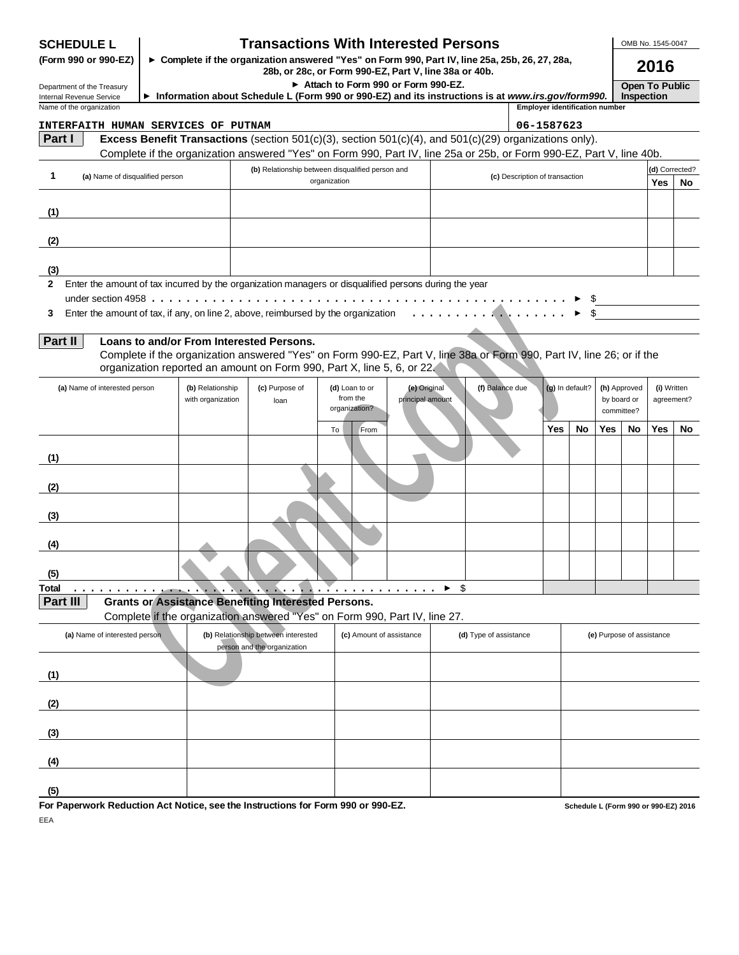| <b>Transactions With Interested Persons</b><br><b>SCHEDULE L</b><br>► Complete if the organization answered "Yes" on Form 990, Part IV, line 25a, 25b, 26, 27, 28a,<br>(Form 990 or 990-EZ)<br>28b, or 28c, or Form 990-EZ, Part V, line 38a or 40b. |  |                                       |                                                                                                                                                                                                 |                                                                  |                                  |     | OMB No. 1545-0047<br>2016 |                                       |     |                 |                           |                                           |                           |                       |
|------------------------------------------------------------------------------------------------------------------------------------------------------------------------------------------------------------------------------------------------------|--|---------------------------------------|-------------------------------------------------------------------------------------------------------------------------------------------------------------------------------------------------|------------------------------------------------------------------|----------------------------------|-----|---------------------------|---------------------------------------|-----|-----------------|---------------------------|-------------------------------------------|---------------------------|-----------------------|
| Department of the Treasury                                                                                                                                                                                                                           |  |                                       |                                                                                                                                                                                                 | Attach to Form 990 or Form 990-EZ.                               |                                  |     |                           |                                       |     |                 |                           |                                           | <b>Open To Public</b>     |                       |
| Internal Revenue Service<br>Name of the organization                                                                                                                                                                                                 |  |                                       | Information about Schedule L (Form 990 or 990-EZ) and its instructions is at www.irs.gov/form990.                                                                                               |                                                                  |                                  |     |                           | <b>Employer identification number</b> |     |                 |                           | Inspection                                |                           |                       |
| <b>INTERFAITH HUMAN SERVICES OF PUTNAM</b>                                                                                                                                                                                                           |  |                                       |                                                                                                                                                                                                 |                                                                  |                                  |     |                           | 06-1587623                            |     |                 |                           |                                           |                           |                       |
| Part I                                                                                                                                                                                                                                               |  |                                       | Excess Benefit Transactions (section 501(c)(3), section 501(c)(4), and 501(c)(29) organizations only).                                                                                          |                                                                  |                                  |     |                           |                                       |     |                 |                           |                                           |                           |                       |
|                                                                                                                                                                                                                                                      |  |                                       | Complete if the organization answered "Yes" on Form 990, Part IV, line 25a or 25b, or Form 990-EZ, Part V, line 40b.                                                                            |                                                                  |                                  |     |                           |                                       |     |                 |                           |                                           |                           |                       |
| 1<br>(a) Name of disqualified person                                                                                                                                                                                                                 |  |                                       |                                                                                                                                                                                                 | (b) Relationship between disqualified person and<br>organization |                                  |     |                           | (c) Description of transaction        |     |                 |                           |                                           | <b>Yes</b>                | (d) Corrected?<br>No. |
| (1)                                                                                                                                                                                                                                                  |  |                                       |                                                                                                                                                                                                 |                                                                  |                                  |     |                           |                                       |     |                 |                           |                                           |                           |                       |
| (2)                                                                                                                                                                                                                                                  |  |                                       |                                                                                                                                                                                                 |                                                                  |                                  |     |                           |                                       |     |                 |                           |                                           |                           |                       |
| (3)                                                                                                                                                                                                                                                  |  |                                       |                                                                                                                                                                                                 |                                                                  |                                  |     |                           |                                       |     |                 |                           |                                           |                           |                       |
| 2 Enter the amount of tax incurred by the organization managers or disqualified persons during the year                                                                                                                                              |  |                                       |                                                                                                                                                                                                 |                                                                  |                                  |     |                           |                                       |     |                 |                           |                                           |                           |                       |
|                                                                                                                                                                                                                                                      |  |                                       |                                                                                                                                                                                                 |                                                                  |                                  |     |                           |                                       |     |                 |                           |                                           |                           |                       |
| 3                                                                                                                                                                                                                                                    |  |                                       | Enter the amount of tax, if any, on line 2, above, reimbursed by the organization                                                                                                               |                                                                  |                                  |     |                           |                                       |     |                 |                           |                                           |                           |                       |
| Part II                                                                                                                                                                                                                                              |  |                                       | Loans to and/or From Interested Persons.                                                                                                                                                        |                                                                  |                                  |     |                           |                                       |     |                 |                           |                                           |                           |                       |
|                                                                                                                                                                                                                                                      |  |                                       | Complete if the organization answered "Yes" on Form 990-EZ, Part V, line 38a or Form 990, Part IV, line 26; or if the<br>organization reported an amount on Form 990, Part X, line 5, 6, or 22. |                                                                  |                                  |     |                           |                                       |     |                 |                           |                                           |                           |                       |
| (a) Name of interested person                                                                                                                                                                                                                        |  | (b) Relationship<br>with organization | (c) Purpose of<br>loan                                                                                                                                                                          | (d) Loan to or<br>from the<br>organization?                      | (e) Original<br>principal amount |     | (f) Balance due           |                                       |     | (g) In default? |                           | (h) Approved<br>by board or<br>committee? | (i) Written<br>agreement? |                       |
|                                                                                                                                                                                                                                                      |  |                                       |                                                                                                                                                                                                 | To<br>From                                                       |                                  |     |                           |                                       | Yes | No.             | Yes                       | <b>No</b>                                 | <b>Yes</b>                | No                    |
| (1)                                                                                                                                                                                                                                                  |  |                                       |                                                                                                                                                                                                 |                                                                  |                                  |     |                           |                                       |     |                 |                           |                                           |                           |                       |
| (2)                                                                                                                                                                                                                                                  |  |                                       |                                                                                                                                                                                                 |                                                                  |                                  |     |                           |                                       |     |                 |                           |                                           |                           |                       |
| (3)                                                                                                                                                                                                                                                  |  |                                       |                                                                                                                                                                                                 |                                                                  |                                  |     |                           |                                       |     |                 |                           |                                           |                           |                       |
| (4)                                                                                                                                                                                                                                                  |  |                                       |                                                                                                                                                                                                 |                                                                  |                                  |     |                           |                                       |     |                 |                           |                                           |                           |                       |
| (5)                                                                                                                                                                                                                                                  |  |                                       |                                                                                                                                                                                                 |                                                                  |                                  |     |                           |                                       |     |                 |                           |                                           |                           |                       |
| Total<br>Part III                                                                                                                                                                                                                                    |  |                                       | <b>Grants or Assistance Benefiting Interested Persons.</b>                                                                                                                                      | .                                                                |                                  | -\$ |                           |                                       |     |                 |                           |                                           |                           |                       |
|                                                                                                                                                                                                                                                      |  |                                       | Complete if the organization answered "Yes" on Form 990, Part IV, line 27.                                                                                                                      |                                                                  |                                  |     |                           |                                       |     |                 |                           |                                           |                           |                       |
| (a) Name of interested person                                                                                                                                                                                                                        |  |                                       | (b) Relationship between interested<br>person and the organization                                                                                                                              | (c) Amount of assistance                                         |                                  |     | (d) Type of assistance    |                                       |     |                 | (e) Purpose of assistance |                                           |                           |                       |
| (1)                                                                                                                                                                                                                                                  |  |                                       |                                                                                                                                                                                                 |                                                                  |                                  |     |                           |                                       |     |                 |                           |                                           |                           |                       |
| (2)                                                                                                                                                                                                                                                  |  |                                       |                                                                                                                                                                                                 |                                                                  |                                  |     |                           |                                       |     |                 |                           |                                           |                           |                       |
| (3)                                                                                                                                                                                                                                                  |  |                                       |                                                                                                                                                                                                 |                                                                  |                                  |     |                           |                                       |     |                 |                           |                                           |                           |                       |
| (4)                                                                                                                                                                                                                                                  |  |                                       |                                                                                                                                                                                                 |                                                                  |                                  |     |                           |                                       |     |                 |                           |                                           |                           |                       |
|                                                                                                                                                                                                                                                      |  |                                       |                                                                                                                                                                                                 |                                                                  |                                  |     |                           |                                       |     |                 |                           |                                           |                           |                       |

**For Paperwork Reduction Act Notice, see the Instructions for Form 990 or 990-EZ.** EEA

**(5)**

**Schedule L (Form 990 or 990-EZ) 2016**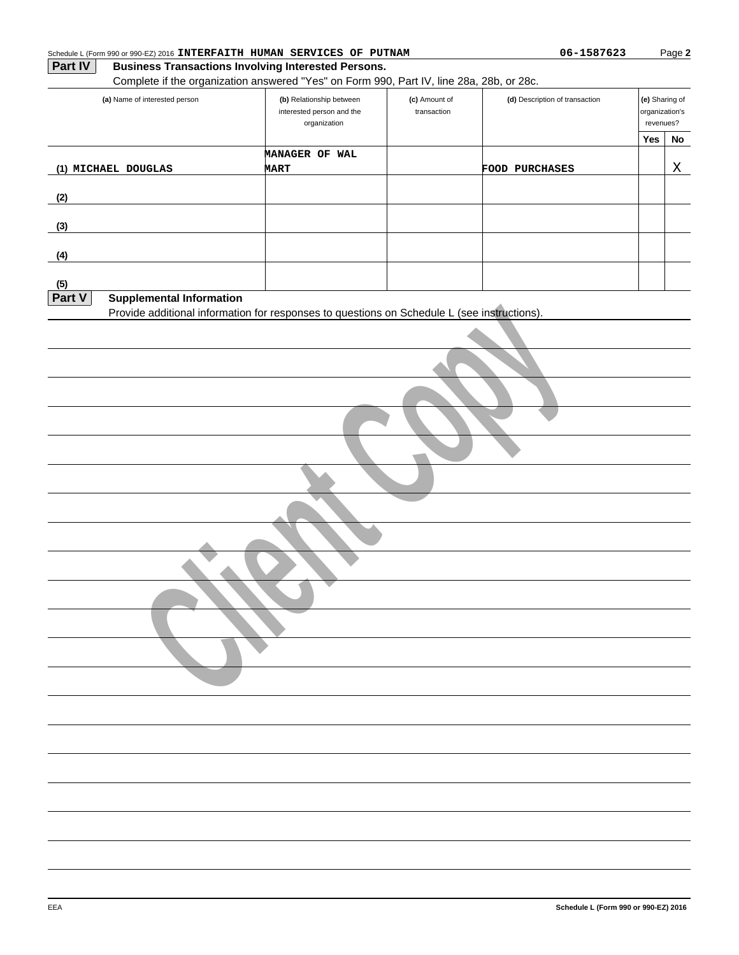| (a) Name of interested person                                                               | (b) Relationship between<br>interested person and the<br>organization | (c) Amount of<br>transaction | (d) Description of transaction |     | (e) Sharing of<br>organization's<br>revenues? |  |
|---------------------------------------------------------------------------------------------|-----------------------------------------------------------------------|------------------------------|--------------------------------|-----|-----------------------------------------------|--|
|                                                                                             |                                                                       |                              |                                | Yes | No                                            |  |
| (1) MICHAEL DOUGLAS                                                                         | MANAGER OF WAL<br><b>MART</b>                                         |                              | FOOD PURCHASES                 |     | Χ                                             |  |
|                                                                                             |                                                                       |                              |                                |     |                                               |  |
| (2)                                                                                         |                                                                       |                              |                                |     |                                               |  |
| (3)                                                                                         |                                                                       |                              |                                |     |                                               |  |
| (4)                                                                                         |                                                                       |                              |                                |     |                                               |  |
| (5)                                                                                         |                                                                       |                              |                                |     |                                               |  |
| Part V<br><b>Supplemental Information</b>                                                   |                                                                       |                              |                                |     |                                               |  |
| Provide additional information for responses to questions on Schedule L (see instructions). |                                                                       |                              |                                |     |                                               |  |
|                                                                                             |                                                                       |                              |                                |     |                                               |  |
|                                                                                             |                                                                       |                              |                                |     |                                               |  |
|                                                                                             |                                                                       |                              |                                |     |                                               |  |
|                                                                                             |                                                                       |                              |                                |     |                                               |  |
|                                                                                             |                                                                       |                              |                                |     |                                               |  |
|                                                                                             |                                                                       |                              |                                |     |                                               |  |
|                                                                                             |                                                                       |                              |                                |     |                                               |  |
|                                                                                             |                                                                       |                              |                                |     |                                               |  |
|                                                                                             |                                                                       |                              |                                |     |                                               |  |
|                                                                                             |                                                                       |                              |                                |     |                                               |  |
|                                                                                             |                                                                       |                              |                                |     |                                               |  |
|                                                                                             |                                                                       |                              |                                |     |                                               |  |
|                                                                                             |                                                                       |                              |                                |     |                                               |  |
|                                                                                             |                                                                       |                              |                                |     |                                               |  |
|                                                                                             |                                                                       |                              |                                |     |                                               |  |
|                                                                                             |                                                                       |                              |                                |     |                                               |  |
|                                                                                             |                                                                       |                              |                                |     |                                               |  |
|                                                                                             |                                                                       |                              |                                |     |                                               |  |
|                                                                                             |                                                                       |                              |                                |     |                                               |  |
|                                                                                             |                                                                       |                              |                                |     |                                               |  |
|                                                                                             |                                                                       |                              |                                |     |                                               |  |
|                                                                                             |                                                                       |                              |                                |     |                                               |  |
|                                                                                             |                                                                       |                              |                                |     |                                               |  |
|                                                                                             |                                                                       |                              |                                |     |                                               |  |
|                                                                                             |                                                                       |                              |                                |     |                                               |  |
|                                                                                             |                                                                       |                              |                                |     |                                               |  |
|                                                                                             |                                                                       |                              |                                |     |                                               |  |

**Business Transactions Involving Interested Persons.**

**Part IV**

Complete if the organization answered "Yes" on Form 990, Part IV, line 28a, 28b, or 28c.

Schedule L (Form 990 or 990-EZ) 2016 **INTERFAITH HUMAN SERVICES OF PUTNAM 1998 1998 06-1587623** 

Page **2**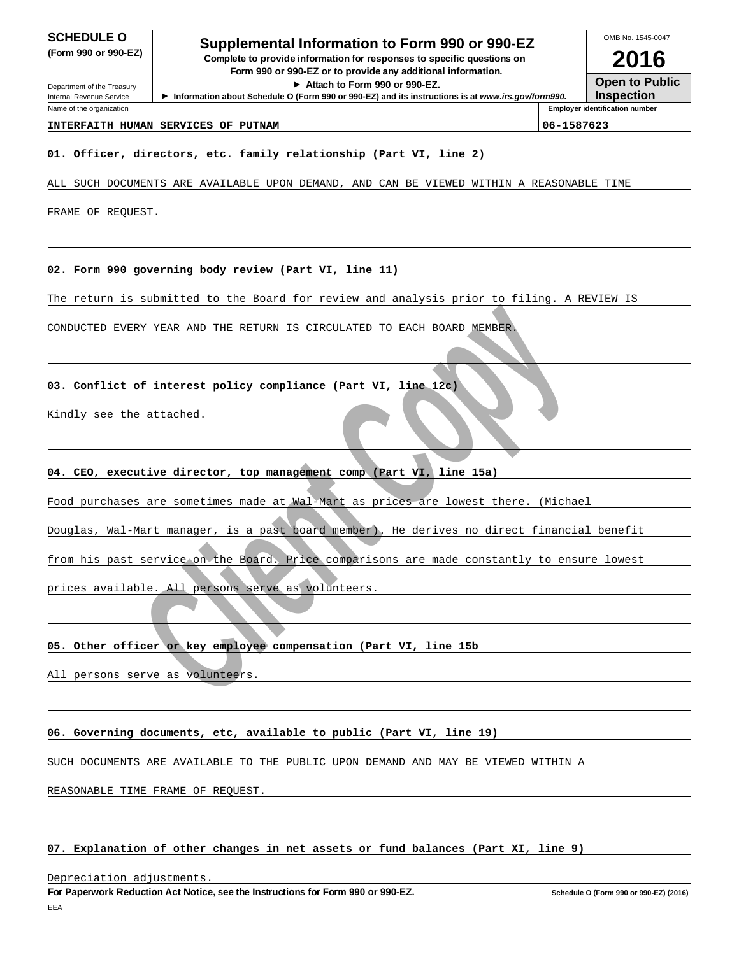Department of the Treasury Internal Revenue Service Name of the organization

## **SCHEDULE O**<br> **Supplemental Information to Form 990 or 990-EZ**<br> **Supplemental information for an all property was the set of the SCS**

**(Form 990 or 990-EZ) Complete to provide information for responses to specific questions on Form 990 or 990-EZ or to provide any additional information.**

**Attach to Form 990 or 990-EZ.**

▶ Information about Schedule O (Form 990 or 990-EZ) and its instructions is at www.irs.gov/form990.

**2016 Open to Public**

OMB No. 1545-0047

**Inspection Employer identification number**

#### **INTERFAITH HUMAN SERVICES OF PUTNAM 106-1587623**

#### **01. Officer, directors, etc. family relationship (Part VI, line 2)**

ALL SUCH DOCUMENTS ARE AVAILABLE UPON DEMAND, AND CAN BE VIEWED WITHIN A REASONABLE TIME

FRAME OF REQUEST.

**02. Form 990 governing body review (Part VI, line 11)**

The return is submitted to the Board for review and analysis prior to filing. A REVIEW IS

CONDUCTED EVERY YEAR AND THE RETURN IS CIRCULATED TO EACH BOARD MEMBER.

**03. Conflict of interest policy compliance (Part VI, line 12c)**

Kindly see the attached.

**04. CEO, executive director, top management comp (Part VI, line 15a)**

FRY YEAR AND THE RETURN IS CIRCULATED TO EACH BOARD MEMBER<br> **Example of interest policy compliance (Part VI, line 12c)**<br>
and the ditached.<br>
He ditached.<br>
<br>
He ditached.<br>
<br>
He ditached.<br>
<br>
Here are sometimes made at Wal Mar Food purchases are sometimes made at Wal-Mart as prices are lowest there. (Michael

Douglas, Wal-Mart manager, is a past board member). He derives no direct financial benefit

from his past service on the Board. Price comparisons are made constantly to ensure lowest

prices available. All persons serve as volunteers.

#### **05. Other officer or key employee compensation (Part VI, line 15b**

All persons serve as volunteers.

#### **06. Governing documents, etc, available to public (Part VI, line 19)**

SUCH DOCUMENTS ARE AVAILABLE TO THE PUBLIC UPON DEMAND AND MAY BE VIEWED WITHIN A

REASONABLE TIME FRAME OF REQUEST.

#### **07. Explanation of other changes in net assets or fund balances (Part XI, line 9)**

Depreciation adjustments.

**For Paperwork Reduction Act Notice, see the Instructions for Form 990 or 990-EZ.** EEA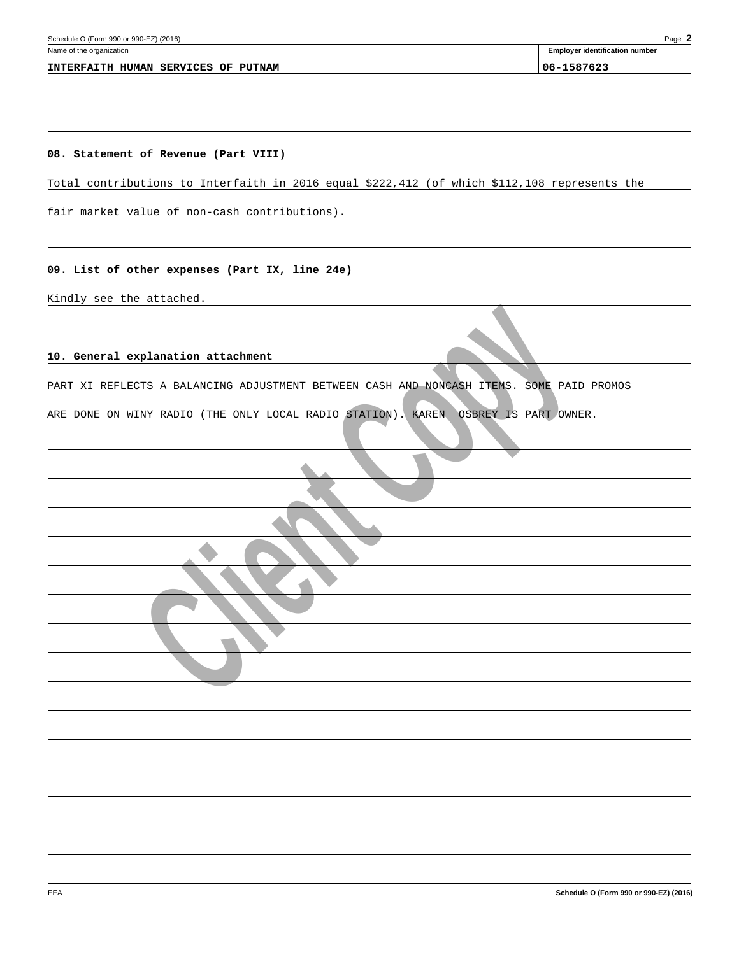#### **INTERFAITH HUMAN SERVICES OF PUTNAM 06-1587623**

**Employer identification number**

#### **08. Statement of Revenue (Part VIII)**

Total contributions to Interfaith in 2016 equal \$222,412 (of which \$112,108 represents the

fair market value of non-cash contributions).

#### **09. List of other expenses (Part IX, line 24e)**

Kindly see the attached.

#### **10. General explanation attachment**

**explanation attachment**<br>
DECTS A BALANCING ADJUSTMENT BETWEEN CASH AND ROME I ITEMS. SONE PART<br>
WINY RADIO (THE ONLY LOCAL RADIO STATION). RAREN COBRET IS PART OWN PART XI REFLECTS A BALANCING ADJUSTMENT BETWEEN CASH AND NONCASH ITEMS. SOME PAID PROMOS

ARE DONE ON WINY RADIO (THE ONLY LOCAL RADIO STATION). KAREN OSBREY IS PART OWNER.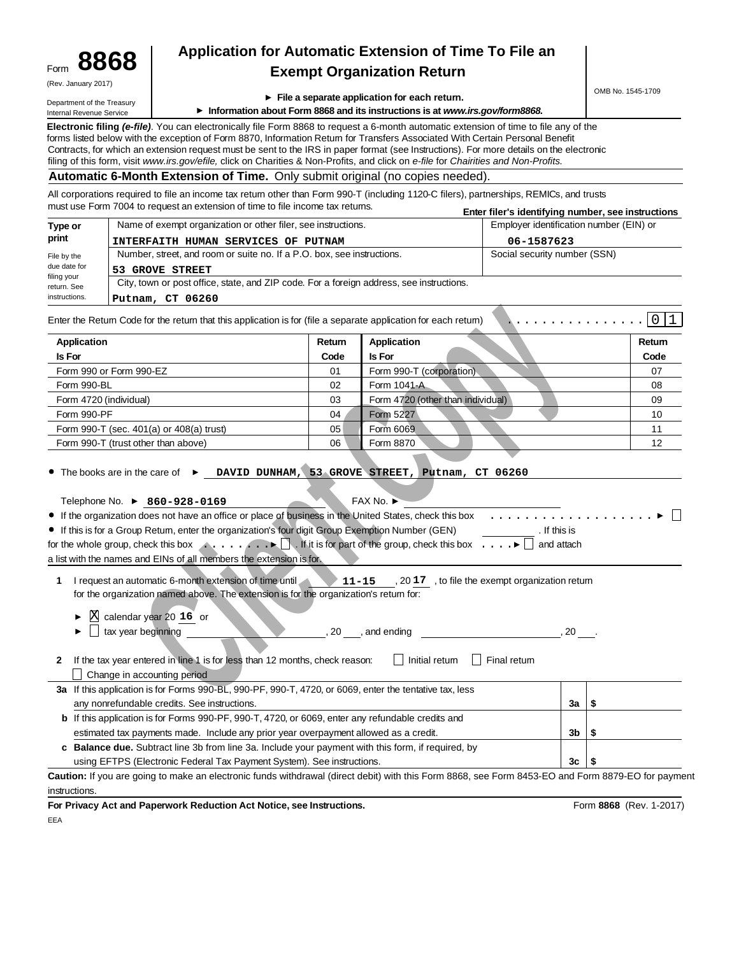| Form | 8868                |
|------|---------------------|
|      | (Rev. January 2017) |

### **8868 Application for Automatic Extension of Time To File an Exempt Organization Return**

| (Rev. January 2017)                                    |                    |                                                                                                                                                                                                                                                                                 |                                         |                                                                                                                                                    |                                                    | OMB No. 1545-1709   |  |  |
|--------------------------------------------------------|--------------------|---------------------------------------------------------------------------------------------------------------------------------------------------------------------------------------------------------------------------------------------------------------------------------|-----------------------------------------|----------------------------------------------------------------------------------------------------------------------------------------------------|----------------------------------------------------|---------------------|--|--|
| Department of the Treasury<br>Internal Revenue Service |                    |                                                                                                                                                                                                                                                                                 |                                         | $\blacktriangleright$ File a separate application for each return.<br>Information about Form 8868 and its instructions is at www.irs.gov/form8868. |                                                    |                     |  |  |
|                                                        |                    |                                                                                                                                                                                                                                                                                 |                                         |                                                                                                                                                    |                                                    |                     |  |  |
|                                                        |                    | Electronic filing (e-file). You can electronically file Form 8868 to request a 6-month automatic extension of time to file any of the                                                                                                                                           |                                         |                                                                                                                                                    |                                                    |                     |  |  |
|                                                        |                    | forms listed below with the exception of Form 8870, Information Retum for Transfers Associated With Certain Personal Benefit                                                                                                                                                    |                                         |                                                                                                                                                    |                                                    |                     |  |  |
|                                                        |                    | Contracts, for which an extension request must be sent to the IRS in paper format (see Instructions). For more details on the electronic<br>filing of this form, visit www.irs.gov/efile, click on Charities & Non-Profits, and click on e-file for Chairities and Non-Profits. |                                         |                                                                                                                                                    |                                                    |                     |  |  |
|                                                        |                    | Automatic 6-Month Extension of Time. Only submit original (no copies needed).                                                                                                                                                                                                   |                                         |                                                                                                                                                    |                                                    |                     |  |  |
|                                                        |                    | All corporations required to file an income tax retum other than Form 990-T (including 1120-C filers), partnerships, REMICs, and trusts                                                                                                                                         |                                         |                                                                                                                                                    |                                                    |                     |  |  |
|                                                        |                    | must use Form 7004 to request an extension of time to file income tax retums.                                                                                                                                                                                                   |                                         |                                                                                                                                                    | Enter filer's identifying number, see instructions |                     |  |  |
| Type or                                                |                    | Name of exempt organization or other filer, see instructions.                                                                                                                                                                                                                   | Employer identification number (EIN) or |                                                                                                                                                    |                                                    |                     |  |  |
| print                                                  |                    | INTERFAITH HUMAN SERVICES OF PUTNAM                                                                                                                                                                                                                                             |                                         |                                                                                                                                                    | 06-1587623                                         |                     |  |  |
| File by the                                            |                    | Number, street, and room or suite no. If a P.O. box, see instructions.                                                                                                                                                                                                          |                                         |                                                                                                                                                    | Social security number (SSN)                       |                     |  |  |
| due date for                                           |                    | <b>53 GROVE STREET</b>                                                                                                                                                                                                                                                          |                                         |                                                                                                                                                    |                                                    |                     |  |  |
| filing your                                            |                    | City, town or post office, state, and ZIP code. For a foreign address, see instructions.                                                                                                                                                                                        |                                         |                                                                                                                                                    |                                                    |                     |  |  |
| return. See<br>instructions.                           |                    |                                                                                                                                                                                                                                                                                 |                                         |                                                                                                                                                    |                                                    |                     |  |  |
|                                                        |                    | Putnam, CT 06260                                                                                                                                                                                                                                                                |                                         |                                                                                                                                                    |                                                    |                     |  |  |
|                                                        |                    | Enter the Retum Code for the retum that this application is for (file a separate application for each retum)                                                                                                                                                                    |                                         |                                                                                                                                                    |                                                    | $\overline{0}$<br>1 |  |  |
| <b>Application</b>                                     |                    |                                                                                                                                                                                                                                                                                 | Return                                  | Application                                                                                                                                        |                                                    | Return              |  |  |
| Is For                                                 |                    |                                                                                                                                                                                                                                                                                 | Code                                    | <b>Is For</b>                                                                                                                                      |                                                    | Code                |  |  |
| Form 990 or Form 990-EZ                                |                    |                                                                                                                                                                                                                                                                                 | 01                                      | Form 990-T (corporation)                                                                                                                           |                                                    | 07                  |  |  |
| Form 990-BL                                            |                    |                                                                                                                                                                                                                                                                                 | 02                                      | Form 1041-A                                                                                                                                        | 08                                                 |                     |  |  |
| Form 4720 (individual)                                 |                    |                                                                                                                                                                                                                                                                                 | 03                                      | Form 4720 (other than individual)                                                                                                                  |                                                    | 09                  |  |  |
| Form 990-PF                                            |                    |                                                                                                                                                                                                                                                                                 | 04                                      | Form 5227                                                                                                                                          | 10                                                 |                     |  |  |
|                                                        |                    | Form 990-T (sec. 401(a) or 408(a) trust)                                                                                                                                                                                                                                        | 05                                      | Form 6069                                                                                                                                          | 11                                                 |                     |  |  |
|                                                        |                    | Form 990-T (trust other than above)                                                                                                                                                                                                                                             | 06                                      | Form 8870                                                                                                                                          | 12                                                 |                     |  |  |
|                                                        |                    | • The books are in the care of $\quadblacktriangleright$                                                                                                                                                                                                                        |                                         | DAVID DUNHAM, 53 GROVE STREET, Putnam, CT 06260                                                                                                    |                                                    |                     |  |  |
|                                                        |                    |                                                                                                                                                                                                                                                                                 |                                         |                                                                                                                                                    |                                                    |                     |  |  |
|                                                        |                    | Telephone No. ▶ 860-928-0169                                                                                                                                                                                                                                                    |                                         | $FAX$ No. $\blacktriangleright$                                                                                                                    |                                                    |                     |  |  |
|                                                        |                    | • If the organization does not have an office or place of business in the United States, check this box                                                                                                                                                                         |                                         |                                                                                                                                                    |                                                    |                     |  |  |
|                                                        |                    | • If this is for a Group Retum, enter the organization's four digit Group Exemption Number (GEN)                                                                                                                                                                                |                                         |                                                                                                                                                    | . If this is                                       |                     |  |  |
|                                                        |                    |                                                                                                                                                                                                                                                                                 |                                         |                                                                                                                                                    | and attach                                         |                     |  |  |
|                                                        |                    | a list with the names and EINs of all members the extension is for.                                                                                                                                                                                                             |                                         |                                                                                                                                                    |                                                    |                     |  |  |
| 1                                                      |                    | I request an automatic 6-month extension of time until<br>for the organization named above. The extension is for the organization's retum for:                                                                                                                                  | 11-15                                   |                                                                                                                                                    | , 20 $17$ , to file the exempt organization retum  |                     |  |  |
| M<br>▶                                                 |                    | calendar year 20 16 or                                                                                                                                                                                                                                                          |                                         |                                                                                                                                                    |                                                    |                     |  |  |
| ▶                                                      | tax year beginning |                                                                                                                                                                                                                                                                                 |                                         | , 20 , and ending                                                                                                                                  | , 20                                               |                     |  |  |
|                                                        |                    |                                                                                                                                                                                                                                                                                 |                                         | Initial retum                                                                                                                                      | Final retum                                        |                     |  |  |
| 2                                                      |                    | If the tax year entered in line 1 is for less than 12 months, check reason:<br>Change in accounting period                                                                                                                                                                      |                                         |                                                                                                                                                    |                                                    |                     |  |  |
|                                                        |                    | 3a If this application is for Forms 990-BL, 990-PF, 990-T, 4720, or 6069, enter the tentative tax, less                                                                                                                                                                         |                                         |                                                                                                                                                    |                                                    |                     |  |  |
|                                                        |                    | any nonrefundable credits. See instructions.                                                                                                                                                                                                                                    |                                         |                                                                                                                                                    | За                                                 | \$                  |  |  |
|                                                        |                    | <b>b</b> If this application is for Forms 990-PF, 990-T, 4720, or 6069, enter any refundable credits and                                                                                                                                                                        |                                         |                                                                                                                                                    |                                                    |                     |  |  |
|                                                        |                    | estimated tax payments made. Include any prior year overpayment allowed as a credit.                                                                                                                                                                                            |                                         |                                                                                                                                                    | 3b                                                 | \$                  |  |  |
|                                                        |                    | c Balance due. Subtract line 3b from line 3a. Include your payment with this form, if required, by                                                                                                                                                                              |                                         |                                                                                                                                                    |                                                    |                     |  |  |
|                                                        |                    | using EFTPS (Electronic Federal Tax Payment System). See instructions.                                                                                                                                                                                                          |                                         |                                                                                                                                                    | 3c                                                 | \$                  |  |  |
|                                                        |                    | Caution: If you are going to make an electronic funds withdrawal (direct debit) with this Form 8868, see Form 8453-EO and Form 8879-EO for payment                                                                                                                              |                                         |                                                                                                                                                    |                                                    |                     |  |  |
| instructions.                                          |                    |                                                                                                                                                                                                                                                                                 |                                         |                                                                                                                                                    |                                                    |                     |  |  |

**For Privacy Act and Paperwork Reduction Act Notice, see Instructions.**

Form **8868** (Rev. 1-2017)

EEA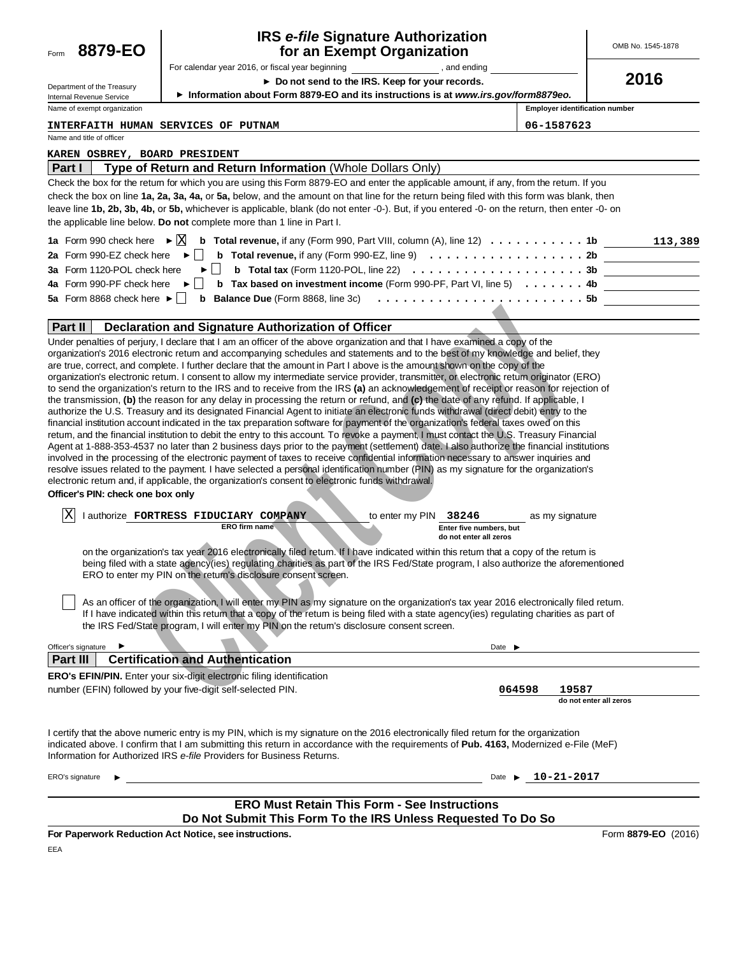| 8879-EO<br>Form                                                                                          | <b>IRS e-file Signature Authorization</b><br>for an Exempt Organization                                                                                                                                                                                                                                                                                                                                                                                                                                                                                                                                                                                                                                                                                                                                                                                                                                                                                                                                                                                                                                                                                                                                                                                                                                                                                                                                                                                                                                                                                                                                                                                                                                                                                                                                                                                                                                                                                                                                                                                                                                                                                                                                                                                                                                                                                                                         |                                       | OMB No. 1545-1878      |
|----------------------------------------------------------------------------------------------------------|-------------------------------------------------------------------------------------------------------------------------------------------------------------------------------------------------------------------------------------------------------------------------------------------------------------------------------------------------------------------------------------------------------------------------------------------------------------------------------------------------------------------------------------------------------------------------------------------------------------------------------------------------------------------------------------------------------------------------------------------------------------------------------------------------------------------------------------------------------------------------------------------------------------------------------------------------------------------------------------------------------------------------------------------------------------------------------------------------------------------------------------------------------------------------------------------------------------------------------------------------------------------------------------------------------------------------------------------------------------------------------------------------------------------------------------------------------------------------------------------------------------------------------------------------------------------------------------------------------------------------------------------------------------------------------------------------------------------------------------------------------------------------------------------------------------------------------------------------------------------------------------------------------------------------------------------------------------------------------------------------------------------------------------------------------------------------------------------------------------------------------------------------------------------------------------------------------------------------------------------------------------------------------------------------------------------------------------------------------------------------------------------------|---------------------------------------|------------------------|
|                                                                                                          | For calendar year 2016, or fiscal year beginning the state of the state of the state of the state of the state of the state of the state of the state of the state of the state of the state of the state of the state of the                                                                                                                                                                                                                                                                                                                                                                                                                                                                                                                                                                                                                                                                                                                                                                                                                                                                                                                                                                                                                                                                                                                                                                                                                                                                                                                                                                                                                                                                                                                                                                                                                                                                                                                                                                                                                                                                                                                                                                                                                                                                                                                                                                   |                                       |                        |
| Department of the Treasury                                                                               | ▶ Do not send to the IRS. Keep for your records.                                                                                                                                                                                                                                                                                                                                                                                                                                                                                                                                                                                                                                                                                                                                                                                                                                                                                                                                                                                                                                                                                                                                                                                                                                                                                                                                                                                                                                                                                                                                                                                                                                                                                                                                                                                                                                                                                                                                                                                                                                                                                                                                                                                                                                                                                                                                                |                                       | 2016                   |
| Internal Revenue Service                                                                                 | Information about Form 8879-EO and its instructions is at www.irs.gov/form8879eo.                                                                                                                                                                                                                                                                                                                                                                                                                                                                                                                                                                                                                                                                                                                                                                                                                                                                                                                                                                                                                                                                                                                                                                                                                                                                                                                                                                                                                                                                                                                                                                                                                                                                                                                                                                                                                                                                                                                                                                                                                                                                                                                                                                                                                                                                                                               |                                       |                        |
| Name of exempt organization                                                                              |                                                                                                                                                                                                                                                                                                                                                                                                                                                                                                                                                                                                                                                                                                                                                                                                                                                                                                                                                                                                                                                                                                                                                                                                                                                                                                                                                                                                                                                                                                                                                                                                                                                                                                                                                                                                                                                                                                                                                                                                                                                                                                                                                                                                                                                                                                                                                                                                 | <b>Employer identification number</b> |                        |
| Name and title of officer                                                                                | <b>INTERFAITH HUMAN SERVICES OF PUTNAM</b>                                                                                                                                                                                                                                                                                                                                                                                                                                                                                                                                                                                                                                                                                                                                                                                                                                                                                                                                                                                                                                                                                                                                                                                                                                                                                                                                                                                                                                                                                                                                                                                                                                                                                                                                                                                                                                                                                                                                                                                                                                                                                                                                                                                                                                                                                                                                                      | 06-1587623                            |                        |
|                                                                                                          |                                                                                                                                                                                                                                                                                                                                                                                                                                                                                                                                                                                                                                                                                                                                                                                                                                                                                                                                                                                                                                                                                                                                                                                                                                                                                                                                                                                                                                                                                                                                                                                                                                                                                                                                                                                                                                                                                                                                                                                                                                                                                                                                                                                                                                                                                                                                                                                                 |                                       |                        |
| <b>KAREN OSBREY, BOARD PRESIDENT</b><br>Part I                                                           | Type of Return and Return Information (Whole Dollars Only)                                                                                                                                                                                                                                                                                                                                                                                                                                                                                                                                                                                                                                                                                                                                                                                                                                                                                                                                                                                                                                                                                                                                                                                                                                                                                                                                                                                                                                                                                                                                                                                                                                                                                                                                                                                                                                                                                                                                                                                                                                                                                                                                                                                                                                                                                                                                      |                                       |                        |
| 1a Form 990 check here $\triangleright \Box$<br>2a Form 990-EZ check here<br>3a Form 1120-POL check here | Check the box for the retum for which you are using this Form 8879-EO and enter the applicable amount, if any, from the retum. If you<br>check the box on line 1a, 2a, 3a, 4a, or 5a, below, and the amount on that line for the return being filed with this form was blank, then<br>leave line 1b, 2b, 3b, 4b, or 5b, whichever is applicable, blank (do not enter -0-). But, if you entered -0- on the return, then enter -0- on<br>the applicable line below. Do not complete more than 1 line in Part I.<br><b>b</b> Total revenue, if any (Form 990, Part VIII, column $(A)$ , line 12) $\ldots \ldots \ldots$<br><b>b</b> Total revenue, if any (Form 990-EZ, line 9) $\ldots \ldots \ldots \ldots \ldots \ldots \ldots$<br><b>b</b> Total tax (Form 1120-POL, line 22) $\ldots \ldots \ldots \ldots \ldots \ldots \ldots \ldots \ldots 3b$                                                                                                                                                                                                                                                                                                                                                                                                                                                                                                                                                                                                                                                                                                                                                                                                                                                                                                                                                                                                                                                                                                                                                                                                                                                                                                                                                                                                                                                                                                                                              |                                       | 113,389                |
| 4a Form 990-PF check here                                                                                | <b>b</b> Tax based on investment income (Form 990-PF, Part VI, line 5) $\ldots \ldots$                                                                                                                                                                                                                                                                                                                                                                                                                                                                                                                                                                                                                                                                                                                                                                                                                                                                                                                                                                                                                                                                                                                                                                                                                                                                                                                                                                                                                                                                                                                                                                                                                                                                                                                                                                                                                                                                                                                                                                                                                                                                                                                                                                                                                                                                                                          |                                       |                        |
| 5a Form 8868 check here $\blacktriangleright$ $\mid \cdot \mid$                                          | <b>b</b> Balance Due (Form 8868, line 3c) $\ldots$ ,,,,,,,,,,,,,,,,,,,,,,,,,,,,5b                                                                                                                                                                                                                                                                                                                                                                                                                                                                                                                                                                                                                                                                                                                                                                                                                                                                                                                                                                                                                                                                                                                                                                                                                                                                                                                                                                                                                                                                                                                                                                                                                                                                                                                                                                                                                                                                                                                                                                                                                                                                                                                                                                                                                                                                                                               |                                       |                        |
| <b>Part II</b>                                                                                           | Declaration and Signature Authorization of Officer                                                                                                                                                                                                                                                                                                                                                                                                                                                                                                                                                                                                                                                                                                                                                                                                                                                                                                                                                                                                                                                                                                                                                                                                                                                                                                                                                                                                                                                                                                                                                                                                                                                                                                                                                                                                                                                                                                                                                                                                                                                                                                                                                                                                                                                                                                                                              |                                       |                        |
| Officer's PIN: check one box only<br> X                                                                  | are true, correct, and complete. I further declare that the amount in Part I above is the amount shown on the copy of the<br>organization's electronic retum. I consent to allow my intermediate service provider, transmitter, or electronic retum originator (ERO)<br>to send the organization's return to the IRS and to receive from the IRS (a) an acknowledgement of receipt or reason for rejection of<br>the transmission, (b) the reason for any delay in processing the return or refund, and (c) the date of any refund. If applicable, I<br>authorize the U.S. Treasury and its designated Financial Agent to initiate an electronic funds withdrawal (direct debit) entry to the<br>financial institution account indicated in the tax preparation software for payment of the organization's federal taxes owed on this<br>retum, and the financial institution to debit the entry to this account. To revoke a payment, I must contact the U.S. Treasury Financial<br>Agent at 1-888-353-4537 no later than 2 business days prior to the payment (settlement) date. I also authorize the financial institutions<br>involved in the processing of the electronic payment of taxes to receive confidential information necessary to answer inquiries and<br>resolve issues related to the payment. I have selected a personal identification number (PIN) as my signature for the organization's<br>electronic retum and, if applicable, the organization's consent to electronic funds withdrawal.<br>l authorize FORTRESS FIDUCIARY COMPANY<br>to enter my PIN 38246<br><b>ERO firm name</b><br>Enter five numbers, but<br>do not enter all zeros<br>on the organization's tax year 2016 electronically filed retum. If I have indicated within this retum that a copy of the retum is<br>being filed with a state agency(ies) regulating charities as part of the IRS Fed/State program, I also authorize the aforementioned<br>ERO to enter my PIN on the return's disclosure consent screen.<br>As an officer of the organization, I will enter my PIN as my signature on the organization's tax year 2016 electronically filed return.<br>If I have indicated within this retum that a copy of the retum is being filed with a state agency(ies) regulating charities as part of<br>the IRS Fed/State program, I will enter my PIN on the retum's disclosure consent screen. | as my signature                       |                        |
| Officer's signature                                                                                      | Date $\blacktriangleright$                                                                                                                                                                                                                                                                                                                                                                                                                                                                                                                                                                                                                                                                                                                                                                                                                                                                                                                                                                                                                                                                                                                                                                                                                                                                                                                                                                                                                                                                                                                                                                                                                                                                                                                                                                                                                                                                                                                                                                                                                                                                                                                                                                                                                                                                                                                                                                      |                                       |                        |
| <b>Part III</b>                                                                                          | <b>Certification and Authentication</b>                                                                                                                                                                                                                                                                                                                                                                                                                                                                                                                                                                                                                                                                                                                                                                                                                                                                                                                                                                                                                                                                                                                                                                                                                                                                                                                                                                                                                                                                                                                                                                                                                                                                                                                                                                                                                                                                                                                                                                                                                                                                                                                                                                                                                                                                                                                                                         |                                       |                        |
|                                                                                                          | ERO's EFIN/PIN. Enter your six-digit electronic filing identification<br>number (EFIN) followed by your five-digit self-selected PIN.                                                                                                                                                                                                                                                                                                                                                                                                                                                                                                                                                                                                                                                                                                                                                                                                                                                                                                                                                                                                                                                                                                                                                                                                                                                                                                                                                                                                                                                                                                                                                                                                                                                                                                                                                                                                                                                                                                                                                                                                                                                                                                                                                                                                                                                           | 19587<br>064598                       | do not enter all zeros |
|                                                                                                          | I certify that the above numeric entry is my PIN, which is my signature on the 2016 electronically filed retum for the organization<br>indicated above. I confirm that I am submitting this return in accordance with the requirements of Pub. 4163, Modernized e-File (MeF)<br>Information for Authorized IRS e-file Providers for Business Returns.                                                                                                                                                                                                                                                                                                                                                                                                                                                                                                                                                                                                                                                                                                                                                                                                                                                                                                                                                                                                                                                                                                                                                                                                                                                                                                                                                                                                                                                                                                                                                                                                                                                                                                                                                                                                                                                                                                                                                                                                                                           |                                       |                        |
| ERO's signature                                                                                          | Date $\blacktriangleright$                                                                                                                                                                                                                                                                                                                                                                                                                                                                                                                                                                                                                                                                                                                                                                                                                                                                                                                                                                                                                                                                                                                                                                                                                                                                                                                                                                                                                                                                                                                                                                                                                                                                                                                                                                                                                                                                                                                                                                                                                                                                                                                                                                                                                                                                                                                                                                      | 10-21-2017                            |                        |
|                                                                                                          |                                                                                                                                                                                                                                                                                                                                                                                                                                                                                                                                                                                                                                                                                                                                                                                                                                                                                                                                                                                                                                                                                                                                                                                                                                                                                                                                                                                                                                                                                                                                                                                                                                                                                                                                                                                                                                                                                                                                                                                                                                                                                                                                                                                                                                                                                                                                                                                                 |                                       |                        |
|                                                                                                          | <b>ERO Must Retain This Form - See Instructions</b>                                                                                                                                                                                                                                                                                                                                                                                                                                                                                                                                                                                                                                                                                                                                                                                                                                                                                                                                                                                                                                                                                                                                                                                                                                                                                                                                                                                                                                                                                                                                                                                                                                                                                                                                                                                                                                                                                                                                                                                                                                                                                                                                                                                                                                                                                                                                             |                                       |                        |
|                                                                                                          | Do Not Submit This Form To the IRS Unless Requested To Do So                                                                                                                                                                                                                                                                                                                                                                                                                                                                                                                                                                                                                                                                                                                                                                                                                                                                                                                                                                                                                                                                                                                                                                                                                                                                                                                                                                                                                                                                                                                                                                                                                                                                                                                                                                                                                                                                                                                                                                                                                                                                                                                                                                                                                                                                                                                                    |                                       |                        |
|                                                                                                          | For Paperwork Reduction Act Notice, see instructions.                                                                                                                                                                                                                                                                                                                                                                                                                                                                                                                                                                                                                                                                                                                                                                                                                                                                                                                                                                                                                                                                                                                                                                                                                                                                                                                                                                                                                                                                                                                                                                                                                                                                                                                                                                                                                                                                                                                                                                                                                                                                                                                                                                                                                                                                                                                                           |                                       | Form 8879-EO (2016)    |

EEA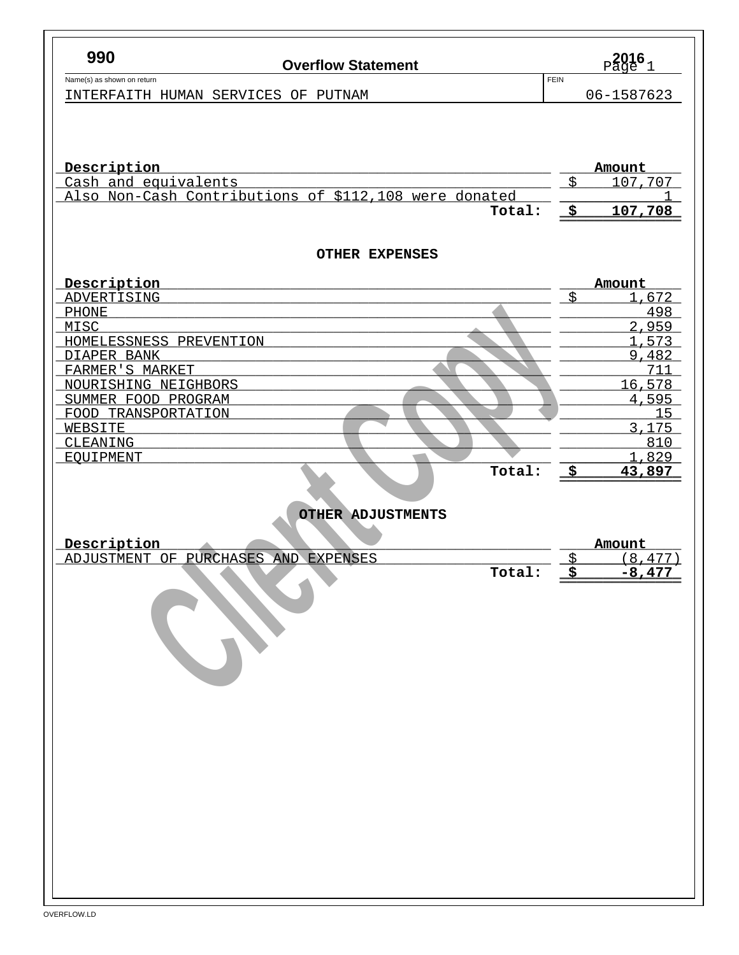| FEIN<br>Name(s) as shown on return<br>06-1587623<br>INTERFAITH HUMAN SERVICES OF PUTNAM<br>Description<br>Amount<br>\$<br>Cash and equivalents<br>107,707<br>Also Non-Cash Contributions of \$112,108 were donated<br>$\frac{1}{2}$<br>Total:<br>107,708<br><b>OTHER EXPENSES</b><br>Description<br>Amount<br>\$<br>1,672<br>ADVERTISING<br>498<br><b>PHONE</b><br>2,959<br>MISC<br>1,573<br>HOMELESSNESS PREVENTION<br>9,482<br>DIAPER BANK<br>FARMER'S MARKET<br>711<br>16,578<br>NOURISHING NEIGHBORS<br>4,595<br>SUMMER FOOD PROGRAM<br>FOOD TRANSPORTATION<br>15<br>3,175<br>WEBSITE<br>810<br>CLEANING<br>1,829<br><b>EQUIPMENT</b><br>Total:<br>_\$<br>43,897<br>OTHER ADJUSTMENTS<br>Description<br>Amount<br>ADJUSTMENT OF PURCHASES AND EXPENSES<br>\$<br>(8, 477)<br>Ś.<br>Total:<br>$-8,477$ | 990 | <b>Overflow Statement</b> | $_{\text{Page}}^{2016}$ 1 |
|----------------------------------------------------------------------------------------------------------------------------------------------------------------------------------------------------------------------------------------------------------------------------------------------------------------------------------------------------------------------------------------------------------------------------------------------------------------------------------------------------------------------------------------------------------------------------------------------------------------------------------------------------------------------------------------------------------------------------------------------------------------------------------------------------------|-----|---------------------------|---------------------------|
|                                                                                                                                                                                                                                                                                                                                                                                                                                                                                                                                                                                                                                                                                                                                                                                                          |     |                           |                           |
|                                                                                                                                                                                                                                                                                                                                                                                                                                                                                                                                                                                                                                                                                                                                                                                                          |     |                           |                           |
|                                                                                                                                                                                                                                                                                                                                                                                                                                                                                                                                                                                                                                                                                                                                                                                                          |     |                           |                           |
|                                                                                                                                                                                                                                                                                                                                                                                                                                                                                                                                                                                                                                                                                                                                                                                                          |     |                           |                           |
|                                                                                                                                                                                                                                                                                                                                                                                                                                                                                                                                                                                                                                                                                                                                                                                                          |     |                           |                           |
|                                                                                                                                                                                                                                                                                                                                                                                                                                                                                                                                                                                                                                                                                                                                                                                                          |     |                           |                           |
|                                                                                                                                                                                                                                                                                                                                                                                                                                                                                                                                                                                                                                                                                                                                                                                                          |     |                           |                           |
|                                                                                                                                                                                                                                                                                                                                                                                                                                                                                                                                                                                                                                                                                                                                                                                                          |     |                           |                           |
|                                                                                                                                                                                                                                                                                                                                                                                                                                                                                                                                                                                                                                                                                                                                                                                                          |     |                           |                           |
|                                                                                                                                                                                                                                                                                                                                                                                                                                                                                                                                                                                                                                                                                                                                                                                                          |     |                           |                           |
|                                                                                                                                                                                                                                                                                                                                                                                                                                                                                                                                                                                                                                                                                                                                                                                                          |     |                           |                           |
|                                                                                                                                                                                                                                                                                                                                                                                                                                                                                                                                                                                                                                                                                                                                                                                                          |     |                           |                           |
|                                                                                                                                                                                                                                                                                                                                                                                                                                                                                                                                                                                                                                                                                                                                                                                                          |     |                           |                           |
|                                                                                                                                                                                                                                                                                                                                                                                                                                                                                                                                                                                                                                                                                                                                                                                                          |     |                           |                           |
|                                                                                                                                                                                                                                                                                                                                                                                                                                                                                                                                                                                                                                                                                                                                                                                                          |     |                           |                           |
|                                                                                                                                                                                                                                                                                                                                                                                                                                                                                                                                                                                                                                                                                                                                                                                                          |     |                           |                           |
|                                                                                                                                                                                                                                                                                                                                                                                                                                                                                                                                                                                                                                                                                                                                                                                                          |     |                           |                           |
|                                                                                                                                                                                                                                                                                                                                                                                                                                                                                                                                                                                                                                                                                                                                                                                                          |     |                           |                           |
|                                                                                                                                                                                                                                                                                                                                                                                                                                                                                                                                                                                                                                                                                                                                                                                                          |     |                           |                           |
|                                                                                                                                                                                                                                                                                                                                                                                                                                                                                                                                                                                                                                                                                                                                                                                                          |     |                           |                           |
|                                                                                                                                                                                                                                                                                                                                                                                                                                                                                                                                                                                                                                                                                                                                                                                                          |     |                           |                           |
|                                                                                                                                                                                                                                                                                                                                                                                                                                                                                                                                                                                                                                                                                                                                                                                                          |     |                           |                           |
|                                                                                                                                                                                                                                                                                                                                                                                                                                                                                                                                                                                                                                                                                                                                                                                                          |     |                           |                           |
|                                                                                                                                                                                                                                                                                                                                                                                                                                                                                                                                                                                                                                                                                                                                                                                                          |     |                           |                           |
|                                                                                                                                                                                                                                                                                                                                                                                                                                                                                                                                                                                                                                                                                                                                                                                                          |     |                           |                           |
|                                                                                                                                                                                                                                                                                                                                                                                                                                                                                                                                                                                                                                                                                                                                                                                                          |     |                           |                           |
|                                                                                                                                                                                                                                                                                                                                                                                                                                                                                                                                                                                                                                                                                                                                                                                                          |     |                           |                           |
|                                                                                                                                                                                                                                                                                                                                                                                                                                                                                                                                                                                                                                                                                                                                                                                                          |     |                           |                           |
|                                                                                                                                                                                                                                                                                                                                                                                                                                                                                                                                                                                                                                                                                                                                                                                                          |     |                           |                           |
|                                                                                                                                                                                                                                                                                                                                                                                                                                                                                                                                                                                                                                                                                                                                                                                                          |     |                           |                           |
|                                                                                                                                                                                                                                                                                                                                                                                                                                                                                                                                                                                                                                                                                                                                                                                                          |     |                           |                           |
|                                                                                                                                                                                                                                                                                                                                                                                                                                                                                                                                                                                                                                                                                                                                                                                                          |     |                           |                           |
|                                                                                                                                                                                                                                                                                                                                                                                                                                                                                                                                                                                                                                                                                                                                                                                                          |     |                           |                           |
|                                                                                                                                                                                                                                                                                                                                                                                                                                                                                                                                                                                                                                                                                                                                                                                                          |     |                           |                           |
|                                                                                                                                                                                                                                                                                                                                                                                                                                                                                                                                                                                                                                                                                                                                                                                                          |     |                           |                           |
|                                                                                                                                                                                                                                                                                                                                                                                                                                                                                                                                                                                                                                                                                                                                                                                                          |     |                           |                           |
|                                                                                                                                                                                                                                                                                                                                                                                                                                                                                                                                                                                                                                                                                                                                                                                                          |     |                           |                           |
|                                                                                                                                                                                                                                                                                                                                                                                                                                                                                                                                                                                                                                                                                                                                                                                                          |     |                           |                           |
|                                                                                                                                                                                                                                                                                                                                                                                                                                                                                                                                                                                                                                                                                                                                                                                                          |     |                           |                           |
|                                                                                                                                                                                                                                                                                                                                                                                                                                                                                                                                                                                                                                                                                                                                                                                                          |     |                           |                           |